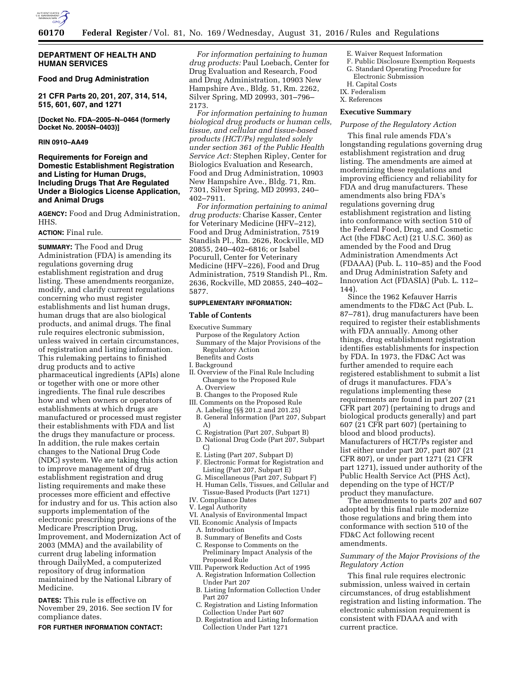

## **DEPARTMENT OF HEALTH AND HUMAN SERVICES**

## **Food and Drug Administration**

**21 CFR Parts 20, 201, 207, 314, 514, 515, 601, 607, and 1271** 

**[Docket No. FDA–2005–N–0464 (formerly Docket No. 2005N–0403)]** 

## **RIN 0910–AA49**

## **Requirements for Foreign and Domestic Establishment Registration and Listing for Human Drugs, Including Drugs That Are Regulated Under a Biologics License Application, and Animal Drugs**

**AGENCY:** Food and Drug Administration, HHS.

#### **ACTION:** Final rule.

**SUMMARY:** The Food and Drug Administration (FDA) is amending its regulations governing drug establishment registration and drug listing. These amendments reorganize, modify, and clarify current regulations concerning who must register establishments and list human drugs, human drugs that are also biological products, and animal drugs. The final rule requires electronic submission, unless waived in certain circumstances, of registration and listing information. This rulemaking pertains to finished drug products and to active pharmaceutical ingredients (APIs) alone or together with one or more other ingredients. The final rule describes how and when owners or operators of establishments at which drugs are manufactured or processed must register their establishments with FDA and list the drugs they manufacture or process. In addition, the rule makes certain changes to the National Drug Code (NDC) system. We are taking this action to improve management of drug establishment registration and drug listing requirements and make these processes more efficient and effective for industry and for us. This action also supports implementation of the electronic prescribing provisions of the Medicare Prescription Drug, Improvement, and Modernization Act of 2003 (MMA) and the availability of current drug labeling information through DailyMed, a computerized repository of drug information maintained by the National Library of Medicine.

**DATES:** This rule is effective on November 29, 2016. See section IV for compliance dates.

#### **FOR FURTHER INFORMATION CONTACT:**

*For information pertaining to human drug products:* Paul Loebach, Center for Drug Evaluation and Research, Food and Drug Administration, 10903 New Hampshire Ave., Bldg. 51, Rm. 2262, Silver Spring, MD 20993, 301–796– 2173.

*For information pertaining to human biological drug products or human cells, tissue, and cellular and tissue-based products (HCT/Ps) regulated solely under section 361 of the Public Health Service Act:* Stephen Ripley, Center for Biologics Evaluation and Research, Food and Drug Administration, 10903 New Hampshire Ave., Bldg. 71, Rm. 7301, Silver Spring, MD 20993, 240– 402–7911.

*For information pertaining to animal drug products:* Charise Kasser, Center for Veterinary Medicine (HFV–212), Food and Drug Administration, 7519 Standish Pl., Rm. 2626, Rockville, MD 20855, 240–402–6816; or Isabel Pocurull, Center for Veterinary Medicine (HFV–226), Food and Drug Administration, 7519 Standish Pl., Rm. 2636, Rockville, MD 20855, 240–402– 5877.

#### **SUPPLEMENTARY INFORMATION:**

#### **Table of Contents**

- Executive Summary
- Purpose of the Regulatory Action Summary of the Major Provisions of the Regulatory Action Benefits and Costs
- I. Background
- II. Overview of the Final Rule Including Changes to the Proposed Rule
- A. Overview
- B. Changes to the Proposed Rule III. Comments on the Proposed Rule
- A. Labeling (§§ 201.2 and 201.25)
- B. General Information (Part 207, Subpart A)
- C. Registration (Part 207, Subpart B)
- D. National Drug Code (Part 207, Subpart C)
- E. Listing (Part 207, Subpart D)
- F. Electronic Format for Registration and Listing (Part 207, Subpart E)
- G. Miscellaneous (Part 207, Subpart F)
- H. Human Cells, Tissues, and Cellular and Tissue-Based Products (Part 1271)
- IV. Compliance Dates
- V. Legal Authority
- VI. Analysis of Environmental Impact
- VII. Economic Analysis of Impacts
	- A. Introduction
	- B. Summary of Benefits and Costs
- C. Response to Comments on the Preliminary Impact Analysis of the Proposed Rule
- VIII. Paperwork Reduction Act of 1995 A. Registration Information Collection Under Part 207
	- B. Listing Information Collection Under Part 207
	- C. Registration and Listing Information Collection Under Part 607
	- D. Registration and Listing Information Collection Under Part 1271
- E. Waiver Request Information
- F. Public Disclosure Exemption Requests
- G. Standard Operating Procedure for Electronic Submission
- H. Capital Costs
- IX. Federalism
- X. References

#### **Executive Summary**

#### *Purpose of the Regulatory Action*

This final rule amends FDA's longstanding regulations governing drug establishment registration and drug listing. The amendments are aimed at modernizing these regulations and improving efficiency and reliability for FDA and drug manufacturers. These amendments also bring FDA's regulations governing drug establishment registration and listing into conformance with section 510 of the Federal Food, Drug, and Cosmetic Act (the FD&C Act) (21 U.S.C. 360) as amended by the Food and Drug Administration Amendments Act (FDAAA) (Pub. L. 110–85) and the Food and Drug Administration Safety and Innovation Act (FDASIA) (Pub. L. 112– 144).

Since the 1962 Kefauver Harris amendments to the FD&C Act (Pub. L. 87–781), drug manufacturers have been required to register their establishments with FDA annually. Among other things, drug establishment registration identifies establishments for inspection by FDA. In 1973, the FD&C Act was further amended to require each registered establishment to submit a list of drugs it manufactures. FDA's regulations implementing these requirements are found in part 207 (21 CFR part 207) (pertaining to drugs and biological products generally) and part 607 (21 CFR part 607) (pertaining to blood and blood products). Manufacturers of HCT/Ps register and list either under part 207, part 807 (21 CFR 807), or under part 1271 (21 CFR part 1271), issued under authority of the Public Health Service Act (PHS Act), depending on the type of HCT/P product they manufacture.

The amendments to parts 207 and 607 adopted by this final rule modernize those regulations and bring them into conformance with section 510 of the FD&C Act following recent amendments.

## *Summary of the Major Provisions of the Regulatory Action*

This final rule requires electronic submission, unless waived in certain circumstances, of drug establishment registration and listing information. The electronic submission requirement is consistent with FDAAA and with current practice.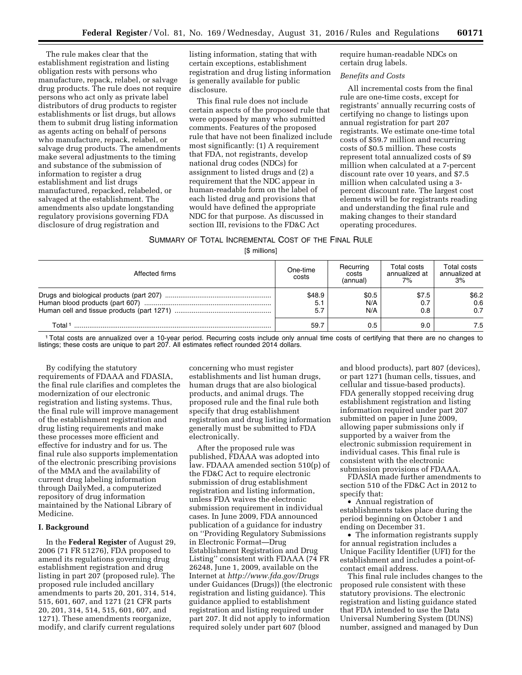The rule makes clear that the establishment registration and listing obligation rests with persons who manufacture, repack, relabel, or salvage drug products. The rule does not require persons who act only as private label distributors of drug products to register establishments or list drugs, but allows them to submit drug listing information as agents acting on behalf of persons who manufacture, repack, relabel, or salvage drug products. The amendments make several adjustments to the timing and substance of the submission of information to register a drug establishment and list drugs manufactured, repacked, relabeled, or salvaged at the establishment. The amendments also update longstanding regulatory provisions governing FDA disclosure of drug registration and

listing information, stating that with certain exceptions, establishment registration and drug listing information is generally available for public disclosure.

This final rule does not include certain aspects of the proposed rule that were opposed by many who submitted comments. Features of the proposed rule that have not been finalized include most significantly: (1) A requirement that FDA, not registrants, develop national drug codes (NDCs) for assignment to listed drugs and (2) a requirement that the NDC appear in human-readable form on the label of each listed drug and provisions that would have defined the appropriate NDC for that purpose. As discussed in section III, revisions to the FD&C Act

require human-readable NDCs on certain drug labels.

## *Benefits and Costs*

All incremental costs from the final rule are one-time costs, except for registrants' annually recurring costs of certifying no change to listings upon annual registration for part 207 registrants. We estimate one-time total costs of \$59.7 million and recurring costs of \$0.5 million. These costs represent total annualized costs of \$9 million when calculated at a 7-percent discount rate over 10 years, and \$7.5 million when calculated using a 3 percent discount rate. The largest cost elements will be for registrants reading and understanding the final rule and making changes to their standard operating procedures.

# SUMMARY OF TOTAL INCREMENTAL COST OF THE FINAL RULE

[\$ millions]

| Affected firms | One-time<br>costs    | Recurring<br>costs<br>(annual) | Total costs<br>annualized at<br>7% | Total costs<br>annualized at<br>3% |
|----------------|----------------------|--------------------------------|------------------------------------|------------------------------------|
|                | \$48.9<br>5.1<br>5.7 | \$0.5<br>N/A<br>N/A            | \$7.5<br>0.7<br>0.8                | \$6.2<br>0.6<br>0.7                |
| Total 1        | 59.7                 | 0.5                            | 9.0                                | 7.5                                |

1Total costs are annualized over a 10-year period. Recurring costs include only annual time costs of certifying that there are no changes to listings; these costs are unique to part 207. All estimates reflect rounded 2014 dollars.

By codifying the statutory requirements of FDAAA and FDASIA, the final rule clarifies and completes the modernization of our electronic registration and listing systems. Thus, the final rule will improve management of the establishment registration and drug listing requirements and make these processes more efficient and effective for industry and for us. The final rule also supports implementation of the electronic prescribing provisions of the MMA and the availability of current drug labeling information through DailyMed, a computerized repository of drug information maintained by the National Library of Medicine.

## **I. Background**

In the **Federal Register** of August 29, 2006 (71 FR 51276), FDA proposed to amend its regulations governing drug establishment registration and drug listing in part 207 (proposed rule). The proposed rule included ancillary amendments to parts 20, 201, 314, 514, 515, 601, 607, and 1271 (21 CFR parts 20, 201, 314, 514, 515, 601, 607, and 1271). These amendments reorganize, modify, and clarify current regulations

concerning who must register establishments and list human drugs, human drugs that are also biological products, and animal drugs. The proposed rule and the final rule both specify that drug establishment registration and drug listing information generally must be submitted to FDA electronically.

After the proposed rule was published, FDAAA was adopted into law. FDAAA amended section 510(p) of the FD&C Act to require electronic submission of drug establishment registration and listing information, unless FDA waives the electronic submission requirement in individual cases. In June 2009, FDA announced publication of a guidance for industry on ''Providing Regulatory Submissions in Electronic Format—Drug Establishment Registration and Drug Listing'' consistent with FDAAA (74 FR 26248, June 1, 2009, available on the Internet at *<http://www.fda.gov/Drugs>*  under Guidances (Drugs)) (the electronic registration and listing guidance). This guidance applied to establishment registration and listing required under part 207. It did not apply to information required solely under part 607 (blood

and blood products), part 807 (devices), or part 1271 (human cells, tissues, and cellular and tissue-based products). FDA generally stopped receiving drug establishment registration and listing information required under part 207 submitted on paper in June 2009, allowing paper submissions only if supported by a waiver from the electronic submission requirement in individual cases. This final rule is consistent with the electronic submission provisions of FDAAA.

FDASIA made further amendments to section 510 of the FD&C Act in 2012 to specify that:

• Annual registration of establishments takes place during the period beginning on October 1 and ending on December 31.

• The information registrants supply for annual registration includes a Unique Facility Identifier (UFI) for the establishment and includes a point-ofcontact email address.

This final rule includes changes to the proposed rule consistent with these statutory provisions. The electronic registration and listing guidance stated that FDA intended to use the Data Universal Numbering System (DUNS) number, assigned and managed by Dun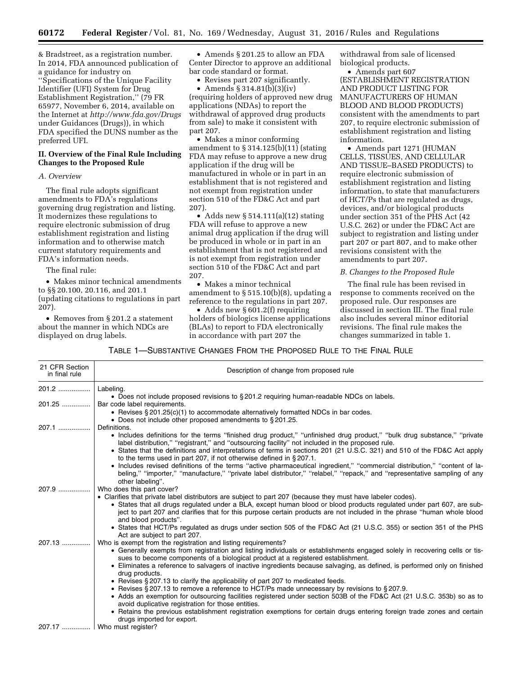& Bradstreet, as a registration number. In 2014, FDA announced publication of a guidance for industry on ''Specifications of the Unique Facility Identifier (UFI) System for Drug Establishment Registration,'' (79 FR 65977, November 6, 2014, available on the Internet at *<http://www.fda.gov/Drugs>* under Guidances (Drugs)), in which FDA specified the DUNS number as the preferred UFI.

## **II. Overview of the Final Rule Including Changes to the Proposed Rule**

## *A. Overview*

The final rule adopts significant amendments to FDA's regulations governing drug registration and listing. It modernizes these regulations to require electronic submission of drug establishment registration and listing information and to otherwise match current statutory requirements and FDA's information needs.

The final rule:

• Makes minor technical amendments to §§ 20.100, 20.116, and 201.1 (updating citations to regulations in part 207).

• Removes from § 201.2 a statement about the manner in which NDCs are displayed on drug labels.

• Amends § 201.25 to allow an FDA Center Director to approve an additional bar code standard or format.

• Revises part 207 significantly.

• Amends  $\S 314.81(b)(3)(iv)$ (requiring holders of approved new drug applications (NDAs) to report the withdrawal of approved drug products from sale) to make it consistent with part 207.

• Makes a minor conforming amendment to § 314.125(b)(11) (stating FDA may refuse to approve a new drug application if the drug will be manufactured in whole or in part in an establishment that is not registered and not exempt from registration under section 510 of the FD&C Act and part 207).

• Adds new  $\S 514.111(a)(12)$  stating FDA will refuse to approve a new animal drug application if the drug will be produced in whole or in part in an establishment that is not registered and is not exempt from registration under section 510 of the FD&C Act and part 207.

• Makes a minor technical amendment to  $\S 515.10(b)(8)$ , updating a reference to the regulations in part 207.

• Adds new § 601.2(f) requiring holders of biologics license applications (BLAs) to report to FDA electronically in accordance with part 207 the

withdrawal from sale of licensed biological products.

• Amends part 607 (ESTABLISHMENT REGISTRATION AND PRODUCT LISTING FOR MANUFACTURERS OF HUMAN BLOOD AND BLOOD PRODUCTS) consistent with the amendments to part 207, to require electronic submission of establishment registration and listing information.

• Amends part 1271 (HUMAN CELLS, TISSUES, AND CELLULAR AND TISSUE–BASED PRODUCTS) to require electronic submission of establishment registration and listing information, to state that manufacturers of HCT/Ps that are regulated as drugs, devices, and/or biological products under section 351 of the PHS Act (42 U.S.C. 262) or under the FD&C Act are subject to registration and listing under part 207 or part 807, and to make other revisions consistent with the amendments to part 207.

### *B. Changes to the Proposed Rule*

The final rule has been revised in response to comments received on the proposed rule. Our responses are discussed in section III. The final rule also includes several minor editorial revisions. The final rule makes the changes summarized in table 1.

TABLE 1—SUBSTANTIVE CHANGES FROM THE PROPOSED RULE TO THE FINAL RULE

| 21 CFR Section<br>in final rule | Description of change from proposed rule                                                                                                                                                                                                                                                                                                                                                                                       |
|---------------------------------|--------------------------------------------------------------------------------------------------------------------------------------------------------------------------------------------------------------------------------------------------------------------------------------------------------------------------------------------------------------------------------------------------------------------------------|
| 201.2                           | Labeling.                                                                                                                                                                                                                                                                                                                                                                                                                      |
| 201.25                          | • Does not include proposed revisions to §201.2 requiring human-readable NDCs on labels.<br>Bar code label requirements.                                                                                                                                                                                                                                                                                                       |
|                                 | • Revises $\S 201.25(c)(1)$ to accommodate alternatively formatted NDCs in bar codes.                                                                                                                                                                                                                                                                                                                                          |
| $207.1$                         | • Does not include other proposed amendments to §201.25.<br>Definitions.                                                                                                                                                                                                                                                                                                                                                       |
|                                 | • Includes definitions for the terms "finished drug product," "unfinished drug product," "bulk drug substance," "private<br>label distribution," "registrant," and "outsourcing facility" not included in the proposed rule.<br>• States that the definitions and interpretations of terms in sections 201 (21 U.S.C. 321) and 510 of the FD&C Act apply<br>to the terms used in part 207, if not otherwise defined in §207.1. |
|                                 | • Includes revised definitions of the terms "active pharmaceutical ingredient," "commercial distribution," "content of la-<br>beling," "importer," "manufacture," "private label distributor," "relabel," "repack," and "representative sampling of any<br>other labeling".                                                                                                                                                    |
| 207.9                           | Who does this part cover?                                                                                                                                                                                                                                                                                                                                                                                                      |
|                                 | • Clarifies that private label distributors are subject to part 207 (because they must have labeler codes).<br>• States that all drugs regulated under a BLA, except human blood or blood products regulated under part 607, are sub-<br>ject to part 207 and clarifies that for this purpose certain products are not included in the phrase "human whole blood<br>and blood products".                                       |
|                                 | • States that HCT/Ps regulated as drugs under section 505 of the FD&C Act (21 U.S.C. 355) or section 351 of the PHS<br>Act are subject to part 207.                                                                                                                                                                                                                                                                            |
| $207.13$                        | Who is exempt from the registration and listing requirements?                                                                                                                                                                                                                                                                                                                                                                  |
|                                 | • Generally exempts from registration and listing individuals or establishments engaged solely in recovering cells or tis-<br>sues to become components of a biological product at a registered establishment.                                                                                                                                                                                                                 |
|                                 | • Eliminates a reference to salvagers of inactive ingredients because salvaging, as defined, is performed only on finished<br>drug products.                                                                                                                                                                                                                                                                                   |
|                                 | • Revises § 207.13 to clarify the applicability of part 207 to medicated feeds.                                                                                                                                                                                                                                                                                                                                                |
|                                 | • Revises § 207.13 to remove a reference to HCT/Ps made unnecessary by revisions to § 207.9.                                                                                                                                                                                                                                                                                                                                   |
|                                 | • Adds an exemption for outsourcing facilities registered under section 503B of the FD&C Act (21 U.S.C. 353b) so as to<br>avoid duplicative registration for those entities.                                                                                                                                                                                                                                                   |
|                                 | • Retains the previous establishment registration exemptions for certain drugs entering foreign trade zones and certain<br>drugs imported for export.                                                                                                                                                                                                                                                                          |
|                                 | 207.17    Who must register?                                                                                                                                                                                                                                                                                                                                                                                                   |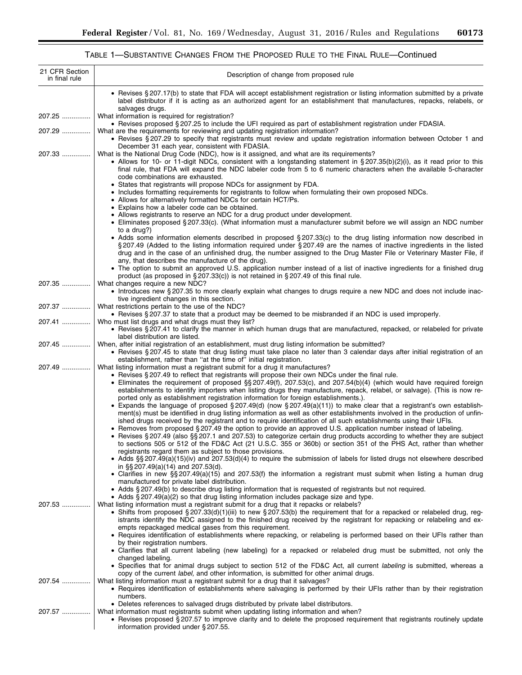۰

# TABLE 1—SUBSTANTIVE CHANGES FROM THE PROPOSED RULE TO THE FINAL RULE—Continued

| 21 CFR Section<br>in final rule | Description of change from proposed rule                                                                                                                                                                                                                                                                                                                                                                                  |
|---------------------------------|---------------------------------------------------------------------------------------------------------------------------------------------------------------------------------------------------------------------------------------------------------------------------------------------------------------------------------------------------------------------------------------------------------------------------|
|                                 | • Revises § 207.17(b) to state that FDA will accept establishment registration or listing information submitted by a private<br>label distributor if it is acting as an authorized agent for an establishment that manufactures, repacks, relabels, or<br>salvages drugs.                                                                                                                                                 |
| 207.25                          | What information is required for registration?<br>• Revises proposed § 207.25 to include the UFI required as part of establishment registration under FDASIA.                                                                                                                                                                                                                                                             |
| 207.29                          | What are the requirements for reviewing and updating registration information?<br>• Revises § 207.29 to specify that registrants must review and update registration information between October 1 and                                                                                                                                                                                                                    |
| 207.33                          | December 31 each year, consistent with FDASIA.<br>What is the National Drug Code (NDC), how is it assigned, and what are its requirements?                                                                                                                                                                                                                                                                                |
|                                 | • Allows for 10- or 11-digit NDCs, consistent with a longstanding statement in §207.35(b)(2)(i), as it read prior to this<br>final rule, that FDA will expand the NDC labeler code from 5 to 6 numeric characters when the available 5-character<br>code combinations are exhausted.                                                                                                                                      |
|                                 | • States that registrants will propose NDCs for assignment by FDA.<br>• Includes formatting requirements for registrants to follow when formulating their own proposed NDCs.                                                                                                                                                                                                                                              |
|                                 | • Allows for alternatively formatted NDCs for certain HCT/Ps.<br>• Explains how a labeler code can be obtained.                                                                                                                                                                                                                                                                                                           |
|                                 | • Allows registrants to reserve an NDC for a drug product under development.                                                                                                                                                                                                                                                                                                                                              |
|                                 | • Eliminates proposed § 207.33(c). (What information must a manufacturer submit before we will assign an NDC number<br>to a drug?)                                                                                                                                                                                                                                                                                        |
|                                 | • Adds some information elements described in proposed § 207.33(c) to the drug listing information now described in<br>§207.49 (Added to the listing information required under §207.49 are the names of inactive ingredients in the listed<br>drug and in the case of an unfinished drug, the number assigned to the Drug Master File or Veterinary Master File, if<br>any, that describes the manufacture of the drug). |
|                                 | • The option to submit an approved U.S. application number instead of a list of inactive ingredients for a finished drug<br>product (as proposed in §207.33(c)) is not retained in §207.49 of this final rule.                                                                                                                                                                                                            |
| 207.35                          | What changes require a new NDC?<br>• Introduces new §207.35 to more clearly explain what changes to drugs require a new NDC and does not include inac-<br>tive ingredient changes in this section.                                                                                                                                                                                                                        |
| 207.37                          | What restrictions pertain to the use of the NDC?<br>• Revises § 207.37 to state that a product may be deemed to be misbranded if an NDC is used improperly.                                                                                                                                                                                                                                                               |
| 207.41                          | Who must list drugs and what drugs must they list?<br>• Revises § 207.41 to clarify the manner in which human drugs that are manufactured, repacked, or relabeled for private                                                                                                                                                                                                                                             |
| 207.45                          | label distribution are listed.<br>When, after initial registration of an establishment, must drug listing information be submitted?                                                                                                                                                                                                                                                                                       |
|                                 | • Revises § 207.45 to state that drug listing must take place no later than 3 calendar days after initial registration of an<br>establishment, rather than "at the time of" initial registration.                                                                                                                                                                                                                         |
| 207.49                          | What listing information must a registrant submit for a drug it manufactures?                                                                                                                                                                                                                                                                                                                                             |
|                                 | • Revises § 207.49 to reflect that registrants will propose their own NDCs under the final rule.<br>• Eliminates the requirement of proposed §§ 207.49(f), 207.53(c), and 207.54(b)(4) (which would have required foreign<br>establishments to identify importers when listing drugs they manufacture, repack, relabel, or salvage). (This is now re-                                                                     |
|                                 | ported only as establishment registration information for foreign establishments.).<br>• Expands the language of proposed $\S 207.49(d)$ (now $\S 207.49(a)(11)$ ) to make clear that a registrant's own establish-                                                                                                                                                                                                       |
|                                 | ment(s) must be identified in drug listing information as well as other establishments involved in the production of unfin-<br>ished drugs received by the registrant and to require identification of all such establishments using their UFIs.<br>• Removes from proposed § 207.49 the option to provide an approved U.S. application number instead of labeling.                                                       |
|                                 | • Revises § 207.49 (also §§ 207.1 and 207.53) to categorize certain drug products according to whether they are subject<br>to sections 505 or 512 of the FD&C Act (21 U.S.C. 355 or 360b) or section 351 of the PHS Act, rather than whether                                                                                                                                                                              |
|                                 | registrants regard them as subject to those provisions.<br>• Adds §§ 207.49(a)(15)(iv) and 207.53(d)(4) to require the submission of labels for listed drugs not elsewhere described<br>in $\S$ S 207.49(a)(14) and 207.53(d).                                                                                                                                                                                            |
|                                 | • Clarifies in new §§ 207.49(a)(15) and 207.53(f) the information a registrant must submit when listing a human drug<br>manufactured for private label distribution.                                                                                                                                                                                                                                                      |
|                                 | • Adds § 207.49(b) to describe drug listing information that is requested of registrants but not required.<br>• Adds § 207.49(a)(2) so that drug listing information includes package size and type.                                                                                                                                                                                                                      |
| 207.53                          | What listing information must a registrant submit for a drug that it repacks or relabels?<br>• Shifts from proposed § 207.33(d)(1)(iii) to new § 207.53(b) the requirement that for a repacked or relabeled drug, reg-                                                                                                                                                                                                    |
|                                 | istrants identify the NDC assigned to the finished drug received by the registrant for repacking or relabeling and ex-                                                                                                                                                                                                                                                                                                    |
|                                 | empts repackaged medical gases from this requirement.<br>• Requires identification of establishments where repacking, or relabeling is performed based on their UFIs rather than<br>by their registration numbers.                                                                                                                                                                                                        |
|                                 | • Clarifies that all current labeling (new labeling) for a repacked or relabeled drug must be submitted, not only the<br>changed labeling.                                                                                                                                                                                                                                                                                |
|                                 | • Specifies that for animal drugs subject to section 512 of the FD&C Act, all current labeling is submitted, whereas a<br>copy of the current label, and other information, is submitted for other animal drugs.                                                                                                                                                                                                          |
| 207.54                          | What listing information must a registrant submit for a drug that it salvages?<br>• Requires identification of establishments where salvaging is performed by their UFIs rather than by their registration                                                                                                                                                                                                                |
|                                 | numbers.<br>• Deletes references to salvaged drugs distributed by private label distributors.                                                                                                                                                                                                                                                                                                                             |
| 207.57                          | What information must registrants submit when updating listing information and when?<br>• Revises proposed § 207.57 to improve clarity and to delete the proposed requirement that registrants routinely update<br>information provided under § 207.55.                                                                                                                                                                   |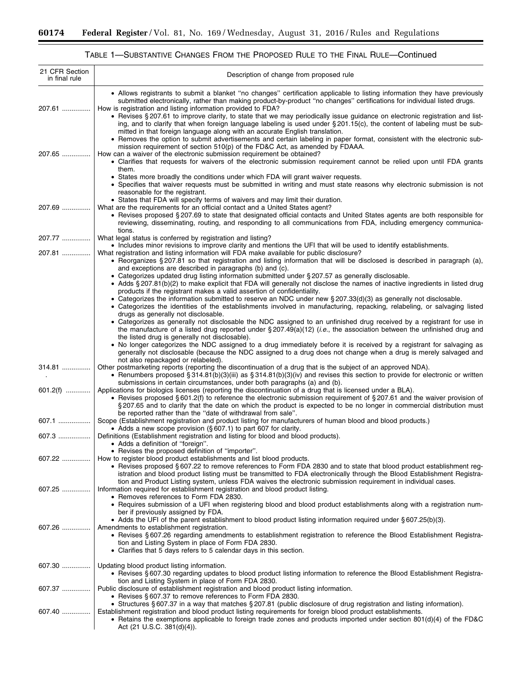-

| 21 CFR Section<br>in final rule | Description of change from proposed rule                                                                                                                                                                                                                                                                                                                                                                                                                                                                                                                                                                                                                                                                                                                                                    |
|---------------------------------|---------------------------------------------------------------------------------------------------------------------------------------------------------------------------------------------------------------------------------------------------------------------------------------------------------------------------------------------------------------------------------------------------------------------------------------------------------------------------------------------------------------------------------------------------------------------------------------------------------------------------------------------------------------------------------------------------------------------------------------------------------------------------------------------|
| 207.61                          | • Allows registrants to submit a blanket "no changes" certification applicable to listing information they have previously<br>submitted electronically, rather than making product-by-product "no changes" certifications for individual listed drugs.<br>How is registration and listing information provided to FDA?<br>• Revises § 207.61 to improve clarity, to state that we may periodically issue guidance on electronic registration and list-<br>ing, and to clarify that when foreign language labeling is used under § 201.15(c), the content of labeling must be sub-<br>mitted in that foreign language along with an accurate English translation.<br>• Removes the option to submit advertisements and certain labeling in paper format, consistent with the electronic sub- |
| 207.65                          | mission requirement of section 510(p) of the FD&C Act, as amended by FDAAA.<br>How can a waiver of the electronic submission requirement be obtained?<br>• Clarifies that requests for waivers of the electronic submission requirement cannot be relied upon until FDA grants<br>them.                                                                                                                                                                                                                                                                                                                                                                                                                                                                                                     |
|                                 | • States more broadly the conditions under which FDA will grant waiver requests.<br>• Specifies that waiver requests must be submitted in writing and must state reasons why electronic submission is not<br>reasonable for the registrant.<br>• States that FDA will specify terms of waivers and may limit their duration.                                                                                                                                                                                                                                                                                                                                                                                                                                                                |
| 207.69                          | What are the requirements for an official contact and a United States agent?<br>• Revises proposed § 207.69 to state that designated official contacts and United States agents are both responsible for<br>reviewing, disseminating, routing, and responding to all communications from FDA, including emergency communica-<br>tions.                                                                                                                                                                                                                                                                                                                                                                                                                                                      |
| 207.77                          | What legal status is conferred by registration and listing?                                                                                                                                                                                                                                                                                                                                                                                                                                                                                                                                                                                                                                                                                                                                 |
| 207.81                          | • Includes minor revisions to improve clarity and mentions the UFI that will be used to identify establishments.<br>What registration and listing information will FDA make available for public disclosure?<br>• Reorganizes § 207.81 so that registration and listing information that will be disclosed is described in paragraph (a),<br>and exceptions are described in paragraphs (b) and (c).                                                                                                                                                                                                                                                                                                                                                                                        |
|                                 | • Categorizes updated drug listing information submitted under § 207.57 as generally disclosable.<br>• Adds § 207.81(b)(2) to make explicit that FDA will generally not disclose the names of inactive ingredients in listed drug<br>products if the registrant makes a valid assertion of confidentiality.                                                                                                                                                                                                                                                                                                                                                                                                                                                                                 |
|                                 | • Categorizes the information submitted to reserve an NDC under new § 207.33(d)(3) as generally not disclosable.<br>· Categorizes the identities of the establishments involved in manufacturing, repacking, relabeling, or salvaging listed                                                                                                                                                                                                                                                                                                                                                                                                                                                                                                                                                |
|                                 | drugs as generally not disclosable.<br>• Categorizes as generally not disclosable the NDC assigned to an unfinished drug received by a registrant for use in                                                                                                                                                                                                                                                                                                                                                                                                                                                                                                                                                                                                                                |
|                                 | the manufacture of a listed drug reported under $\S 207.49(a)(12)$ ( <i>i.e.</i> , the association between the unfinished drug and                                                                                                                                                                                                                                                                                                                                                                                                                                                                                                                                                                                                                                                          |
|                                 | the listed drug is generally not disclosable).<br>• No longer categorizes the NDC assigned to a drug immediately before it is received by a registrant for salvaging as<br>generally not disclosable (because the NDC assigned to a drug does not change when a drug is merely salvaged and                                                                                                                                                                                                                                                                                                                                                                                                                                                                                                 |
| 314.81                          | not also repackaged or relabeled).<br>Other postmarketing reports (reporting the discontinuation of a drug that is the subject of an approved NDA).<br>• Renumbers proposed § 314.81(b)(3)(iii) as § 314.81(b)(3)(iv) and revises this section to provide for electronic or written<br>submissions in certain circumstances, under both paragraphs (a) and (b).                                                                                                                                                                                                                                                                                                                                                                                                                             |
| $601.2(f)$                      | Applications for biologics licenses (reporting the discontinuation of a drug that is licensed under a BLA).<br>• Revises proposed §601.2(f) to reference the electronic submission requirement of §207.61 and the waiver provision of<br>§207.65 and to clarify that the date on which the product is expected to be no longer in commercial distribution must<br>be reported rather than the "date of withdrawal from sale".                                                                                                                                                                                                                                                                                                                                                               |
| 607.1                           | Scope (Establishment registration and product listing for manufacturers of human blood and blood products.)<br>• Adds a new scope provision (§607.1) to part 607 for clarity.                                                                                                                                                                                                                                                                                                                                                                                                                                                                                                                                                                                                               |
| 607.3  ∣                        | Definitions (Establishment registration and listing for blood and blood products).<br>• Adds a definition of "foreign".                                                                                                                                                                                                                                                                                                                                                                                                                                                                                                                                                                                                                                                                     |
| 607.22                          | • Revises the proposed definition of "importer".<br>How to register blood product establishments and list blood products.                                                                                                                                                                                                                                                                                                                                                                                                                                                                                                                                                                                                                                                                   |
|                                 | • Revises proposed § 607.22 to remove references to Form FDA 2830 and to state that blood product establishment reg-<br>istration and blood product listing must be transmitted to FDA electronically through the Blood Establishment Registra-<br>tion and Product Listing system, unless FDA waives the electronic submission requirement in individual cases.                                                                                                                                                                                                                                                                                                                                                                                                                            |
| 607.25                          | Information required for establishment registration and blood product listing.<br>• Removes references to Form FDA 2830.<br>• Requires submission of a UFI when registering blood and blood product establishments along with a registration num-                                                                                                                                                                                                                                                                                                                                                                                                                                                                                                                                           |
|                                 | ber if previously assigned by FDA.                                                                                                                                                                                                                                                                                                                                                                                                                                                                                                                                                                                                                                                                                                                                                          |
| 607.26                          | • Adds the UFI of the parent establishment to blood product listing information required under §607.25(b)(3).<br>Amendments to establishment registration.                                                                                                                                                                                                                                                                                                                                                                                                                                                                                                                                                                                                                                  |
|                                 | • Revises § 607.26 regarding amendments to establishment registration to reference the Blood Establishment Registra-<br>tion and Listing System in place of Form FDA 2830.<br>• Clarifies that 5 days refers to 5 calendar days in this section.                                                                                                                                                                                                                                                                                                                                                                                                                                                                                                                                            |
| 607.30                          | Updating blood product listing information.<br>• Revises § 607.30 regarding updates to blood product listing information to reference the Blood Establishment Registra-                                                                                                                                                                                                                                                                                                                                                                                                                                                                                                                                                                                                                     |
| 607.37                          | tion and Listing System in place of Form FDA 2830.<br>Public disclosure of establishment registration and blood product listing information.                                                                                                                                                                                                                                                                                                                                                                                                                                                                                                                                                                                                                                                |
|                                 | • Revises § 607.37 to remove references to Form FDA 2830.<br>• Structures § 607.37 in a way that matches § 207.81 (public disclosure of drug registration and listing information).                                                                                                                                                                                                                                                                                                                                                                                                                                                                                                                                                                                                         |
| 607.40                          | Establishment registration and blood product listing requirements for foreign blood product establishments.<br>• Retains the exemptions applicable to foreign trade zones and products imported under section 801(d)(4) of the FD&C<br>Act (21 U.S.C. 381(d)(4)).                                                                                                                                                                                                                                                                                                                                                                                                                                                                                                                           |

# TABLE 1—SUBSTANTIVE CHANGES FROM THE PROPOSED RULE TO THE FINAL RULE—Continued

۲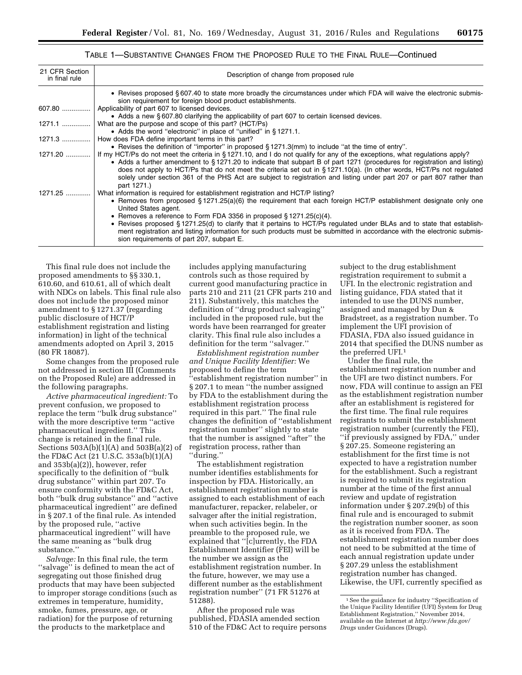| 21 CFR Section<br>in final rule | Description of change from proposed rule                                                                                                                                                                                                                                                                                                                                                                                                                                                                                     |
|---------------------------------|------------------------------------------------------------------------------------------------------------------------------------------------------------------------------------------------------------------------------------------------------------------------------------------------------------------------------------------------------------------------------------------------------------------------------------------------------------------------------------------------------------------------------|
|                                 | • Revises proposed §607.40 to state more broadly the circumstances under which FDA will waive the electronic submis-<br>sion requirement for foreign blood product establishments.                                                                                                                                                                                                                                                                                                                                           |
| 607.80                          | Applicability of part 607 to licensed devices.                                                                                                                                                                                                                                                                                                                                                                                                                                                                               |
|                                 | • Adds a new § 607.80 clarifying the applicability of part 607 to certain licensed devices.                                                                                                                                                                                                                                                                                                                                                                                                                                  |
| $1271.1$                        | What are the purpose and scope of this part? (HCT/Ps)                                                                                                                                                                                                                                                                                                                                                                                                                                                                        |
|                                 | • Adds the word "electronic" in place of "unified" in §1271.1.                                                                                                                                                                                                                                                                                                                                                                                                                                                               |
| 1271.3                          | How does FDA define important terms in this part?                                                                                                                                                                                                                                                                                                                                                                                                                                                                            |
|                                 | • Revises the definition of "importer" in proposed § 1271.3(mm) to include "at the time of entry".                                                                                                                                                                                                                                                                                                                                                                                                                           |
| 1271.20                         | If my HCT/Ps do not meet the criteria in §1271.10, and I do not qualify for any of the exceptions, what regulations apply?<br>• Adds a further amendment to §1271.20 to indicate that subpart B of part 1271 (procedures for registration and listing)<br>does not apply to HCT/Ps that do not meet the criteria set out in $\S 1271.10(a)$ . (In other words, HCT/Ps not regulated<br>solely under section 361 of the PHS Act are subject to registration and listing under part 207 or part 807 rather than<br>part 1271.) |
| $1271.25$                       | What information is required for establishment registration and HCT/P listing?                                                                                                                                                                                                                                                                                                                                                                                                                                               |
|                                 | • Removes from proposed §1271.25(a)(6) the requirement that each foreign HCT/P establishment designate only one<br>United States agent.                                                                                                                                                                                                                                                                                                                                                                                      |
|                                 | • Removes a reference to Form FDA 3356 in proposed $\S$ 1271.25(c)(4).                                                                                                                                                                                                                                                                                                                                                                                                                                                       |
|                                 | • Revises proposed §1271.25(d) to clarify that it pertains to HCT/Ps regulated under BLAs and to state that establish-<br>ment registration and listing information for such products must be submitted in accordance with the electronic submis-<br>sion requirements of part 207, subpart E.                                                                                                                                                                                                                               |

## TABLE 1—SUBSTANTIVE CHANGES FROM THE PROPOSED RULE TO THE FINAL RULE—Continued

This final rule does not include the proposed amendments to §§ 330.1, 610.60, and 610.61, all of which dealt with NDCs on labels. This final rule also does not include the proposed minor amendment to § 1271.37 (regarding public disclosure of HCT/P establishment registration and listing information) in light of the technical amendments adopted on April 3, 2015 (80 FR 18087).

Some changes from the proposed rule not addressed in section III (Comments on the Proposed Rule) are addressed in the following paragraphs.

*Active pharmaceutical ingredient:* To prevent confusion, we proposed to replace the term ''bulk drug substance'' with the more descriptive term ''active pharmaceutical ingredient.'' This change is retained in the final rule. Sections  $503A(b)(1)(A)$  and  $503B(a)(2)$  of the FD&C Act (21 U.S.C. 353a(b)(1)(A) and 353b(a)(2)), however, refer specifically to the definition of ''bulk drug substance'' within part 207. To ensure conformity with the FD&C Act, both ''bulk drug substance'' and ''active pharmaceutical ingredient'' are defined in § 207.1 of the final rule. As intended by the proposed rule, ''active pharmaceutical ingredient'' will have the same meaning as ''bulk drug substance.''

*Salvage:* In this final rule, the term "salvage" is defined to mean the act of segregating out those finished drug products that may have been subjected to improper storage conditions (such as extremes in temperature, humidity, smoke, fumes, pressure, age, or radiation) for the purpose of returning the products to the marketplace and

includes applying manufacturing controls such as those required by current good manufacturing practice in parts 210 and 211 (21 CFR parts 210 and 211). Substantively, this matches the definition of ''drug product salvaging'' included in the proposed rule, but the words have been rearranged for greater clarity. This final rule also includes a definition for the term ''salvager.''

*Establishment registration number and Unique Facility Identifier:* We proposed to define the term ''establishment registration number'' in § 207.1 to mean ''the number assigned by FDA to the establishment during the establishment registration process required in this part.'' The final rule changes the definition of ''establishment registration number'' slightly to state that the number is assigned ''after'' the registration process, rather than ''during.''

The establishment registration number identifies establishments for inspection by FDA. Historically, an establishment registration number is assigned to each establishment of each manufacturer, repacker, relabeler, or salvager after the initial registration, when such activities begin. In the preamble to the proposed rule, we explained that ''[c]urrently, the FDA Establishment Identifier (FEI) will be the number we assign as the establishment registration number. In the future, however, we may use a different number as the establishment registration number'' (71 FR 51276 at 51288).

After the proposed rule was published, FDASIA amended section 510 of the FD&C Act to require persons subject to the drug establishment registration requirement to submit a UFI. In the electronic registration and listing guidance, FDA stated that it intended to use the DUNS number, assigned and managed by Dun & Bradstreet, as a registration number. To implement the UFI provision of FDASIA, FDA also issued guidance in 2014 that specified the DUNS number as the preferred UFI.1

Under the final rule, the establishment registration number and the UFI are two distinct numbers. For now, FDA will continue to assign an FEI as the establishment registration number after an establishment is registered for the first time. The final rule requires registrants to submit the establishment registration number (currently the FEI), ''if previously assigned by FDA,'' under § 207.25. Someone registering an establishment for the first time is not expected to have a registration number for the establishment. Such a registrant is required to submit its registration number at the time of the first annual review and update of registration information under § 207.29(b) of this final rule and is encouraged to submit the registration number sooner, as soon as it is received from FDA. The establishment registration number does not need to be submitted at the time of each annual registration update under § 207.29 unless the establishment registration number has changed. Likewise, the UFI, currently specified as

<sup>&</sup>lt;sup>1</sup> See the guidance for industry "Specification of the Unique Facility Identifier (UFI) System for Drug Establishment Registration,'' November 2014, available on the Internet at *[http://www.fda.gov/](http://www.fda.gov/Drugs) [Drugs](http://www.fda.gov/Drugs)* under Guidances (Drugs).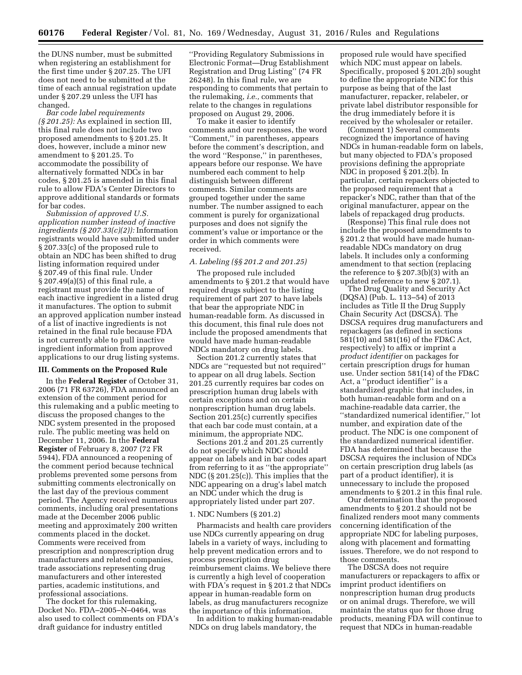the DUNS number, must be submitted when registering an establishment for the first time under § 207.25. The UFI does not need to be submitted at the time of each annual registration update under § 207.29 unless the UFI has changed.

*Bar code label requirements (§ 201.25):* As explained in section III, this final rule does not include two proposed amendments to § 201.25. It does, however, include a minor new amendment to § 201.25. To accommodate the possibility of alternatively formatted NDCs in bar codes, § 201.25 is amended in this final rule to allow FDA's Center Directors to approve additional standards or formats for bar codes.

*Submission of approved U.S. application number instead of inactive ingredients (§ 207.33(c)(2)):* Information registrants would have submitted under § 207.33(c) of the proposed rule to obtain an NDC has been shifted to drug listing information required under § 207.49 of this final rule. Under § 207.49(a)(5) of this final rule, a registrant must provide the name of each inactive ingredient in a listed drug it manufactures. The option to submit an approved application number instead of a list of inactive ingredients is not retained in the final rule because FDA is not currently able to pull inactive ingredient information from approved applications to our drug listing systems.

### **III. Comments on the Proposed Rule**

In the **Federal Register** of October 31, 2006 (71 FR 63726), FDA announced an extension of the comment period for this rulemaking and a public meeting to discuss the proposed changes to the NDC system presented in the proposed rule. The public meeting was held on December 11, 2006. In the **Federal Register** of February 8, 2007 (72 FR 5944), FDA announced a reopening of the comment period because technical problems prevented some persons from submitting comments electronically on the last day of the previous comment period. The Agency received numerous comments, including oral presentations made at the December 2006 public meeting and approximately 200 written comments placed in the docket. Comments were received from prescription and nonprescription drug manufacturers and related companies, trade associations representing drug manufacturers and other interested parties, academic institutions, and professional associations.

The docket for this rulemaking, Docket No. FDA–2005–N–0464, was also used to collect comments on FDA's draft guidance for industry entitled

''Providing Regulatory Submissions in Electronic Format—Drug Establishment Registration and Drug Listing'' (74 FR 26248). In this final rule, we are responding to comments that pertain to the rulemaking, *i.e.,* comments that relate to the changes in regulations proposed on August 29, 2006.

To make it easier to identify comments and our responses, the word ''Comment,'' in parentheses, appears before the comment's description, and the word ''Response,'' in parentheses, appears before our response. We have numbered each comment to help distinguish between different comments. Similar comments are grouped together under the same number. The number assigned to each comment is purely for organizational purposes and does not signify the comment's value or importance or the order in which comments were received.

#### *A. Labeling (§§ 201.2 and 201.25)*

The proposed rule included amendments to § 201.2 that would have required drugs subject to the listing requirement of part 207 to have labels that bear the appropriate NDC in human-readable form. As discussed in this document, this final rule does not include the proposed amendments that would have made human-readable NDCs mandatory on drug labels.

Section 201.2 currently states that NDCs are ''requested but not required'' to appear on all drug labels. Section 201.25 currently requires bar codes on prescription human drug labels with certain exceptions and on certain nonprescription human drug labels. Section 201.25(c) currently specifies that each bar code must contain, at a minimum, the appropriate NDC.

Sections 201.2 and 201.25 currently do not specify which NDC should appear on labels and in bar codes apart from referring to it as ''the appropriate'' NDC (§ 201.25(c)). This implies that the NDC appearing on a drug's label match an NDC under which the drug is appropriately listed under part 207.

#### 1. NDC Numbers (§ 201.2)

Pharmacists and health care providers use NDCs currently appearing on drug labels in a variety of ways, including to help prevent medication errors and to process prescription drug reimbursement claims. We believe there is currently a high level of cooperation with FDA's request in § 201.2 that NDCs appear in human-readable form on labels, as drug manufacturers recognize the importance of this information.

In addition to making human-readable NDCs on drug labels mandatory, the

proposed rule would have specified which NDC must appear on labels. Specifically, proposed § 201.2(b) sought to define the appropriate NDC for this purpose as being that of the last manufacturer, repacker, relabeler, or private label distributor responsible for the drug immediately before it is received by the wholesaler or retailer.

(Comment 1) Several comments recognized the importance of having NDCs in human-readable form on labels, but many objected to FDA's proposed provisions defining the appropriate NDC in proposed § 201.2(b). In particular, certain repackers objected to the proposed requirement that a repacker's NDC, rather than that of the original manufacturer, appear on the labels of repackaged drug products.

(Response) This final rule does not include the proposed amendments to § 201.2 that would have made humanreadable NDCs mandatory on drug labels. It includes only a conforming amendment to that section (replacing the reference to § 207.3(b)(3) with an updated reference to new § 207.1).

The Drug Quality and Security Act (DQSA) (Pub. L. 113–54) of 2013 includes as Title II the Drug Supply Chain Security Act (DSCSA). The DSCSA requires drug manufacturers and repackagers (as defined in sections 581(10) and 581(16) of the FD&C Act, respectively) to affix or imprint a *product identifier* on packages for certain prescription drugs for human use. Under section 581(14) of the FD&C Act, a ''product identifier'' is a standardized graphic that includes, in both human-readable form and on a machine-readable data carrier, the ''standardized numerical identifier,'' lot number, and expiration date of the product. The NDC is one component of the standardized numerical identifier. FDA has determined that because the DSCSA requires the inclusion of NDCs on certain prescription drug labels (as part of a product identifier), it is unnecessary to include the proposed amendments to § 201.2 in this final rule.

Our determination that the proposed amendments to § 201.2 should not be finalized renders moot many comments concerning identification of the appropriate NDC for labeling purposes, along with placement and formatting issues. Therefore, we do not respond to those comments.

The DSCSA does not require manufacturers or repackagers to affix or imprint product identifiers on nonprescription human drug products or on animal drugs. Therefore, we will maintain the status quo for those drug products, meaning FDA will continue to request that NDCs in human-readable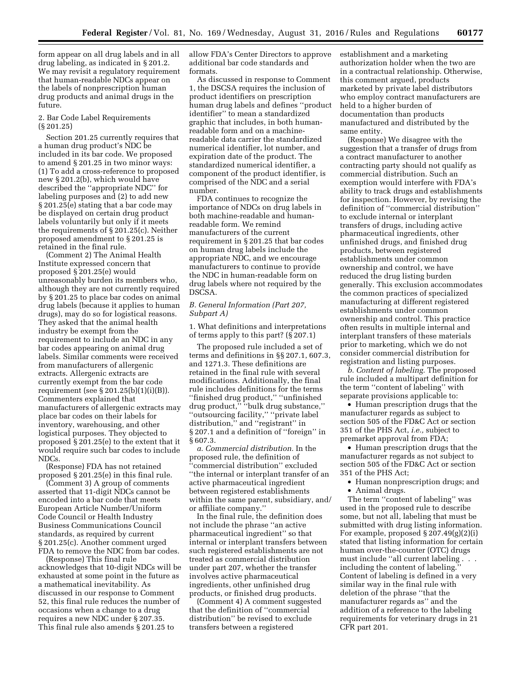form appear on all drug labels and in all drug labeling, as indicated in § 201.2. We may revisit a regulatory requirement that human-readable NDCs appear on the labels of nonprescription human drug products and animal drugs in the future.

## 2. Bar Code Label Requirements (§ 201.25)

Section 201.25 currently requires that a human drug product's NDC be included in its bar code. We proposed to amend § 201.25 in two minor ways: (1) To add a cross-reference to proposed new § 201.2(b), which would have described the ''appropriate NDC'' for labeling purposes and (2) to add new § 201.25(e) stating that a bar code may be displayed on certain drug product labels voluntarily but only if it meets the requirements of § 201.25(c). Neither proposed amendment to § 201.25 is retained in the final rule.

(Comment 2) The Animal Health Institute expressed concern that proposed § 201.25(e) would unreasonably burden its members who, although they are not currently required by § 201.25 to place bar codes on animal drug labels (because it applies to human drugs), may do so for logistical reasons. They asked that the animal health industry be exempt from the requirement to include an NDC in any bar codes appearing on animal drug labels. Similar comments were received from manufacturers of allergenic extracts. Allergenic extracts are currently exempt from the bar code requirement (see § 201.25(b)(1)(i)(B)). Commenters explained that manufacturers of allergenic extracts may place bar codes on their labels for inventory, warehousing, and other logistical purposes. They objected to proposed § 201.25(e) to the extent that it would require such bar codes to include NDCs.

(Response) FDA has not retained proposed § 201.25(e) in this final rule.

(Comment 3) A group of comments asserted that 11-digit NDCs cannot be encoded into a bar code that meets European Article Number/Uniform Code Council or Health Industry Business Communications Council standards, as required by current § 201.25(c). Another comment urged FDA to remove the NDC from bar codes.

(Response) This final rule acknowledges that 10-digit NDCs will be exhausted at some point in the future as a mathematical inevitability. As discussed in our response to Comment 52, this final rule reduces the number of occasions when a change to a drug requires a new NDC under § 207.35. This final rule also amends § 201.25 to

allow FDA's Center Directors to approve additional bar code standards and formats.

As discussed in response to Comment 1, the DSCSA requires the inclusion of product identifiers on prescription human drug labels and defines ''product identifier'' to mean a standardized graphic that includes, in both humanreadable form and on a machinereadable data carrier the standardized numerical identifier, lot number, and expiration date of the product. The standardized numerical identifier, a component of the product identifier, is comprised of the NDC and a serial number.

FDA continues to recognize the importance of NDCs on drug labels in both machine-readable and humanreadable form. We remind manufacturers of the current requirement in § 201.25 that bar codes on human drug labels include the appropriate NDC, and we encourage manufacturers to continue to provide the NDC in human-readable form on drug labels where not required by the DSCSA.

## *B. General Information (Part 207, Subpart A)*

1. What definitions and interpretations of terms apply to this part? (§ 207.1)

The proposed rule included a set of terms and definitions in §§ 207.1, 607.3, and 1271.3. These definitions are retained in the final rule with several modifications. Additionally, the final rule includes definitions for the terms ''finished drug product,'' ''unfinished drug product,'' ''bulk drug substance,'' ''outsourcing facility,'' ''private label distribution,'' and ''registrant'' in § 207.1 and a definition of ''foreign'' in § 607.3.

*a. Commercial distribution.* In the proposed rule, the definition of ''commercial distribution'' excluded ''the internal or interplant transfer of an active pharmaceutical ingredient between registered establishments within the same parent, subsidiary, and/ or affiliate company.''

In the final rule, the definition does not include the phrase ''an active pharmaceutical ingredient'' so that internal or interplant transfers between such registered establishments are not treated as commercial distribution under part 207, whether the transfer involves active pharmaceutical ingredients, other unfinished drug products, or finished drug products.

(Comment 4) A comment suggested that the definition of ''commercial distribution'' be revised to exclude transfers between a registered

establishment and a marketing authorization holder when the two are in a contractual relationship. Otherwise, this comment argued, products marketed by private label distributors who employ contract manufacturers are held to a higher burden of documentation than products manufactured and distributed by the same entity.

(Response) We disagree with the suggestion that a transfer of drugs from a contract manufacturer to another contracting party should not qualify as commercial distribution. Such an exemption would interfere with FDA's ability to track drugs and establishments for inspection. However, by revising the definition of ''commercial distribution'' to exclude internal or interplant transfers of drugs, including active pharmaceutical ingredients, other unfinished drugs, and finished drug products, between registered establishments under common ownership and control, we have reduced the drug listing burden generally. This exclusion accommodates the common practices of specialized manufacturing at different registered establishments under common ownership and control. This practice often results in multiple internal and interplant transfers of these materials prior to marketing, which we do not consider commercial distribution for registration and listing purposes.

*b. Content of labeling.* The proposed rule included a multipart definition for the term ''content of labeling'' with separate provisions applicable to:

• Human prescription drugs that the manufacturer regards as subject to section 505 of the FD&C Act or section 351 of the PHS Act, *i.e.,* subject to premarket approval from FDA;

• Human prescription drugs that the manufacturer regards as not subject to section 505 of the FD&C Act or section 351 of the PHS Act;

• Human nonprescription drugs; and • Animal drugs.

The term "content of labeling" was used in the proposed rule to describe some, but not all, labeling that must be submitted with drug listing information. For example, proposed § 207.49(g)(2)(i) stated that listing information for certain human over-the-counter (OTC) drugs must include ''all current labeling . . . including the content of labeling. Content of labeling is defined in a very similar way in the final rule with deletion of the phrase ''that the manufacturer regards as'' and the addition of a reference to the labeling requirements for veterinary drugs in 21 CFR part 201.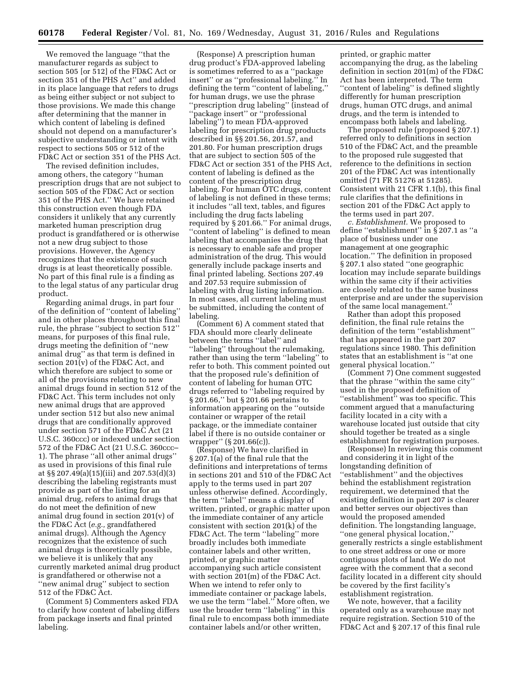We removed the language ''that the manufacturer regards as subject to section 505 [or 512] of the FD&C Act or section 351 of the PHS Act'' and added in its place language that refers to drugs as being either subject or not subject to those provisions. We made this change after determining that the manner in which content of labeling is defined should not depend on a manufacturer's subjective understanding or intent with respect to sections 505 or 512 of the FD&C Act or section 351 of the PHS Act.

The revised definition includes, among others, the category ''human prescription drugs that are not subject to section 505 of the FD&C Act or section 351 of the PHS Act.'' We have retained this construction even though FDA considers it unlikely that any currently marketed human prescription drug product is grandfathered or is otherwise not a new drug subject to those provisions. However, the Agency recognizes that the existence of such drugs is at least theoretically possible. No part of this final rule is a finding as to the legal status of any particular drug product.

Regarding animal drugs, in part four of the definition of ''content of labeling'' and in other places throughout this final rule, the phrase ''subject to section 512'' means, for purposes of this final rule, drugs meeting the definition of ''new animal drug'' as that term is defined in section  $201(v)$  of the FD&C Act, and which therefore are subject to some or all of the provisions relating to new animal drugs found in section 512 of the FD&C Act. This term includes not only new animal drugs that are approved under section 512 but also new animal drugs that are conditionally approved under section 571 of the FD&C Act (21 U.S.C. 360ccc) or indexed under section 572 of the FD&C Act (21 U.S.C. 360ccc– 1). The phrase ''all other animal drugs'' as used in provisions of this final rule at §§ 207.49(a)(15)(iii) and 207.53(d)(3) describing the labeling registrants must provide as part of the listing for an animal drug, refers to animal drugs that do not meet the definition of new animal drug found in section 201(v) of the FD&C Act (*e.g.,* grandfathered animal drugs). Although the Agency recognizes that the existence of such animal drugs is theoretically possible, we believe it is unlikely that any currently marketed animal drug product is grandfathered or otherwise not a ''new animal drug'' subject to section 512 of the FD&C Act.

(Comment 5) Commenters asked FDA to clarify how content of labeling differs from package inserts and final printed labeling.

(Response) A prescription human drug product's FDA-approved labeling is sometimes referred to as a ''package insert'' or as ''professional labeling.'' In defining the term ''content of labeling,'' for human drugs, we use the phrase ''prescription drug labeling'' (instead of ''package insert'' or ''professional labeling") to mean FDA-approved labeling for prescription drug products described in §§ 201.56, 201.57, and 201.80. For human prescription drugs that are subject to section 505 of the FD&C Act or section 351 of the PHS Act, content of labeling is defined as the content of the prescription drug labeling. For human OTC drugs, content of labeling is not defined in these terms; it includes ''all text, tables, and figures including the drug facts labeling required by § 201.66.'' For animal drugs, ''content of labeling'' is defined to mean labeling that accompanies the drug that is necessary to enable safe and proper administration of the drug. This would generally include package inserts and final printed labeling. Sections 207.49 and 207.53 require submission of labeling with drug listing information. In most cases, all current labeling must be submitted, including the content of labeling.

(Comment 6) A comment stated that FDA should more clearly delineate between the terms ''label'' and ''labeling'' throughout the rulemaking, rather than using the term ''labeling'' to refer to both. This comment pointed out that the proposed rule's definition of content of labeling for human OTC drugs referred to ''labeling required by § 201.66,'' but § 201.66 pertains to information appearing on the ''outside container or wrapper of the retail package, or the immediate container label if there is no outside container or wrapper'' (§ 201.66(c)).

(Response) We have clarified in § 207.1(a) of the final rule that the definitions and interpretations of terms in sections 201 and 510 of the FD&C Act apply to the terms used in part 207 unless otherwise defined. Accordingly, the term ''label'' means a display of written, printed, or graphic matter upon the immediate container of any article consistent with section 201(k) of the FD&C Act. The term "labeling" more broadly includes both immediate container labels and other written, printed, or graphic matter accompanying such article consistent with section 201(m) of the FD&C Act. When we intend to refer only to immediate container or package labels, we use the term ''label.'' More often, we use the broader term ''labeling'' in this final rule to encompass both immediate container labels and/or other written,

printed, or graphic matter accompanying the drug, as the labeling definition in section 201(m) of the FD&C Act has been interpreted. The term ''content of labeling'' is defined slightly differently for human prescription drugs, human OTC drugs, and animal drugs, and the term is intended to encompass both labels and labeling.

The proposed rule (proposed § 207.1) referred only to definitions in section 510 of the FD&C Act, and the preamble to the proposed rule suggested that reference to the definitions in section 201 of the FD&C Act was intentionally omitted (71 FR 51276 at 51285). Consistent with 21 CFR 1.1(b), this final rule clarifies that the definitions in section 201 of the FD&C Act apply to the terms used in part 207.

*c. Establishment.* We proposed to define ''establishment'' in § 207.1 as ''a place of business under one management at one geographic location.'' The definition in proposed § 207.1 also stated ''one geographic location may include separate buildings within the same city if their activities are closely related to the same business enterprise and are under the supervision of the same local management.''

Rather than adopt this proposed definition, the final rule retains the definition of the term ''establishment'' that has appeared in the part 207 regulations since 1980. This definition states that an establishment is ''at one general physical location.''

(Comment 7) One comment suggested that the phrase ''within the same city'' used in the proposed definition of ''establishment'' was too specific. This comment argued that a manufacturing facility located in a city with a warehouse located just outside that city should together be treated as a single establishment for registration purposes.

(Response) In reviewing this comment and considering it in light of the longstanding definition of ''establishment'' and the objectives behind the establishment registration requirement, we determined that the existing definition in part 207 is clearer and better serves our objectives than would the proposed amended definition. The longstanding language, ''one general physical location,'' generally restricts a single establishment to one street address or one or more contiguous plots of land. We do not agree with the comment that a second facility located in a different city should be covered by the first facility's establishment registration.

We note, however, that a facility operated only as a warehouse may not require registration. Section 510 of the FD&C Act and § 207.17 of this final rule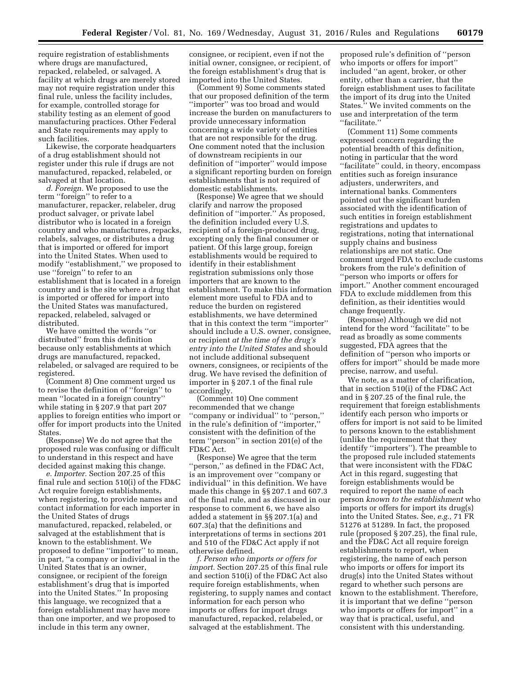require registration of establishments where drugs are manufactured, repacked, relabeled, or salvaged. A facility at which drugs are merely stored may not require registration under this final rule, unless the facility includes, for example, controlled storage for stability testing as an element of good manufacturing practices. Other Federal and State requirements may apply to such facilities.

Likewise, the corporate headquarters of a drug establishment should not register under this rule if drugs are not manufactured, repacked, relabeled, or salvaged at that location.

*d. Foreign.* We proposed to use the term ''foreign'' to refer to a manufacturer, repacker, relabeler, drug product salvager, or private label distributor who is located in a foreign country and who manufactures, repacks, relabels, salvages, or distributes a drug that is imported or offered for import into the United States. When used to modify ''establishment,'' we proposed to use ''foreign'' to refer to an establishment that is located in a foreign country and is the site where a drug that is imported or offered for import into the United States was manufactured, repacked, relabeled, salvaged or distributed.

We have omitted the words ''or distributed'' from this definition because only establishments at which drugs are manufactured, repacked, relabeled, or salvaged are required to be registered.

(Comment 8) One comment urged us to revise the definition of ''foreign'' to mean ''located in a foreign country'' while stating in § 207.9 that part 207 applies to foreign entities who import or offer for import products into the United States.

(Response) We do not agree that the proposed rule was confusing or difficult to understand in this respect and have decided against making this change.

*e. Importer.* Section 207.25 of this final rule and section 510(i) of the FD&C Act require foreign establishments, when registering, to provide names and contact information for each importer in the United States of drugs manufactured, repacked, relabeled, or salvaged at the establishment that is known to the establishment. We proposed to define ''importer'' to mean, in part, ''a company or individual in the United States that is an owner, consignee, or recipient of the foreign establishment's drug that is imported into the United States.'' In proposing this language, we recognized that a foreign establishment may have more than one importer, and we proposed to include in this term any owner,

consignee, or recipient, even if not the initial owner, consignee, or recipient, of the foreign establishment's drug that is imported into the United States.

(Comment 9) Some comments stated that our proposed definition of the term ''importer'' was too broad and would increase the burden on manufacturers to provide unnecessary information concerning a wide variety of entities that are not responsible for the drug. One comment noted that the inclusion of downstream recipients in our definition of ''importer'' would impose a significant reporting burden on foreign establishments that is not required of domestic establishments.

(Response) We agree that we should clarify and narrow the proposed definition of ''importer.'' As proposed, the definition included every U.S. recipient of a foreign-produced drug, excepting only the final consumer or patient. Of this large group, foreign establishments would be required to identify in their establishment registration submissions only those importers that are known to the establishment. To make this information element more useful to FDA and to reduce the burden on registered establishments, we have determined that in this context the term ''importer'' should include a U.S. owner, consignee, or recipient *at the time of the drug's entry into the United States* and should not include additional subsequent owners, consignees, or recipients of the drug. We have revised the definition of importer in § 207.1 of the final rule accordingly.

(Comment 10) One comment recommended that we change ''company or individual'' to ''person,'' in the rule's definition of ''importer,'' consistent with the definition of the term ''person'' in section 201(e) of the FD&C Act.

(Response) We agree that the term ''person,'' as defined in the FD&C Act, is an improvement over ''company or individual'' in this definition. We have made this change in §§ 207.1 and 607.3 of the final rule, and as discussed in our response to comment 6, we have also added a statement in §§ 207.1(a) and 607.3(a) that the definitions and interpretations of terms in sections 201 and 510 of the FD&C Act apply if not otherwise defined.

*f. Person who imports or offers for import.* Section 207.25 of this final rule and section 510(i) of the FD&C Act also require foreign establishments, when registering, to supply names and contact information for each person who imports or offers for import drugs manufactured, repacked, relabeled, or salvaged at the establishment. The

proposed rule's definition of ''person who imports or offers for import'' included ''an agent, broker, or other entity, other than a carrier, that the foreign establishment uses to facilitate the import of its drug into the United States.'' We invited comments on the use and interpretation of the term ''facilitate.''

(Comment 11) Some comments expressed concern regarding the potential breadth of this definition, noting in particular that the word "facilitate" could, in theory, encompass entities such as foreign insurance adjusters, underwriters, and international banks. Commenters pointed out the significant burden associated with the identification of such entities in foreign establishment registrations and updates to registrations, noting that international supply chains and business relationships are not static. One comment urged FDA to exclude customs brokers from the rule's definition of ''person who imports or offers for import.'' Another comment encouraged FDA to exclude middlemen from this definition, as their identities would change frequently.

(Response) Although we did not intend for the word ''facilitate'' to be read as broadly as some comments suggested, FDA agrees that the definition of ''person who imports or offers for import'' should be made more precise, narrow, and useful.

We note, as a matter of clarification, that in section 510(i) of the FD&C Act and in § 207.25 of the final rule, the requirement that foreign establishments identify each person who imports or offers for import is not said to be limited to persons known to the establishment (unlike the requirement that they identify ''importers''). The preamble to the proposed rule included statements that were inconsistent with the FD&C Act in this regard, suggesting that foreign establishments would be required to report the name of each person *known to the establishment* who imports or offers for import its drug(s) into the United States. See, *e.g.,* 71 FR 51276 at 51289. In fact, the proposed rule (proposed § 207.25), the final rule, and the FD&C Act all require foreign establishments to report, when registering, the name of each person who imports or offers for import its drug(s) into the United States without regard to whether such persons are known to the establishment. Therefore, it is important that we define ''person who imports or offers for import'' in a way that is practical, useful, and consistent with this understanding.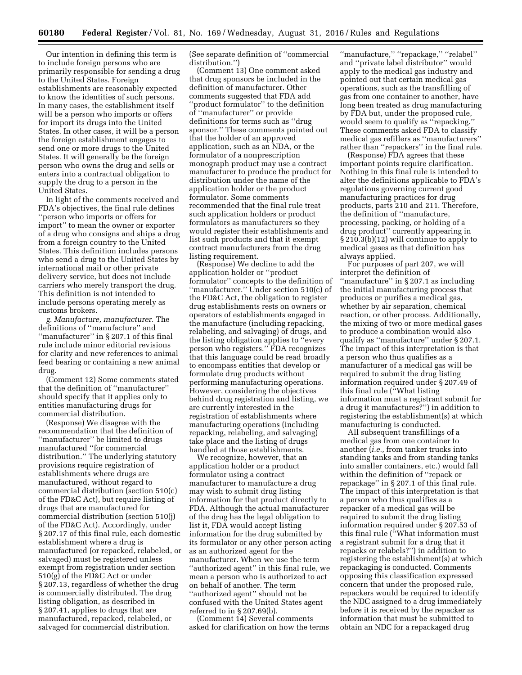Our intention in defining this term is to include foreign persons who are primarily responsible for sending a drug to the United States. Foreign establishments are reasonably expected to know the identities of such persons. In many cases, the establishment itself will be a person who imports or offers for import its drugs into the United States. In other cases, it will be a person the foreign establishment engages to send one or more drugs to the United States. It will generally be the foreign person who owns the drug and sells or enters into a contractual obligation to supply the drug to a person in the United States.

In light of the comments received and FDA's objectives, the final rule defines ''person who imports or offers for import'' to mean the owner or exporter of a drug who consigns and ships a drug from a foreign country to the United States. This definition includes persons who send a drug to the United States by international mail or other private delivery service, but does not include carriers who merely transport the drug. This definition is not intended to include persons operating merely as customs brokers.

*g. Manufacture, manufacturer.* The definitions of ''manufacture'' and ''manufacturer'' in § 207.1 of this final rule include minor editorial revisions for clarity and new references to animal feed bearing or containing a new animal drug.

(Comment 12) Some comments stated that the definition of ''manufacturer'' should specify that it applies only to entities manufacturing drugs for commercial distribution.

(Response) We disagree with the recommendation that the definition of ''manufacturer'' be limited to drugs manufactured ''for commercial distribution.'' The underlying statutory provisions require registration of establishments where drugs are manufactured, without regard to commercial distribution (section 510(c) of the FD&C Act), but require listing of drugs that are manufactured for commercial distribution (section 510(j) of the FD&C Act). Accordingly, under § 207.17 of this final rule, each domestic establishment where a drug is manufactured (or repacked, relabeled, or salvaged) must be registered unless exempt from registration under section 510(g) of the FD&C Act or under § 207.13, regardless of whether the drug is commercially distributed. The drug listing obligation, as described in § 207.41, applies to drugs that are manufactured, repacked, relabeled, or salvaged for commercial distribution.

(See separate definition of ''commercial distribution.'')

(Comment 13) One comment asked that drug sponsors be included in the definition of manufacturer. Other comments suggested that FDA add ''product formulator'' to the definition of ''manufacturer'' or provide definitions for terms such as ''drug sponsor.'' These comments pointed out that the holder of an approved application, such as an NDA, or the formulator of a nonprescription monograph product may use a contract manufacturer to produce the product for distribution under the name of the application holder or the product formulator. Some comments recommended that the final rule treat such application holders or product formulators as manufacturers so they would register their establishments and list such products and that it exempt contract manufacturers from the drug listing requirement.

(Response) We decline to add the application holder or ''product formulator'' concepts to the definition of ''manufacturer.'' Under section 510(c) of the FD&C Act, the obligation to register drug establishments rests on owners or operators of establishments engaged in the manufacture (including repacking, relabeling, and salvaging) of drugs, and the listing obligation applies to ''every person who registers.'' FDA recognizes that this language could be read broadly to encompass entities that develop or formulate drug products without performing manufacturing operations. However, considering the objectives behind drug registration and listing, we are currently interested in the registration of establishments where manufacturing operations (including repacking, relabeling, and salvaging) take place and the listing of drugs handled at those establishments.

We recognize, however, that an application holder or a product formulator using a contract manufacturer to manufacture a drug may wish to submit drug listing information for that product directly to FDA. Although the actual manufacturer of the drug has the legal obligation to list it, FDA would accept listing information for the drug submitted by its formulator or any other person acting as an authorized agent for the manufacturer. When we use the term ''authorized agent'' in this final rule, we mean a person who is authorized to act on behalf of another. The term ''authorized agent'' should not be confused with the United States agent referred to in § 207.69(b).

(Comment 14) Several comments asked for clarification on how the terms ''manufacture,'' ''repackage,'' ''relabel'' and ''private label distributor'' would apply to the medical gas industry and pointed out that certain medical gas operations, such as the transfilling of gas from one container to another, have long been treated as drug manufacturing by FDA but, under the proposed rule, would seem to qualify as ''repacking.'' These comments asked FDA to classify medical gas refillers as ''manufacturers'' rather than ''repackers'' in the final rule.

(Response) FDA agrees that these important points require clarification. Nothing in this final rule is intended to alter the definitions applicable to FDA's regulations governing current good manufacturing practices for drug products, parts 210 and 211. Therefore, the definition of ''manufacture, processing, packing, or holding of a drug product'' currently appearing in § 210.3(b)(12) will continue to apply to medical gases as that definition has always applied.

For purposes of part 207, we will interpret the definition of ''manufacture'' in § 207.1 as including the initial manufacturing process that produces or purifies a medical gas, whether by air separation, chemical reaction, or other process. Additionally, the mixing of two or more medical gases to produce a combination would also qualify as ''manufacture'' under § 207.1. The impact of this interpretation is that a person who thus qualifies as a manufacturer of a medical gas will be required to submit the drug listing information required under § 207.49 of this final rule (''What listing information must a registrant submit for a drug it manufactures?'') in addition to registering the establishment(s) at which manufacturing is conducted.

All subsequent transfillings of a medical gas from one container to another (*i.e.,* from tanker trucks into standing tanks and from standing tanks into smaller containers, etc.) would fall within the definition of ''repack or repackage'' in § 207.1 of this final rule. The impact of this interpretation is that a person who thus qualifies as a repacker of a medical gas will be required to submit the drug listing information required under § 207.53 of this final rule (''What information must a registrant submit for a drug that it repacks or relabels?'') in addition to registering the establishment(s) at which repackaging is conducted. Comments opposing this classification expressed concern that under the proposed rule, repackers would be required to identify the NDC assigned to a drug immediately before it is received by the repacker as information that must be submitted to obtain an NDC for a repackaged drug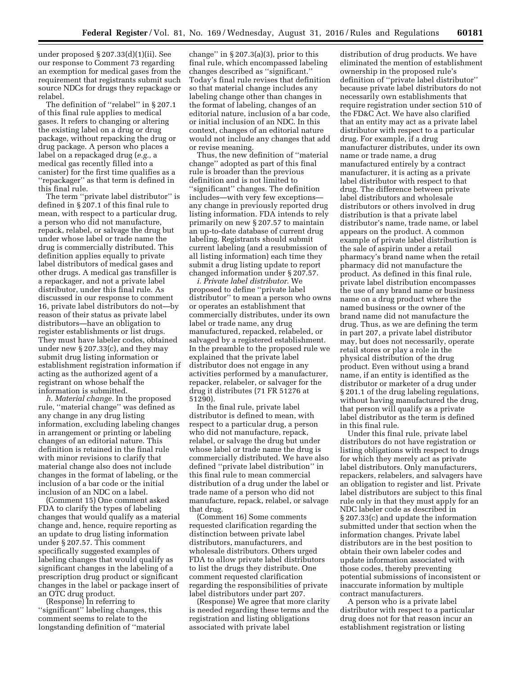under proposed § 207.33(d)(1)(ii). See our response to Comment 73 regarding an exemption for medical gases from the requirement that registrants submit such source NDCs for drugs they repackage or relabel.

The definition of ''relabel'' in § 207.1 of this final rule applies to medical gases. It refers to changing or altering the existing label on a drug or drug package, without repacking the drug or drug package. A person who places a label on a repackaged drug (*e.g.,* a medical gas recently filled into a canister) for the first time qualifies as a ''repackager'' as that term is defined in this final rule.

The term ''private label distributor'' is defined in § 207.1 of this final rule to mean, with respect to a particular drug, a person who did not manufacture, repack, relabel, or salvage the drug but under whose label or trade name the drug is commercially distributed. This definition applies equally to private label distributors of medical gases and other drugs. A medical gas transfiller is a repackager, and not a private label distributor, under this final rule. As discussed in our response to comment 16, private label distributors do not—by reason of their status as private label distributors—have an obligation to register establishments or list drugs. They must have labeler codes, obtained under new § 207.33(c), and they may submit drug listing information or establishment registration information if acting as the authorized agent of a registrant on whose behalf the information is submitted.

*h. Material change.* In the proposed rule, ''material change'' was defined as any change in any drug listing information, excluding labeling changes in arrangement or printing or labeling changes of an editorial nature. This definition is retained in the final rule with minor revisions to clarify that material change also does not include changes in the format of labeling, or the inclusion of a bar code or the initial inclusion of an NDC on a label.

(Comment 15) One comment asked FDA to clarify the types of labeling changes that would qualify as a material change and, hence, require reporting as an update to drug listing information under § 207.57. This comment specifically suggested examples of labeling changes that would qualify as significant changes in the labeling of a prescription drug product or significant changes in the label or package insert of an OTC drug product.

(Response) In referring to ''significant'' labeling changes, this comment seems to relate to the longstanding definition of ''material

change" in  $\S 207.3(a)(3)$ , prior to this final rule, which encompassed labeling changes described as ''significant.'' Today's final rule revises that definition so that material change includes any labeling change other than changes in the format of labeling, changes of an editorial nature, inclusion of a bar code, or initial inclusion of an NDC. In this context, changes of an editorial nature would not include any changes that add or revise meaning.

Thus, the new definition of ''material change'' adopted as part of this final rule is broader than the previous definition and is not limited to ''significant'' changes. The definition includes—with very few exceptions any change in previously reported drug listing information. FDA intends to rely primarily on new § 207.57 to maintain an up-to-date database of current drug labeling. Registrants should submit current labeling (and a resubmission of all listing information) each time they submit a drug listing update to report changed information under § 207.57.

*i. Private label distributor.* We proposed to define ''private label distributor'' to mean a person who owns or operates an establishment that commercially distributes, under its own label or trade name, any drug manufactured, repacked, relabeled, or salvaged by a registered establishment. In the preamble to the proposed rule we explained that the private label distributor does not engage in any activities performed by a manufacturer, repacker, relabeler, or salvager for the drug it distributes (71 FR 51276 at 51290).

In the final rule, private label distributor is defined to mean, with respect to a particular drug, a person who did not manufacture, repack, relabel, or salvage the drug but under whose label or trade name the drug is commercially distributed. We have also defined ''private label distribution'' in this final rule to mean commercial distribution of a drug under the label or trade name of a person who did not manufacture, repack, relabel, or salvage that drug.

(Comment 16) Some comments requested clarification regarding the distinction between private label distributors, manufacturers, and wholesale distributors. Others urged FDA to allow private label distributors to list the drugs they distribute. One comment requested clarification regarding the responsibilities of private label distributors under part 207.

(Response) We agree that more clarity is needed regarding these terms and the registration and listing obligations associated with private label

distribution of drug products. We have eliminated the mention of establishment ownership in the proposed rule's definition of ''private label distributor'' because private label distributors do not necessarily own establishments that require registration under section 510 of the FD&C Act. We have also clarified that an entity may act as a private label distributor with respect to a particular drug. For example, if a drug manufacturer distributes, under its own name or trade name, a drug manufactured entirely by a contract manufacturer, it is acting as a private label distributor with respect to that drug. The difference between private label distributors and wholesale distributors or others involved in drug distribution is that a private label distributor's name, trade name, or label appears on the product. A common example of private label distribution is the sale of aspirin under a retail pharmacy's brand name when the retail pharmacy did not manufacture the product. As defined in this final rule, private label distribution encompasses the use of any brand name or business name on a drug product where the named business or the owner of the brand name did not manufacture the drug. Thus, as we are defining the term in part 207, a private label distributor may, but does not necessarily, operate retail stores or play a role in the physical distribution of the drug product. Even without using a brand name, if an entity is identified as the distributor or marketer of a drug under § 201.1 of the drug labeling regulations, without having manufactured the drug, that person will qualify as a private label distributor as the term is defined in this final rule.

Under this final rule, private label distributors do not have registration or listing obligations with respect to drugs for which they merely act as private label distributors. Only manufacturers, repackers, relabelers, and salvagers have an obligation to register and list. Private label distributors are subject to this final rule only in that they must apply for an NDC labeler code as described in § 207.33(c) and update the information submitted under that section when the information changes. Private label distributors are in the best position to obtain their own labeler codes and update information associated with those codes, thereby preventing potential submissions of inconsistent or inaccurate information by multiple contract manufacturers.

A person who is a private label distributor with respect to a particular drug does not for that reason incur an establishment registration or listing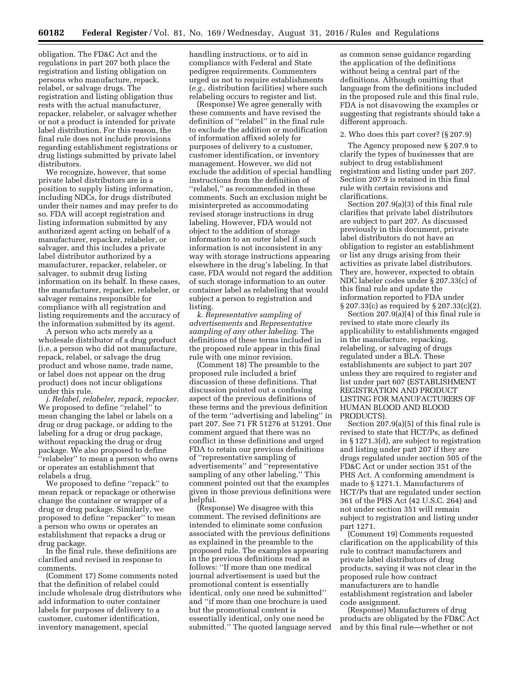obligation. The FD&C Act and the regulations in part 207 both place the registration and listing obligation on persons who manufacture, repack, relabel, or salvage drugs. The registration and listing obligation thus rests with the actual manufacturer, repacker, relabeler, or salvager whether or not a product is intended for private label distribution. For this reason, the final rule does not include provisions regarding establishment registrations or drug listings submitted by private label distributors.

We recognize, however, that some private label distributors are in a position to supply listing information, including NDCs, for drugs distributed under their names and may prefer to do so. FDA will accept registration and listing information submitted by any authorized agent acting on behalf of a manufacturer, repacker, relabeler, or salvager, and this includes a private label distributor authorized by a manufacturer, repacker, relabeler, or salvager, to submit drug listing information on its behalf. In these cases, the manufacturer, repacker, relabeler, or salvager remains responsible for compliance with all registration and listing requirements and the accuracy of the information submitted by its agent.

A person who acts merely as a wholesale distributor of a drug product (i.e, a person who did not manufacture, repack, relabel, or salvage the drug product and whose name, trade name, or label does not appear on the drug product) does not incur obligations under this rule.

*j. Relabel, relabeler, repack, repacker.*  We proposed to define ''relabel'' to mean changing the label or labels on a drug or drug package, or adding to the labeling for a drug or drug package, without repacking the drug or drug package. We also proposed to define 'relabeler'' to mean a person who owns or operates an establishment that relabels a drug.

We proposed to define ''repack'' to mean repack or repackage or otherwise change the container or wrapper of a drug or drug package. Similarly, we proposed to define ''repacker'' to mean a person who owns or operates an establishment that repacks a drug or drug package.

In the final rule, these definitions are clarified and revised in response to comments.

(Comment 17) Some comments noted that the definition of relabel could include wholesale drug distributors who add information to outer container labels for purposes of delivery to a customer, customer identification, inventory management, special

handling instructions, or to aid in compliance with Federal and State pedigree requirements. Commenters urged us not to require establishments (*e.g.,* distribution facilities) where such relabeling occurs to register and list.

(Response) We agree generally with these comments and have revised the definition of ''relabel'' in the final rule to exclude the addition or modification of information affixed solely for purposes of delivery to a customer, customer identification, or inventory management. However, we did not exclude the addition of special handling instructions from the definition of ''relabel,'' as recommended in these comments. Such an exclusion might be misinterpreted as accommodating revised storage instructions in drug labeling. However, FDA would not object to the addition of storage information to an outer label if such information is not inconsistent in any way with storage instructions appearing elsewhere in the drug's labeling. In that case, FDA would not regard the addition of such storage information to an outer container label as relabeling that would subject a person to registration and listing.

*k. Representative sampling of advertisements* and *Representative sampling of any other labeling.* The definitions of these terms included in the proposed rule appear in this final rule with one minor revision.

(Comment 18) The preamble to the proposed rule included a brief discussion of these definitions. That discussion pointed out a confusing aspect of the previous definitions of these terms and the previous definition of the term ''advertising and labeling'' in part 207. See 71 FR 51276 at 51291. One comment argued that there was no conflict in these definitions and urged FDA to retain our previous definitions of ''representative sampling of advertisements'' and ''representative sampling of any other labeling.'' This comment pointed out that the examples given in those previous definitions were helpful.

(Response) We disagree with this comment. The revised definitions are intended to eliminate some confusion associated with the previous definitions as explained in the preamble to the proposed rule. The examples appearing in the previous definitions read as follows: ''If more than one medical journal advertisement is used but the promotional content is essentially identical, only one need be submitted'' and ''if more than one brochure is used but the promotional content is essentially identical, only one need be submitted.'' The quoted language served as common sense guidance regarding the application of the definitions without being a central part of the definitions. Although omitting that language from the definitions included in the proposed rule and this final rule, FDA is not disavowing the examples or suggesting that registrants should take a different approach.

#### 2. Who does this part cover? (§ 207.9)

The Agency proposed new § 207.9 to clarify the types of businesses that are subject to drug establishment registration and listing under part 207. Section 207.9 is retained in this final rule with certain revisions and clarifications.

Section 207.9(a)(3) of this final rule clarifies that private label distributors are subject to part 207. As discussed previously in this document, private label distributors do not have an obligation to register an establishment or list any drugs arising from their activities as private label distributors. They are, however, expected to obtain NDC labeler codes under § 207.33(c) of this final rule and update the information reported to FDA under § 207.33(c) as required by § 207.33(c)(2).

Section 207.9(a)(4) of this final rule is revised to state more clearly its applicability to establishments engaged in the manufacture, repacking, relabeling, or salvaging of drugs regulated under a BLA. These establishments are subject to part 207 unless they are required to register and list under part 607 (ESTABLISHMENT REGISTRATION AND PRODUCT LISTING FOR MANUFACTURERS OF HUMAN BLOOD AND BLOOD PRODUCTS).

Section 207.9(a)(5) of this final rule is revised to state that HCT/Ps, as defined in § 1271.3(d), are subject to registration and listing under part 207 if they are drugs regulated under section 505 of the FD&C Act or under section 351 of the PHS Act. A conforming amendment is made to § 1271.1. Manufacturers of HCT/Ps that are regulated under section 361 of the PHS Act (42 U.S.C. 264) and not under section 351 will remain subject to registration and listing under part 1271.

(Comment 19) Comments requested clarification on the applicability of this rule to contract manufacturers and private label distributors of drug products, saying it was not clear in the proposed rule how contract manufacturers are to handle establishment registration and labeler code assignment.

(Response) Manufacturers of drug products are obligated by the FD&C Act and by this final rule—whether or not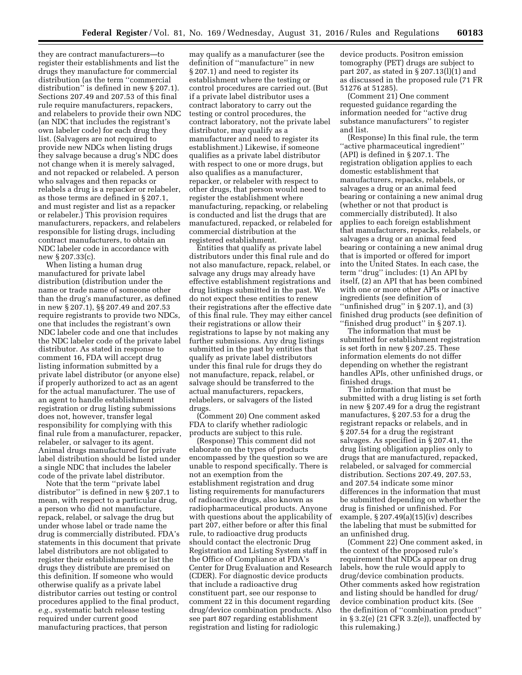they are contract manufacturers—to register their establishments and list the drugs they manufacture for commercial distribution (as the term ''commercial distribution'' is defined in new § 207.1). Sections 207.49 and 207.53 of this final rule require manufacturers, repackers, and relabelers to provide their own NDC (an NDC that includes the registrant's own labeler code) for each drug they list. (Salvagers are not required to provide new NDCs when listing drugs they salvage because a drug's NDC does not change when it is merely salvaged, and not repacked or relabeled. A person who salvages and then repacks or relabels a drug is a repacker or relabeler, as those terms are defined in § 207.1, and must register and list as a repacker or relabeler.) This provision requires manufacturers, repackers, and relabelers responsible for listing drugs, including contract manufacturers, to obtain an NDC labeler code in accordance with new § 207.33(c).

When listing a human drug manufactured for private label distribution (distribution under the name or trade name of someone other than the drug's manufacturer, as defined in new § 207.1), §§ 207.49 and 207.53 require registrants to provide two NDCs, one that includes the registrant's own NDC labeler code and one that includes the NDC labeler code of the private label distributor. As stated in response to comment 16, FDA will accept drug listing information submitted by a private label distributor (or anyone else) if properly authorized to act as an agent for the actual manufacturer. The use of an agent to handle establishment registration or drug listing submissions does not, however, transfer legal responsibility for complying with this final rule from a manufacturer, repacker, relabeler, or salvager to its agent. Animal drugs manufactured for private label distribution should be listed under a single NDC that includes the labeler code of the private label distributor.

Note that the term "private label distributor'' is defined in new § 207.1 to mean, with respect to a particular drug, a person who did not manufacture, repack, relabel, or salvage the drug but under whose label or trade name the drug is commercially distributed. FDA's statements in this document that private label distributors are not obligated to register their establishments or list the drugs they distribute are premised on this definition. If someone who would otherwise qualify as a private label distributor carries out testing or control procedures applied to the final product, *e.g.,* systematic batch release testing required under current good manufacturing practices, that person

may qualify as a manufacturer (see the definition of ''manufacture'' in new § 207.1) and need to register its establishment where the testing or control procedures are carried out. (But if a private label distributor uses a contract laboratory to carry out the testing or control procedures, the contract laboratory, not the private label distributor, may qualify as a manufacturer and need to register its establishment.) Likewise, if someone qualifies as a private label distributor with respect to one or more drugs, but also qualifies as a manufacturer, repacker, or relabeler with respect to other drugs, that person would need to register the establishment where manufacturing, repacking, or relabeling is conducted and list the drugs that are manufactured, repacked, or relabeled for commercial distribution at the registered establishment.

Entities that qualify as private label distributors under this final rule and do not also manufacture, repack, relabel, or salvage any drugs may already have effective establishment registrations and drug listings submitted in the past. We do not expect these entities to renew their registrations after the effective date of this final rule. They may either cancel their registrations or allow their registrations to lapse by not making any further submissions. Any drug listings submitted in the past by entities that qualify as private label distributors under this final rule for drugs they do not manufacture, repack, relabel, or salvage should be transferred to the actual manufacturers, repackers, relabelers, or salvagers of the listed drugs.

(Comment 20) One comment asked FDA to clarify whether radiologic products are subject to this rule.

(Response) This comment did not elaborate on the types of products encompassed by the question so we are unable to respond specifically. There is not an exemption from the establishment registration and drug listing requirements for manufacturers of radioactive drugs, also known as radiopharmaceutical products. Anyone with questions about the applicability of part 207, either before or after this final rule, to radioactive drug products should contact the electronic Drug Registration and Listing System staff in the Office of Compliance at FDA's Center for Drug Evaluation and Research (CDER). For diagnostic device products that include a radioactive drug constituent part, see our response to comment 22 in this document regarding drug/device combination products. Also see part 807 regarding establishment registration and listing for radiologic

device products. Positron emission tomography (PET) drugs are subject to part 207, as stated in § 207.13(l)(1) and as discussed in the proposed rule (71 FR 51276 at 51285).

(Comment 21) One comment requested guidance regarding the information needed for ''active drug substance manufacturers'' to register and list.

(Response) In this final rule, the term ''active pharmaceutical ingredient'' (API) is defined in § 207.1. The registration obligation applies to each domestic establishment that manufacturers, repacks, relabels, or salvages a drug or an animal feed bearing or containing a new animal drug (whether or not that product is commercially distributed). It also applies to each foreign establishment that manufacturers, repacks, relabels, or salvages a drug or an animal feed bearing or containing a new animal drug that is imported or offered for import into the United States. In each case, the term ''drug'' includes: (1) An API by itself, (2) an API that has been combined with one or more other APIs or inactive ingredients (see definition of ''unfinished drug'' in § 207.1), and (3) finished drug products (see definition of ''finished drug product'' in § 207.1).

The information that must be submitted for establishment registration is set forth in new § 207.25. These information elements do not differ depending on whether the registrant handles APIs, other unfinished drugs, or finished drugs.

The information that must be submitted with a drug listing is set forth in new § 207.49 for a drug the registrant manufactures, § 207.53 for a drug the registrant repacks or relabels, and in § 207.54 for a drug the registrant salvages. As specified in § 207.41, the drug listing obligation applies only to drugs that are manufactured, repacked, relabeled, or salvaged for commercial distribution. Sections 207.49, 207.53, and 207.54 indicate some minor differences in the information that must be submitted depending on whether the drug is finished or unfinished. For example, § 207.49(a)(15)(iv) describes the labeling that must be submitted for an unfinished drug.

(Comment 22) One comment asked, in the context of the proposed rule's requirement that NDCs appear on drug labels, how the rule would apply to drug/device combination products. Other comments asked how registration and listing should be handled for drug/ device combination product kits. (See the definition of ''combination product'' in § 3.2(e) (21 CFR 3.2(e)), unaffected by this rulemaking.)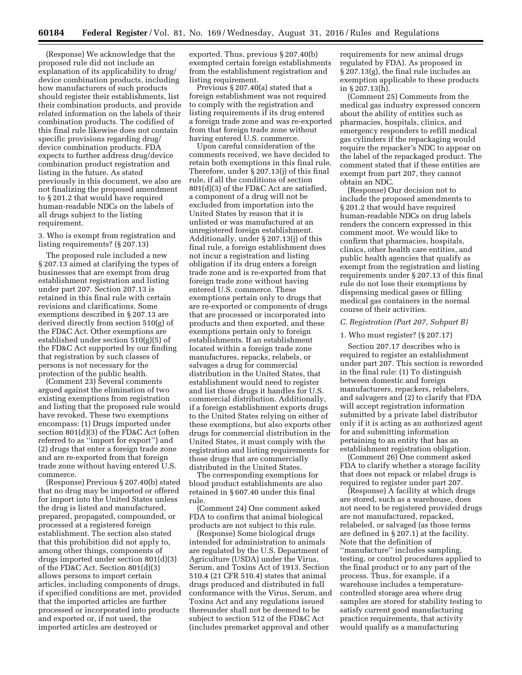(Response) We acknowledge that the proposed rule did not include an explanation of its applicability to drug/ device combination products, including how manufacturers of such products should register their establishments, list their combination products, and provide related information on the labels of their combination products. The codified of this final rule likewise does not contain specific provisions regarding drug/ device combination products. FDA expects to further address drug/device combination product registration and listing in the future. As stated previously in this document, we also are not finalizing the proposed amendment to § 201.2 that would have required human-readable NDCs on the labels of all drugs subject to the listing requirement.

3. Who is exempt from registration and listing requirements? (§ 207.13)

The proposed rule included a new § 207.13 aimed at clarifying the types of businesses that are exempt from drug establishment registration and listing under part 207. Section 207.13 is retained in this final rule with certain revisions and clarifications. Some exemptions described in § 207.13 are derived directly from section 510(g) of the FD&C Act. Other exemptions are established under section 510(g)(5) of the FD&C Act supported by our finding that registration by such classes of persons is not necessary for the protection of the public health.

(Comment 23) Several comments argued against the elimination of two existing exemptions from registration and listing that the proposed rule would have revoked. These two exemptions encompass: (1) Drugs imported under section 801(d)(3) of the FD&C Act (often referred to as ''import for export'') and (2) drugs that enter a foreign trade zone and are re-exported from that foreign trade zone without having entered U.S. commerce.

(Response) Previous § 207.40(b) stated that no drug may be imported or offered for import into the United States unless the drug is listed and manufactured, prepared, propagated, compounded, or processed at a registered foreign establishment. The section also stated that this prohibition did not apply to, among other things, components of drugs imported under section 801(d)(3) of the FD&C Act. Section 801(d)(3) allows persons to import certain articles, including components of drugs, if specified conditions are met, provided that the imported articles are further processed or incorporated into products and exported or, if not used, the imported articles are destroyed or

exported. Thus, previous § 207.40(b) exempted certain foreign establishments from the establishment registration and listing requirement.

Previous § 207.40(a) stated that a foreign establishment was not required to comply with the registration and listing requirements if its drug entered a foreign trade zone and was re-exported from that foreign trade zone without having entered U.S. commerce.

Upon careful consideration of the comments received, we have decided to retain both exemptions in this final rule. Therefore, under § 207.13(j) of this final rule, if all the conditions of section 801(d)(3) of the FD&C Act are satisfied, a component of a drug will not be excluded from importation into the United States by reason that it is unlisted or was manufactured at an unregistered foreign establishment. Additionally, under § 207.13(j) of this final rule, a foreign establishment does not incur a registration and listing obligation if its drug enters a foreign trade zone and is re-exported from that foreign trade zone without having entered U.S. commerce. These exemptions pertain only to drugs that are re-exported or components of drugs that are processed or incorporated into products and then exported, and these exemptions pertain only to foreign establishments. If an establishment located within a foreign trade zone manufactures, repacks, relabels, or salvages a drug for commercial distribution in the United States, that establishment would need to register and list those drugs it handles for U.S. commercial distribution. Additionally, if a foreign establishment exports drugs to the United States relying on either of these exemptions, but also exports other drugs for commercial distribution in the United States, it must comply with the registration and listing requirements for those drugs that are commercially distributed in the United States.

The corresponding exemptions for blood product establishments are also retained in § 607.40 under this final rule.

(Comment 24) One comment asked FDA to confirm that animal biological products are not subject to this rule.

(Response) Some biological drugs intended for administration to animals are regulated by the U.S. Department of Agriculture (USDA) under the Virus, Serum, and Toxins Act of 1913. Section 510.4 (21 CFR 510.4) states that animal drugs produced and distributed in full conformance with the Virus, Serum, and Toxins Act and any regulations issued thereunder shall not be deemed to be subject to section 512 of the FD&C Act (includes premarket approval and other

requirements for new animal drugs regulated by FDA). As proposed in § 207.13(g), the final rule includes an exemption applicable to these products in § 207.13(h).

(Comment 25) Comments from the medical gas industry expressed concern about the ability of entities such as pharmacies, hospitals, clinics, and emergency responders to refill medical gas cylinders if the repackaging would require the repacker's NDC to appear on the label of the repackaged product. The comment stated that if these entities are exempt from part 207, they cannot obtain an NDC.

(Response) Our decision not to include the proposed amendments to § 201.2 that would have required human-readable NDCs on drug labels renders the concern expressed in this comment moot. We would like to confirm that pharmacies, hospitals, clinics, other health care entities, and public health agencies that qualify as exempt from the registration and listing requirements under § 207.13 of this final rule do not lose their exemptions by dispensing medical gases or filling medical gas containers in the normal course of their activities.

## *C. Registration (Part 207, Subpart B)*

#### 1. Who must register? (§ 207.17)

Section 207.17 describes who is required to register an establishment under part 207. This section is reworded in the final rule: (1) To distinguish between domestic and foreign manufacturers, repackers, relabelers, and salvagers and (2) to clarify that FDA will accept registration information submitted by a private label distributor only if it is acting as an authorized agent for and submitting information pertaining to an entity that has an establishment registration obligation.

(Comment 26) One comment asked FDA to clarify whether a storage facility that does not repack or relabel drugs is required to register under part 207.

(Response) A facility at which drugs are stored, such as a warehouse, does not need to be registered provided drugs are not manufactured, repacked, relabeled, or salvaged (as those terms are defined in § 207.1) at the facility. Note that the definition of ''manufacture'' includes sampling, testing, or control procedures applied to the final product or to any part of the process. Thus, for example, if a warehouse includes a temperaturecontrolled storage area where drug samples are stored for stability testing to satisfy current good manufacturing practice requirements, that activity would qualify as a manufacturing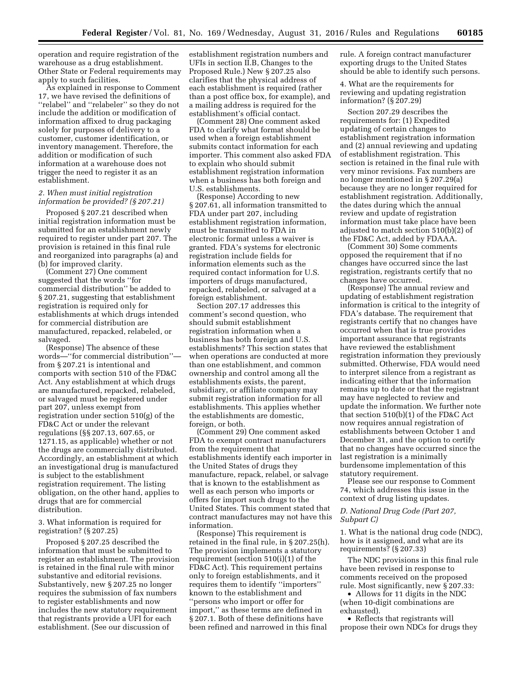operation and require registration of the warehouse as a drug establishment. Other State or Federal requirements may apply to such facilities.

As explained in response to Comment 17, we have revised the definitions of ''relabel'' and ''relabeler'' so they do not include the addition or modification of information affixed to drug packaging solely for purposes of delivery to a customer, customer identification, or inventory management. Therefore, the addition or modification of such information at a warehouse does not trigger the need to register it as an establishment.

## *2. When must initial registration information be provided? (§ 207.21)*

Proposed § 207.21 described when initial registration information must be submitted for an establishment newly required to register under part 207. The provision is retained in this final rule and reorganized into paragraphs (a) and (b) for improved clarity.

(Comment 27) One comment suggested that the words ''for commercial distribution'' be added to § 207.21, suggesting that establishment registration is required only for establishments at which drugs intended for commercial distribution are manufactured, repacked, relabeled, or salvaged.

(Response) The absence of these words—''for commercial distribution'' from § 207.21 is intentional and comports with section 510 of the FD&C Act. Any establishment at which drugs are manufactured, repacked, relabeled, or salvaged must be registered under part 207, unless exempt from registration under section 510(g) of the FD&C Act or under the relevant regulations (§§ 207.13, 607.65, or 1271.15, as applicable) whether or not the drugs are commercially distributed. Accordingly, an establishment at which an investigational drug is manufactured is subject to the establishment registration requirement. The listing obligation, on the other hand, applies to drugs that are for commercial distribution.

3. What information is required for registration? (§ 207.25)

Proposed § 207.25 described the information that must be submitted to register an establishment. The provision is retained in the final rule with minor substantive and editorial revisions. Substantively, new § 207.25 no longer requires the submission of fax numbers to register establishments and now includes the new statutory requirement that registrants provide a UFI for each establishment. (See our discussion of

establishment registration numbers and UFIs in section II.B, Changes to the Proposed Rule.) New § 207.25 also clarifies that the physical address of each establishment is required (rather than a post office box, for example), and a mailing address is required for the establishment's official contact.

(Comment 28) One comment asked FDA to clarify what format should be used when a foreign establishment submits contact information for each importer. This comment also asked FDA to explain who should submit establishment registration information when a business has both foreign and U.S. establishments.

(Response) According to new § 207.61, all information transmitted to FDA under part 207, including establishment registration information, must be transmitted to FDA in electronic format unless a waiver is granted. FDA's systems for electronic registration include fields for information elements such as the required contact information for U.S. importers of drugs manufactured, repacked, relabeled, or salvaged at a foreign establishment.

Section 207.17 addresses this comment's second question, who should submit establishment registration information when a business has both foreign and U.S. establishments? This section states that when operations are conducted at more than one establishment, and common ownership and control among all the establishments exists, the parent, subsidiary, or affiliate company may submit registration information for all establishments. This applies whether the establishments are domestic, foreign, or both.

(Comment 29) One comment asked FDA to exempt contract manufacturers from the requirement that establishments identify each importer in the United States of drugs they manufacture, repack, relabel, or salvage that is known to the establishment as well as each person who imports or offers for import such drugs to the United States. This comment stated that contract manufactures may not have this information.

(Response) This requirement is retained in the final rule, in § 207.25(h). The provision implements a statutory requirement (section 510(i)(1) of the FD&C Act). This requirement pertains only to foreign establishments, and it requires them to identify ''importers'' known to the establishment and ''persons who import or offer for import,'' as these terms are defined in § 207.1. Both of these definitions have been refined and narrowed in this final

rule. A foreign contract manufacturer exporting drugs to the United States should be able to identify such persons.

4. What are the requirements for reviewing and updating registration information? (§ 207.29)

Section 207.29 describes the requirements for: (1) Expedited updating of certain changes to establishment registration information and (2) annual reviewing and updating of establishment registration. This section is retained in the final rule with very minor revisions. Fax numbers are no longer mentioned in § 207.29(a) because they are no longer required for establishment registration. Additionally, the dates during which the annual review and update of registration information must take place have been adjusted to match section 510(b)(2) of the FD&C Act, added by FDAAA.

(Comment 30) Some comments opposed the requirement that if no changes have occurred since the last registration, registrants certify that no changes have occurred.

(Response) The annual review and updating of establishment registration information is critical to the integrity of FDA's database. The requirement that registrants certify that no changes have occurred when that is true provides important assurance that registrants have reviewed the establishment registration information they previously submitted. Otherwise, FDA would need to interpret silence from a registrant as indicating either that the information remains up to date or that the registrant may have neglected to review and update the information. We further note that section 510(b)(1) of the FD&C Act now requires annual registration of establishments between October 1 and December 31, and the option to certify that no changes have occurred since the last registration is a minimally burdensome implementation of this statutory requirement.

Please see our response to Comment 74, which addresses this issue in the context of drug listing updates.

## *D. National Drug Code (Part 207, Subpart C)*

1. What is the national drug code (NDC), how is it assigned, and what are its requirements? (§ 207.33)

The NDC provisions in this final rule have been revised in response to comments received on the proposed rule. Most significantly, new § 207.33:

• Allows for 11 digits in the NDC (when 10-digit combinations are exhausted).

• Reflects that registrants will propose their own NDCs for drugs they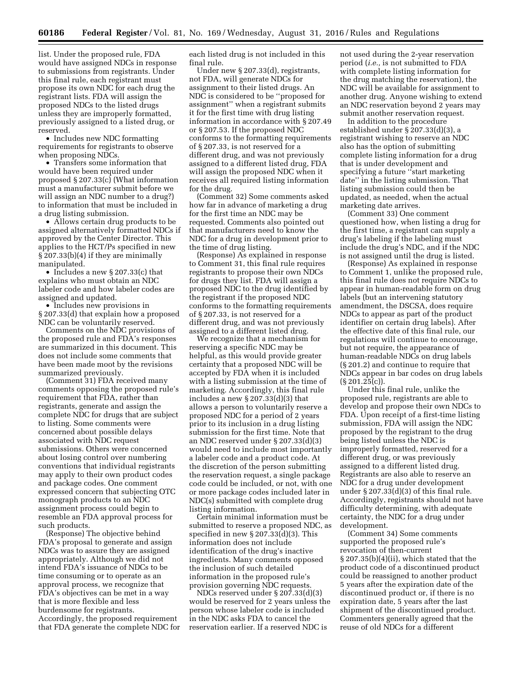list. Under the proposed rule, FDA would have assigned NDCs in response to submissions from registrants. Under this final rule, each registrant must propose its own NDC for each drug the registrant lists. FDA will assign the proposed NDCs to the listed drugs unless they are improperly formatted, previously assigned to a listed drug, or reserved.

• Includes new NDC formatting requirements for registrants to observe when proposing NDCs.

• Transfers some information that would have been required under proposed § 207.33(c) (What information must a manufacturer submit before we will assign an NDC number to a drug?) to information that must be included in a drug listing submission.

• Allows certain drug products to be assigned alternatively formatted NDCs if approved by the Center Director. This applies to the HCT/Ps specified in new § 207.33(b)(4) if they are minimally manipulated.

• Includes a new § 207.33(c) that explains who must obtain an NDC labeler code and how labeler codes are assigned and updated.

• Includes new provisions in § 207.33(d) that explain how a proposed NDC can be voluntarily reserved.

Comments on the NDC provisions of the proposed rule and FDA's responses are summarized in this document. This does not include some comments that have been made moot by the revisions summarized previously.

(Comment 31) FDA received many comments opposing the proposed rule's requirement that FDA, rather than registrants, generate and assign the complete NDC for drugs that are subject to listing. Some comments were concerned about possible delays associated with NDC request submissions. Others were concerned about losing control over numbering conventions that individual registrants may apply to their own product codes and package codes. One comment expressed concern that subjecting OTC monograph products to an NDC assignment process could begin to resemble an FDA approval process for such products.

(Response) The objective behind FDA's proposal to generate and assign NDCs was to assure they are assigned appropriately. Although we did not intend FDA's issuance of NDCs to be time consuming or to operate as an approval process, we recognize that FDA's objectives can be met in a way that is more flexible and less burdensome for registrants. Accordingly, the proposed requirement that FDA generate the complete NDC for each listed drug is not included in this final rule.

Under new § 207.33(d), registrants, not FDA, will generate NDCs for assignment to their listed drugs. An NDC is considered to be ''proposed for assignment'' when a registrant submits it for the first time with drug listing information in accordance with § 207.49 or § 207.53. If the proposed NDC conforms to the formatting requirements of § 207.33, is not reserved for a different drug, and was not previously assigned to a different listed drug, FDA will assign the proposed NDC when it receives all required listing information for the drug.

(Comment 32) Some comments asked how far in advance of marketing a drug for the first time an NDC may be requested. Comments also pointed out that manufacturers need to know the NDC for a drug in development prior to the time of drug listing.

(Response) As explained in response to Comment 31, this final rule requires registrants to propose their own NDCs for drugs they list. FDA will assign a proposed NDC to the drug identified by the registrant if the proposed NDC conforms to the formatting requirements of § 207.33, is not reserved for a different drug, and was not previously assigned to a different listed drug.

We recognize that a mechanism for reserving a specific NDC may be helpful, as this would provide greater certainty that a proposed NDC will be accepted by FDA when it is included with a listing submission at the time of marketing. Accordingly, this final rule includes a new § 207.33(d)(3) that allows a person to voluntarily reserve a proposed NDC for a period of 2 years prior to its inclusion in a drug listing submission for the first time. Note that an NDC reserved under § 207.33(d)(3) would need to include most importantly a labeler code and a product code. At the discretion of the person submitting the reservation request, a single package code could be included, or not, with one or more package codes included later in NDC(s) submitted with complete drug listing information.

Certain minimal information must be submitted to reserve a proposed NDC, as specified in new § 207.33(d)(3). This information does not include identification of the drug's inactive ingredients. Many comments opposed the inclusion of such detailed information in the proposed rule's provision governing NDC requests.

NDCs reserved under § 207.33(d)(3) would be reserved for 2 years unless the person whose labeler code is included in the NDC asks FDA to cancel the reservation earlier. If a reserved NDC is

not used during the 2-year reservation period (*i.e.,* is not submitted to FDA with complete listing information for the drug matching the reservation), the NDC will be available for assignment to another drug. Anyone wishing to extend an NDC reservation beyond 2 years may submit another reservation request.

In addition to the procedure established under § 207.33(d)(3), a registrant wishing to reserve an NDC also has the option of submitting complete listing information for a drug that is under development and specifying a future ''start marketing date'' in the listing submission. That listing submission could then be updated, as needed, when the actual marketing date arrives.

(Comment 33) One comment questioned how, when listing a drug for the first time, a registrant can supply a drug's labeling if the labeling must include the drug's NDC, and if the NDC is not assigned until the drug is listed.

(Response) As explained in response to Comment 1, unlike the proposed rule, this final rule does not require NDCs to appear in human-readable form on drug labels (but an intervening statutory amendment, the DSCSA, does require NDCs to appear as part of the product identifier on certain drug labels). After the effective date of this final rule, our regulations will continue to encourage, but not require, the appearance of human-readable NDCs on drug labels (§ 201.2) and continue to require that NDCs appear in bar codes on drug labels (§ 201.25(c)).

Under this final rule, unlike the proposed rule, registrants are able to develop and propose their own NDCs to FDA. Upon receipt of a first-time listing submission, FDA will assign the NDC proposed by the registrant to the drug being listed unless the NDC is improperly formatted, reserved for a different drug, or was previously assigned to a different listed drug. Registrants are also able to reserve an NDC for a drug under development under § 207.33(d)(3) of this final rule. Accordingly, registrants should not have difficulty determining, with adequate certainty, the NDC for a drug under development.

(Comment 34) Some comments supported the proposed rule's revocation of then-current § 207.35(b)(4)(ii), which stated that the product code of a discontinued product could be reassigned to another product 5 years after the expiration date of the discontinued product or, if there is no expiration date, 5 years after the last shipment of the discontinued product. Commenters generally agreed that the reuse of old NDCs for a different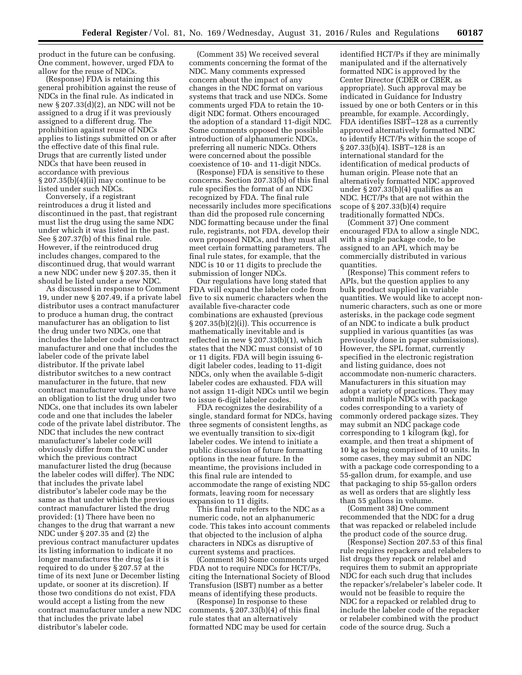product in the future can be confusing. One comment, however, urged FDA to allow for the reuse of NDCs.

(Response) FDA is retaining this general prohibition against the reuse of NDCs in the final rule. As indicated in new § 207.33(d)(2), an NDC will not be assigned to a drug if it was previously assigned to a different drug. The prohibition against reuse of NDCs applies to listings submitted on or after the effective date of this final rule. Drugs that are currently listed under NDCs that have been reused in accordance with previous § 207.35(b)(4)(ii) may continue to be listed under such NDCs.

Conversely, if a registrant reintroduces a drug it listed and discontinued in the past, that registrant must list the drug using the same NDC under which it was listed in the past. See § 207.37(b) of this final rule. However, if the reintroduced drug includes changes, compared to the discontinued drug, that would warrant a new NDC under new § 207.35, then it should be listed under a new NDC.

As discussed in response to Comment 19, under new § 207.49, if a private label distributor uses a contract manufacturer to produce a human drug, the contract manufacturer has an obligation to list the drug under two NDCs, one that includes the labeler code of the contract manufacturer and one that includes the labeler code of the private label distributor. If the private label distributor switches to a new contract manufacturer in the future, that new contract manufacturer would also have an obligation to list the drug under two NDCs, one that includes its own labeler code and one that includes the labeler code of the private label distributor. The NDC that includes the new contract manufacturer's labeler code will obviously differ from the NDC under which the previous contract manufacturer listed the drug (because the labeler codes will differ). The NDC that includes the private label distributor's labeler code may be the same as that under which the previous contract manufacturer listed the drug provided: (1) There have been no changes to the drug that warrant a new NDC under § 207.35 and (2) the previous contract manufacturer updates its listing information to indicate it no longer manufactures the drug (as it is required to do under § 207.57 at the time of its next June or December listing update, or sooner at its discretion). If those two conditions do not exist, FDA would accept a listing from the new contract manufacturer under a new NDC that includes the private label distributor's labeler code.

(Comment 35) We received several comments concerning the format of the NDC. Many comments expressed concern about the impact of any changes in the NDC format on various systems that track and use NDCs. Some comments urged FDA to retain the 10 digit NDC format. Others encouraged the adoption of a standard 11-digit NDC. Some comments opposed the possible introduction of alphanumeric NDCs, preferring all numeric NDCs. Others were concerned about the possible coexistence of 10- and 11-digit NDCs.

(Response) FDA is sensitive to these concerns. Section 207.33(b) of this final rule specifies the format of an NDC recognized by FDA. The final rule necessarily includes more specifications than did the proposed rule concerning NDC formatting because under the final rule, registrants, not FDA, develop their own proposed NDCs, and they must all meet certain formatting parameters. The final rule states, for example, that the NDC is 10 or 11 digits to preclude the submission of longer NDCs.

Our regulations have long stated that FDA will expand the labeler code from five to six numeric characters when the available five-character code combinations are exhausted (previous § 207.35(b)(2)(i)). This occurrence is mathematically inevitable and is reflected in new § 207.33(b)(1), which states that the NDC must consist of 10 or 11 digits. FDA will begin issuing 6 digit labeler codes, leading to 11-digit NDCs, only when the available 5-digit labeler codes are exhausted. FDA will not assign 11-digit NDCs until we begin to issue 6-digit labeler codes.

FDA recognizes the desirability of a single, standard format for NDCs, having three segments of consistent lengths, as we eventually transition to six-digit labeler codes. We intend to initiate a public discussion of future formatting options in the near future. In the meantime, the provisions included in this final rule are intended to accommodate the range of existing NDC formats, leaving room for necessary expansion to 11 digits.

This final rule refers to the NDC as a numeric code, not an alphanumeric code. This takes into account comments that objected to the inclusion of alpha characters in NDCs as disruptive of current systems and practices.

(Comment 36) Some comments urged FDA not to require NDCs for HCT/Ps, citing the International Society of Blood Transfusion (ISBT) number as a better means of identifying these products.

(Response) In response to these comments,  $\S 207.33(b)(4)$  of this final rule states that an alternatively formatted NDC may be used for certain identified HCT/Ps if they are minimally manipulated and if the alternatively formatted NDC is approved by the Center Director (CDER or CBER, as appropriate). Such approval may be indicated in Guidance for Industry issued by one or both Centers or in this preamble, for example. Accordingly, FDA identifies ISBT–128 as a currently approved alternatively formatted NDC to identify HCT/Ps within the scope of § 207.33(b)(4). ISBT–128 is an international standard for the identification of medical products of human origin. Please note that an alternatively formatted NDC approved under § 207.33(b)(4) qualifies as an NDC. HCT/Ps that are not within the scope of  $\S 207.33(b)(4)$  require traditionally formatted NDCs.

(Comment 37) One comment encouraged FDA to allow a single NDC, with a single package code, to be assigned to an API, which may be commercially distributed in various quantities.

(Response) This comment refers to APIs, but the question applies to any bulk product supplied in variable quantities. We would like to accept nonnumeric characters, such as one or more asterisks, in the package code segment of an NDC to indicate a bulk product supplied in various quantities (as was previously done in paper submissions). However, the SPL format, currently specified in the electronic registration and listing guidance, does not accommodate non-numeric characters. Manufacturers in this situation may adopt a variety of practices. They may submit multiple NDCs with package codes corresponding to a variety of commonly ordered package sizes. They may submit an NDC package code corresponding to 1 kilogram (kg), for example, and then treat a shipment of 10 kg as being comprised of 10 units. In some cases, they may submit an NDC with a package code corresponding to a 55-gallon drum, for example, and use that packaging to ship 55-gallon orders as well as orders that are slightly less than 55 gallons in volume.

(Comment 38) One comment recommended that the NDC for a drug that was repacked or relabeled include the product code of the source drug.

(Response) Section 207.53 of this final rule requires repackers and relabelers to list drugs they repack or relabel and requires them to submit an appropriate NDC for each such drug that includes the repacker's/relabeler's labeler code. It would not be feasible to require the NDC for a repacked or relabled drug to include the labeler code of the repacker or relabeler combined with the product code of the source drug. Such a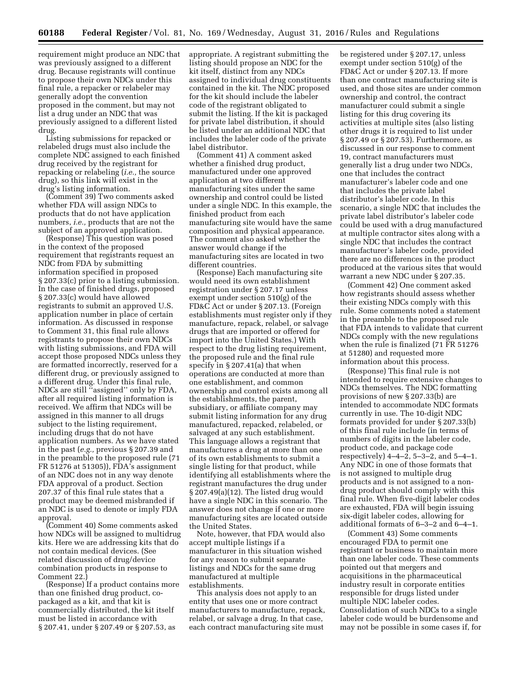requirement might produce an NDC that was previously assigned to a different drug. Because registrants will continue to propose their own NDCs under this final rule, a repacker or relabeler may generally adopt the convention proposed in the comment, but may not list a drug under an NDC that was previously assigned to a different listed drug.

Listing submissions for repacked or relabeled drugs must also include the complete NDC assigned to each finished drug received by the registrant for repacking or relabeling (*i.e.,* the source drug), so this link will exist in the drug's listing information.

(Comment 39) Two comments asked whether FDA will assign NDCs to products that do not have application numbers, *i.e.,* products that are not the subject of an approved application.

(Response) This question was posed in the context of the proposed requirement that registrants request an NDC from FDA by submitting information specified in proposed § 207.33(c) prior to a listing submission. In the case of finished drugs, proposed § 207.33(c) would have allowed registrants to submit an approved U.S. application number in place of certain information. As discussed in response to Comment 31, this final rule allows registrants to propose their own NDCs with listing submissions, and FDA will accept those proposed NDCs unless they are formatted incorrectly, reserved for a different drug, or previously assigned to a different drug. Under this final rule, NDCs are still ''assigned'' only by FDA, after all required listing information is received. We affirm that NDCs will be assigned in this manner to all drugs subject to the listing requirement, including drugs that do not have application numbers. As we have stated in the past (*e.g.,* previous § 207.39 and in the preamble to the proposed rule (71 FR 51276 at 51305)), FDA's assignment of an NDC does not in any way denote FDA approval of a product. Section 207.37 of this final rule states that a product may be deemed misbranded if an NDC is used to denote or imply FDA approval.

(Comment 40) Some comments asked how NDCs will be assigned to multidrug kits. Here we are addressing kits that do not contain medical devices. (See related discussion of drug/device combination products in response to Comment 22.)

(Response) If a product contains more than one finished drug product, copackaged as a kit, and that kit is commercially distributed, the kit itself must be listed in accordance with § 207.41, under § 207.49 or § 207.53, as

appropriate. A registrant submitting the listing should propose an NDC for the kit itself, distinct from any NDCs assigned to individual drug constituents contained in the kit. The NDC proposed for the kit should include the labeler code of the registrant obligated to submit the listing. If the kit is packaged for private label distribution, it should be listed under an additional NDC that includes the labeler code of the private label distributor.

(Comment 41) A comment asked whether a finished drug product, manufactured under one approved application at two different manufacturing sites under the same ownership and control could be listed under a single NDC. In this example, the finished product from each manufacturing site would have the same composition and physical appearance. The comment also asked whether the answer would change if the manufacturing sites are located in two different countries.

(Response) Each manufacturing site would need its own establishment registration under § 207.17 unless exempt under section 510(g) of the FD&C Act or under § 207.13. (Foreign establishments must register only if they manufacture, repack, relabel, or salvage drugs that are imported or offered for import into the United States.) With respect to the drug listing requirement, the proposed rule and the final rule specify in § 207.41(a) that when operations are conducted at more than one establishment, and common ownership and control exists among all the establishments, the parent, subsidiary, or affiliate company may submit listing information for any drug manufactured, repacked, relabeled, or salvaged at any such establishment. This language allows a registrant that manufactures a drug at more than one of its own establishments to submit a single listing for that product, while identifying all establishments where the registrant manufactures the drug under § 207.49(a)(12). The listed drug would have a single NDC in this scenario. The answer does not change if one or more manufacturing sites are located outside the United States.

Note, however, that FDA would also accept multiple listings if a manufacturer in this situation wished for any reason to submit separate listings and NDCs for the same drug manufactured at multiple establishments.

This analysis does not apply to an entity that uses one or more contract manufacturers to manufacture, repack, relabel, or salvage a drug. In that case, each contract manufacturing site must

be registered under § 207.17, unless exempt under section 510(g) of the FD&C Act or under § 207.13. If more than one contract manufacturing site is used, and those sites are under common ownership and control, the contract manufacturer could submit a single listing for this drug covering its activities at multiple sites (also listing other drugs it is required to list under § 207.49 or § 207.53). Furthermore, as discussed in our response to comment 19, contract manufacturers must generally list a drug under two NDCs, one that includes the contract manufacturer's labeler code and one that includes the private label distributor's labeler code. In this scenario, a single NDC that includes the private label distributor's labeler code could be used with a drug manufactured at multiple contractor sites along with a single NDC that includes the contract manufacturer's labeler code, provided there are no differences in the product produced at the various sites that would warrant a new NDC under § 207.35.

(Comment 42) One comment asked how registrants should assess whether their existing NDCs comply with this rule. Some comments noted a statement in the preamble to the proposed rule that FDA intends to validate that current NDCs comply with the new regulations when the rule is finalized (71 FR 51276 at 51280) and requested more information about this process.

(Response) This final rule is not intended to require extensive changes to NDCs themselves. The NDC formatting provisions of new § 207.33(b) are intended to accommodate NDC formats currently in use. The 10-digit NDC formats provided for under § 207.33(b) of this final rule include (in terms of numbers of digits in the labeler code, product code, and package code respectively)  $4-4-2$ ,  $5-3-2$ , and  $5-4-1$ . Any NDC in one of those formats that is not assigned to multiple drug products and is not assigned to a nondrug product should comply with this final rule. When five-digit labeler codes are exhausted, FDA will begin issuing six-digit labeler codes, allowing for additional formats of 6–3–2 and 6–4–1.

(Comment 43) Some comments encouraged FDA to permit one registrant or business to maintain more than one labeler code. These comments pointed out that mergers and acquisitions in the pharmaceutical industry result in corporate entities responsible for drugs listed under multiple NDC labeler codes. Consolidation of such NDCs to a single labeler code would be burdensome and may not be possible in some cases if, for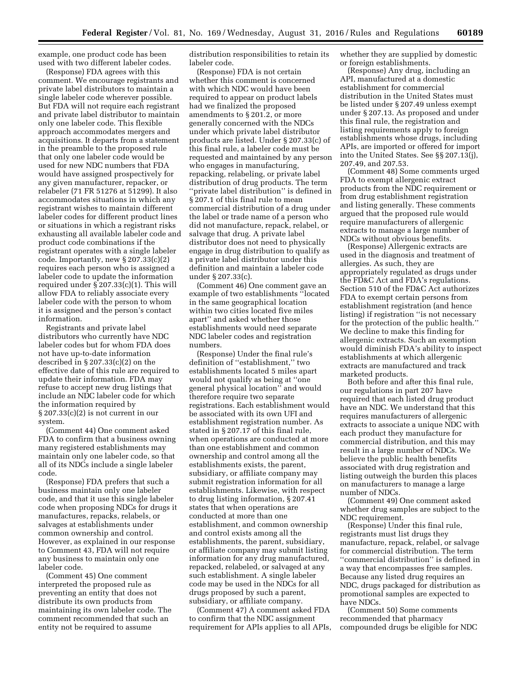example, one product code has been used with two different labeler codes.

(Response) FDA agrees with this comment. We encourage registrants and private label distributors to maintain a single labeler code wherever possible. But FDA will not require each registrant and private label distributor to maintain only one labeler code. This flexible approach accommodates mergers and acquisitions. It departs from a statement in the preamble to the proposed rule that only one labeler code would be used for new NDC numbers that FDA would have assigned prospectively for any given manufacturer, repacker, or relabeler (71 FR 51276 at 51299). It also accommodates situations in which any registrant wishes to maintain different labeler codes for different product lines or situations in which a registrant risks exhausting all available labeler code and product code combinations if the registrant operates with a single labeler code. Importantly, new § 207.33(c)(2) requires each person who is assigned a labeler code to update the information required under § 207.33(c)(1). This will allow FDA to reliably associate every labeler code with the person to whom it is assigned and the person's contact information.

Registrants and private label distributors who currently have NDC labeler codes but for whom FDA does not have up-to-date information described in § 207.33(c)(2) on the effective date of this rule are required to update their information. FDA may refuse to accept new drug listings that include an NDC labeler code for which the information required by  $\S 207.33(c)(2)$  is not current in our system.

(Comment 44) One comment asked FDA to confirm that a business owning many registered establishments may maintain only one labeler code, so that all of its NDCs include a single labeler code.

(Response) FDA prefers that such a business maintain only one labeler code, and that it use this single labeler code when proposing NDCs for drugs it manufactures, repacks, relabels, or salvages at establishments under common ownership and control. However, as explained in our response to Comment 43, FDA will not require any business to maintain only one labeler code.

(Comment 45) One comment interpreted the proposed rule as preventing an entity that does not distribute its own products from maintaining its own labeler code. The comment recommended that such an entity not be required to assume

distribution responsibilities to retain its labeler code.

(Response) FDA is not certain whether this comment is concerned with which NDC would have been required to appear on product labels had we finalized the proposed amendments to § 201.2, or more generally concerned with the NDCs under which private label distributor products are listed. Under § 207.33(c) of this final rule, a labeler code must be requested and maintained by any person who engages in manufacturing, repacking, relabeling, or private label distribution of drug products. The term ''private label distribution'' is defined in § 207.1 of this final rule to mean commercial distribution of a drug under the label or trade name of a person who did not manufacture, repack, relabel, or salvage that drug. A private label distributor does not need to physically engage in drug distribution to qualify as a private label distributor under this definition and maintain a labeler code under § 207.33(c).

(Comment 46) One comment gave an example of two establishments ''located in the same geographical location within two cities located five miles apart'' and asked whether those establishments would need separate NDC labeler codes and registration numbers.

(Response) Under the final rule's definition of ''establishment,'' two establishments located 5 miles apart would not qualify as being at ''one general physical location'' and would therefore require two separate registrations. Each establishment would be associated with its own UFI and establishment registration number. As stated in § 207.17 of this final rule, when operations are conducted at more than one establishment and common ownership and control among all the establishments exists, the parent, subsidiary, or affiliate company may submit registration information for all establishments. Likewise, with respect to drug listing information, § 207.41 states that when operations are conducted at more than one establishment, and common ownership and control exists among all the establishments, the parent, subsidiary, or affiliate company may submit listing information for any drug manufactured, repacked, relabeled, or salvaged at any such establishment. A single labeler code may be used in the NDCs for all drugs proposed by such a parent, subsidiary, or affiliate company.

(Comment 47) A comment asked FDA to confirm that the NDC assignment requirement for APIs applies to all APIs, whether they are supplied by domestic or foreign establishments.

(Response) Any drug, including an API, manufactured at a domestic establishment for commercial distribution in the United States must be listed under § 207.49 unless exempt under § 207.13. As proposed and under this final rule, the registration and listing requirements apply to foreign establishments whose drugs, including APIs, are imported or offered for import into the United States. See §§ 207.13(j), 207.49, and 207.53.

(Comment 48) Some comments urged FDA to exempt allergenic extract products from the NDC requirement or from drug establishment registration and listing generally. These comments argued that the proposed rule would require manufacturers of allergenic extracts to manage a large number of NDCs without obvious benefits.

(Response) Allergenic extracts are used in the diagnosis and treatment of allergies. As such, they are appropriately regulated as drugs under the FD&C Act and FDA's regulations. Section 510 of the FD&C Act authorizes FDA to exempt certain persons from establishment registration (and hence listing) if registration ''is not necessary for the protection of the public health.'' We decline to make this finding for allergenic extracts. Such an exemption would diminish FDA's ability to inspect establishments at which allergenic extracts are manufactured and track marketed products.

Both before and after this final rule, our regulations in part 207 have required that each listed drug product have an NDC. We understand that this requires manufacturers of allergenic extracts to associate a unique NDC with each product they manufacture for commercial distribution, and this may result in a large number of NDCs. We believe the public health benefits associated with drug registration and listing outweigh the burden this places on manufacturers to manage a large number of NDCs.

(Comment 49) One comment asked whether drug samples are subject to the NDC requirement.

(Response) Under this final rule, registrants must list drugs they manufacture, repack, relabel, or salvage for commercial distribution. The term ''commercial distribution'' is defined in a way that encompasses free samples. Because any listed drug requires an NDC, drugs packaged for distribution as promotional samples are expected to have NDCs.

(Comment 50) Some comments recommended that pharmacy compounded drugs be eligible for NDC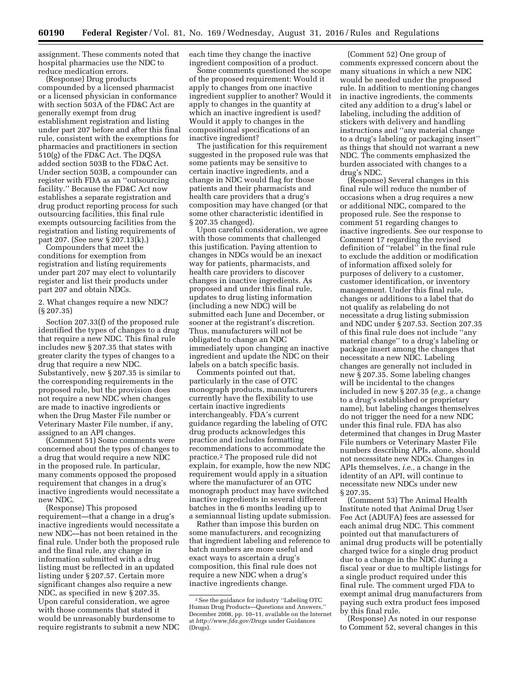assignment. These comments noted that hospital pharmacies use the NDC to reduce medication errors.

(Response) Drug products compounded by a licensed pharmacist or a licensed physician in conformance with section 503A of the FD&C Act are generally exempt from drug establishment registration and listing under part 207 before and after this final rule, consistent with the exemptions for pharmacies and practitioners in section 510(g) of the FD&C Act. The DQSA added section 503B to the FD&C Act. Under section 503B, a compounder can register with FDA as an ''outsourcing facility.'' Because the FD&C Act now establishes a separate registration and drug product reporting process for such outsourcing facilities, this final rule exempts outsourcing facilities from the registration and listing requirements of part 207. (See new § 207.13(k).)

Compounders that meet the conditions for exemption from registration and listing requirements under part 207 may elect to voluntarily register and list their products under part 207 and obtain NDCs.

2. What changes require a new NDC? (§ 207.35)

Section 207.33(f) of the proposed rule identified the types of changes to a drug that require a new NDC. This final rule includes new § 207.35 that states with greater clarity the types of changes to a drug that require a new NDC. Substantively, new § 207.35 is similar to the corresponding requirements in the proposed rule, but the provision does not require a new NDC when changes are made to inactive ingredients or when the Drug Master File number or Veterinary Master File number, if any, assigned to an API changes.

(Comment 51) Some comments were concerned about the types of changes to a drug that would require a new NDC in the proposed rule. In particular, many comments opposed the proposed requirement that changes in a drug's inactive ingredients would necessitate a new NDC.

(Response) This proposed requirement—that a change in a drug's inactive ingredients would necessitate a new NDC—has not been retained in the final rule. Under both the proposed rule and the final rule, any change in information submitted with a drug listing must be reflected in an updated listing under § 207.57. Certain more significant changes also require a new NDC, as specified in new § 207.35. Upon careful consideration, we agree with those comments that stated it would be unreasonably burdensome to require registrants to submit a new NDC each time they change the inactive ingredient composition of a product.

Some comments questioned the scope of the proposed requirement: Would it apply to changes from one inactive ingredient supplier to another? Would it apply to changes in the quantity at which an inactive ingredient is used? Would it apply to changes in the compositional specifications of an inactive ingredient?

The justification for this requirement suggested in the proposed rule was that some patients may be sensitive to certain inactive ingredients, and a change in NDC would flag for those patients and their pharmacists and health care providers that a drug's composition may have changed (or that some other characteristic identified in § 207.35 changed).

Upon careful consideration, we agree with those comments that challenged this justification. Paying attention to changes in NDCs would be an inexact way for patients, pharmacists, and health care providers to discover changes in inactive ingredients. As proposed and under this final rule, updates to drug listing information (including a new NDC) will be submitted each June and December, or sooner at the registrant's discretion. Thus, manufacturers will not be obligated to change an NDC immediately upon changing an inactive ingredient and update the NDC on their labels on a batch specific basis.

Comments pointed out that, particularly in the case of OTC monograph products, manufacturers currently have the flexibility to use certain inactive ingredients interchangeably. FDA's current guidance regarding the labeling of OTC drug products acknowledges this practice and includes formatting recommendations to accommodate the practice.2 The proposed rule did not explain, for example, how the new NDC requirement would apply in a situation where the manufacturer of an OTC monograph product may have switched inactive ingredients in several different batches in the 6 months leading up to a semiannual listing update submission.

Rather than impose this burden on some manufacturers, and recognizing that ingredient labeling and reference to batch numbers are more useful and exact ways to ascertain a drug's composition, this final rule does not require a new NDC when a drug's inactive ingredients change.

(Comment 52) One group of comments expressed concern about the many situations in which a new NDC would be needed under the proposed rule. In addition to mentioning changes in inactive ingredients, the comments cited any addition to a drug's label or labeling, including the addition of stickers with delivery and handling instructions and ''any material change to a drug's labeling or packaging insert'' as things that should not warrant a new NDC. The comments emphasized the burden associated with changes to a drug's NDC.

(Response) Several changes in this final rule will reduce the number of occasions when a drug requires a new or additional NDC, compared to the proposed rule. See the response to comment 51 regarding changes to inactive ingredients. See our response to Comment 17 regarding the revised definition of ''relabel'' in the final rule to exclude the addition or modification of information affixed solely for purposes of delivery to a customer, customer identification, or inventory management. Under this final rule, changes or additions to a label that do not qualify as relabeling do not necessitate a drug listing submission and NDC under § 207.53. Section 207.35 of this final rule does not include ''any material change'' to a drug's labeling or package insert among the changes that necessitate a new NDC. Labeling changes are generally not included in new § 207.35. Some labeling changes will be incidental to the changes included in new § 207.35 (*e.g.,* a change to a drug's established or proprietary name), but labeling changes themselves do not trigger the need for a new NDC under this final rule. FDA has also determined that changes in Drug Master File numbers or Veterinary Master File numbers describing APIs, alone, should not necessitate new NDCs. Changes in APIs themselves, *i.e.,* a change in the identity of an API, will continue to necessitate new NDCs under new § 207.35.

(Comment 53) The Animal Health Institute noted that Animal Drug User Fee Act (ADUFA) fees are assessed for each animal drug NDC. This comment pointed out that manufacturers of animal drug products will be potentially charged twice for a single drug product due to a change in the NDC during a fiscal year or due to multiple listings for a single product required under this final rule. The comment urged FDA to exempt animal drug manufacturers from paying such extra product fees imposed by this final rule.

(Response) As noted in our response to Comment 52, several changes in this

<sup>2</sup>See the guidance for industry ''Labeling OTC Human Drug Products-Questions and Answers, December 2008, pp. 10–11, available on the Internet at *<http://www.fda.gov/Drugs>* under Guidances (Drugs).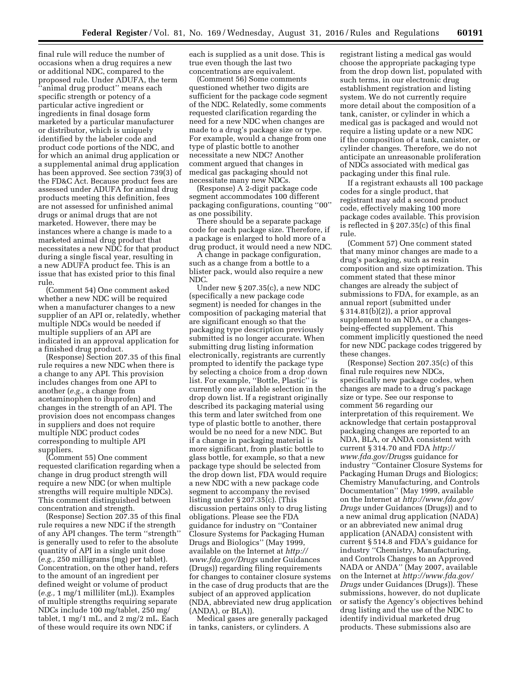final rule will reduce the number of occasions when a drug requires a new or additional NDC, compared to the proposed rule. Under ADUFA, the term ''animal drug product'' means each specific strength or potency of a particular active ingredient or ingredients in final dosage form marketed by a particular manufacturer or distributor, which is uniquely identified by the labeler code and product code portions of the NDC, and for which an animal drug application or a supplemental animal drug application has been approved. See section 739(3) of the FD&C Act. Because product fees are assessed under ADUFA for animal drug products meeting this definition, fees are not assessed for unfinished animal drugs or animal drugs that are not marketed. However, there may be instances where a change is made to a marketed animal drug product that necessitates a new NDC for that product during a single fiscal year, resulting in a new ADUFA product fee. This is an issue that has existed prior to this final rule.

(Comment 54) One comment asked whether a new NDC will be required when a manufacturer changes to a new supplier of an API or, relatedly, whether multiple NDCs would be needed if multiple suppliers of an API are indicated in an approval application for a finished drug product.

(Response) Section 207.35 of this final rule requires a new NDC when there is a change to any API. This provision includes changes from one API to another (*e.g.,* a change from acetaminophen to ibuprofen) and changes in the strength of an API. The provision does not encompass changes in suppliers and does not require multiple NDC product codes corresponding to multiple API suppliers.

(Comment 55) One comment requested clarification regarding when a change in drug product strength will require a new NDC (or when multiple strengths will require multiple NDCs). This comment distinguished between concentration and strength.

(Response) Section 207.35 of this final rule requires a new NDC if the strength of any API changes. The term ''strength'' is generally used to refer to the absolute quantity of API in a single unit dose (*e.g.,* 250 milligrams (mg) per tablet). Concentration, on the other hand, refers to the amount of an ingredient per defined weight or volume of product (*e.g.,* 1 mg/1 milliliter (mL)). Examples of multiple strengths requiring separate NDCs include 100 mg/tablet, 250 mg/ tablet, 1 mg/1 mL, and 2 mg/2 mL. Each of these would require its own NDC if

each is supplied as a unit dose. This is true even though the last two concentrations are equivalent.

(Comment 56) Some comments questioned whether two digits are sufficient for the package code segment of the NDC. Relatedly, some comments requested clarification regarding the need for a new NDC when changes are made to a drug's package size or type. For example, would a change from one type of plastic bottle to another necessitate a new NDC? Another comment argued that changes in medical gas packaging should not necessitate many new NDCs.

(Response) A 2-digit package code segment accommodates 100 different packaging configurations, counting ''00'' as one possibility.

There should be a separate package code for each package size. Therefore, if a package is enlarged to hold more of a drug product, it would need a new NDC.

A change in package configuration, such as a change from a bottle to a blister pack, would also require a new NDC.

Under new § 207.35(c), a new NDC (specifically a new package code segment) is needed for changes in the composition of packaging material that are significant enough so that the packaging type description previously submitted is no longer accurate. When submitting drug listing information electronically, registrants are currently prompted to identify the package type by selecting a choice from a drop down list. For example, ''Bottle, Plastic'' is currently one available selection in the drop down list. If a registrant originally described its packaging material using this term and later switched from one type of plastic bottle to another, there would be no need for a new NDC. But if a change in packaging material is more significant, from plastic bottle to glass bottle, for example, so that a new package type should be selected from the drop down list, FDA would require a new NDC with a new package code segment to accompany the revised listing under § 207.35(c). (This discussion pertains only to drug listing obligations. Please see the FDA guidance for industry on ''Container Closure Systems for Packaging Human Drugs and Biologics'' (May 1999, available on the Internet at *[http://](http://www.fda.gov/Drugs) [www.fda.gov/Drugs](http://www.fda.gov/Drugs)* under Guidances (Drugs)) regarding filing requirements for changes to container closure systems in the case of drug products that are the subject of an approved application (NDA, abbreviated new drug application (ANDA), or BLA)).

Medical gases are generally packaged in tanks, canisters, or cylinders. A

registrant listing a medical gas would choose the appropriate packaging type from the drop down list, populated with such terms, in our electronic drug establishment registration and listing system. We do not currently require more detail about the composition of a tank, canister, or cylinder in which a medical gas is packaged and would not require a listing update or a new NDC if the composition of a tank, canister, or cylinder changes. Therefore, we do not anticipate an unreasonable proliferation of NDCs associated with medical gas packaging under this final rule.

If a registrant exhausts all 100 package codes for a single product, that registrant may add a second product code, effectively making 100 more package codes available. This provision is reflected in § 207.35(c) of this final rule.

(Comment 57) One comment stated that many minor changes are made to a drug's packaging, such as resin composition and size optimization. This comment stated that these minor changes are already the subject of submissions to FDA, for example, as an annual report (submitted under § 314.81(b)(2)), a prior approval supplement to an NDA, or a changesbeing-effected supplement. This comment implicitly questioned the need for new NDC package codes triggered by these changes.

(Response) Section 207.35(c) of this final rule requires new NDCs, specifically new package codes, when changes are made to a drug's package size or type. See our response to comment 56 regarding our interpretation of this requirement. We acknowledge that certain postapproval packaging changes are reported to an NDA, BLA, or ANDA consistent with current § 314.70 and FDA *[http://](http://www.fda.gov/Drugss) [www.fda.gov/Drugs](http://www.fda.gov/Drugss)*s guidance for industry ''Container Closure Systems for Packaging Human Drugs and Biologics; Chemistry Manufacturing, and Controls Documentation'' (May 1999, available on the Internet at *[http://www.fda.gov/](http://www.fda.gov/Drugs)  [Drugs](http://www.fda.gov/Drugs)* under Guidances (Drugs)) and to a new animal drug application (NADA) or an abbreviated new animal drug application (ANADA) consistent with current § 514.8 and FDA's guidance for industry ''Chemistry, Manufacturing, and Controls Changes to an Approved NADA or ANDA'' (May 2007, available on the Internet at *[http://www.fda.gov/](http://www.fda.gov/Drugs)  [Drugs](http://www.fda.gov/Drugs)* under Guidances (Drugs)). These submissions, however, do not duplicate or satisfy the Agency's objectives behind drug listing and the use of the NDC to identify individual marketed drug products. These submissions also are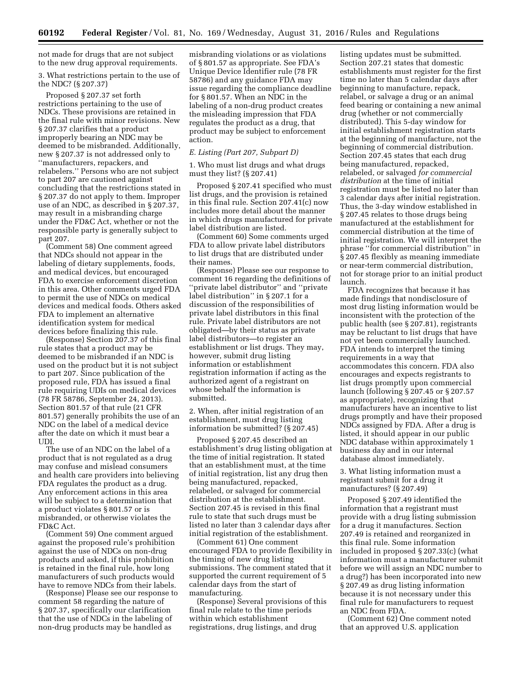not made for drugs that are not subject to the new drug approval requirements.

3. What restrictions pertain to the use of the NDC? (§ 207.37)

Proposed § 207.37 set forth restrictions pertaining to the use of NDCs. These provisions are retained in the final rule with minor revisions. New § 207.37 clarifies that a product improperly bearing an NDC may be deemed to be misbranded. Additionally, new § 207.37 is not addressed only to ''manufacturers, repackers, and relabelers.'' Persons who are not subject to part 207 are cautioned against concluding that the restrictions stated in § 207.37 do not apply to them. Improper use of an NDC, as described in § 207.37, may result in a misbranding charge under the FD&C Act, whether or not the responsible party is generally subject to part 207.

(Comment 58) One comment agreed that NDCs should not appear in the labeling of dietary supplements, foods, and medical devices, but encouraged FDA to exercise enforcement discretion in this area. Other comments urged FDA to permit the use of NDCs on medical devices and medical foods. Others asked FDA to implement an alternative identification system for medical devices before finalizing this rule.

(Response) Section 207.37 of this final rule states that a product may be deemed to be misbranded if an NDC is used on the product but it is not subject to part 207. Since publication of the proposed rule, FDA has issued a final rule requiring UDIs on medical devices (78 FR 58786, September 24, 2013). Section 801.57 of that rule (21 CFR 801.57) generally prohibits the use of an NDC on the label of a medical device after the date on which it must bear a UDI.

The use of an NDC on the label of a product that is not regulated as a drug may confuse and mislead consumers and health care providers into believing FDA regulates the product as a drug. Any enforcement actions in this area will be subject to a determination that a product violates § 801.57 or is misbranded, or otherwise violates the FD&C Act.

(Comment 59) One comment argued against the proposed rule's prohibition against the use of NDCs on non-drug products and asked, if this prohibition is retained in the final rule, how long manufacturers of such products would have to remove NDCs from their labels.

(Response) Please see our response to comment 58 regarding the nature of § 207.37, specifically our clarification that the use of NDCs in the labeling of non-drug products may be handled as

misbranding violations or as violations of § 801.57 as appropriate. See FDA's Unique Device Identifier rule (78 FR 58786) and any guidance FDA may issue regarding the compliance deadline for § 801.57. When an NDC in the labeling of a non-drug product creates the misleading impression that FDA regulates the product as a drug, that product may be subject to enforcement action.

#### *E. Listing (Part 207, Subpart D)*

1. Who must list drugs and what drugs must they list? (§ 207.41)

Proposed § 207.41 specified who must list drugs, and the provision is retained in this final rule. Section 207.41(c) now includes more detail about the manner in which drugs manufactured for private label distribution are listed.

(Comment 60) Some comments urged FDA to allow private label distributors to list drugs that are distributed under their names.

(Response) Please see our response to comment 16 regarding the definitions of ''private label distributor'' and ''private label distribution'' in § 207.1 for a discussion of the responsibilities of private label distributors in this final rule. Private label distributors are not obligated—by their status as private label distributors—to register an establishment or list drugs. They may, however, submit drug listing information or establishment registration information if acting as the authorized agent of a registrant on whose behalf the information is submitted.

2. When, after initial registration of an establishment, must drug listing information be submitted? (§ 207.45)

Proposed § 207.45 described an establishment's drug listing obligation at the time of initial registration. It stated that an establishment must, at the time of initial registration, list any drug then being manufactured, repacked, relabeled, or salvaged for commercial distribution at the establishment. Section 207.45 is revised in this final rule to state that such drugs must be listed no later than 3 calendar days after initial registration of the establishment.

(Comment 61) One comment encouraged FDA to provide flexibility in the timing of new drug listing submissions. The comment stated that it supported the current requirement of 5 calendar days from the start of manufacturing.

(Response) Several provisions of this final rule relate to the time periods within which establishment registrations, drug listings, and drug

listing updates must be submitted. Section 207.21 states that domestic establishments must register for the first time no later than 5 calendar days after beginning to manufacture, repack, relabel, or salvage a drug or an animal feed bearing or containing a new animal drug (whether or not commercially distributed). This 5-day window for initial establishment registration starts at the beginning of manufacture, not the beginning of commercial distribution. Section 207.45 states that each drug being manufactured, repacked, relabeled, or salvaged *for commercial distribution* at the time of initial registration must be listed no later than 3 calendar days after initial registration. Thus, the 3-day window established in § 207.45 relates to those drugs being manufactured at the establishment for commercial distribution at the time of initial registration. We will interpret the phrase ''for commercial distribution'' in § 207.45 flexibly as meaning immediate or near-term commercial distribution, not for storage prior to an initial product launch.

FDA recognizes that because it has made findings that nondisclosure of most drug listing information would be inconsistent with the protection of the public health (see § 207.81), registrants may be reluctant to list drugs that have not yet been commercially launched. FDA intends to interpret the timing requirements in a way that accommodates this concern. FDA also encourages and expects registrants to list drugs promptly upon commercial launch (following § 207.45 or § 207.57 as appropriate), recognizing that manufacturers have an incentive to list drugs promptly and have their proposed NDCs assigned by FDA. After a drug is listed, it should appear in our public NDC database within approximately 1 business day and in our internal database almost immediately.

3. What listing information must a registrant submit for a drug it manufactures? (§ 207.49)

Proposed § 207.49 identified the information that a registrant must provide with a drug listing submission for a drug it manufactures. Section 207.49 is retained and reorganized in this final rule. Some information included in proposed § 207.33(c) (what information must a manufacturer submit before we will assign an NDC number to a drug?) has been incorporated into new § 207.49 as drug listing information because it is not necessary under this final rule for manufacturers to request an NDC from FDA.

(Comment 62) One comment noted that an approved U.S. application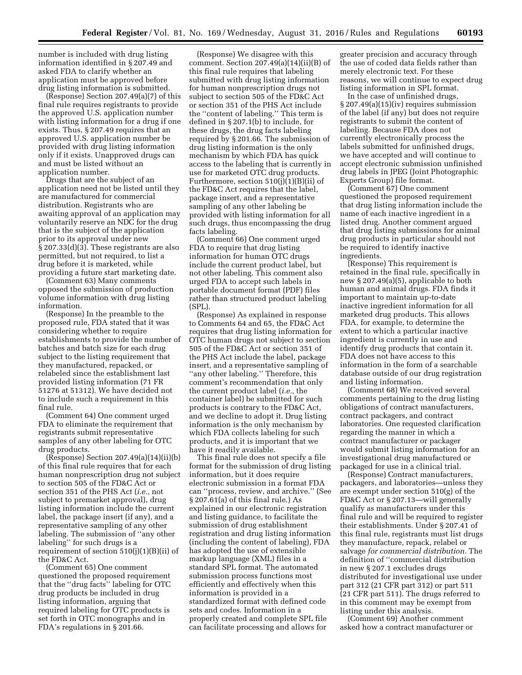number is included with drug listing information identified in § 207.49 and asked FDA to clarify whether an application must be approved before drug listing information is submitted.

(Response) Section 207.49(a)(7) of this final rule requires registrants to provide the approved U.S. application number with listing information for a drug if one exists. Thus, § 207.49 requires that an approved U.S. application number be provided with drug listing information only if it exists. Unapproved drugs can and must be listed without an application number.

Drugs that are the subject of an application need not be listed until they are manufactured for commercial distribution. Registrants who are awaiting approval of an application may voluntarily reserve an NDC for the drug that is the subject of the application prior to its approval under new § 207.33(d)(3). These registrants are also permitted, but not required, to list a drug before it is marketed, while providing a future start marketing date.

(Comment 63) Many comments opposed the submission of production volume information with drug listing information.

(Response) In the preamble to the proposed rule, FDA stated that it was considering whether to require establishments to provide the number of batches and batch size for each drug subject to the listing requirement that they manufactured, repacked, or relabeled since the establishment last provided listing information (71 FR 51276 at 51312). We have decided not to include such a requirement in this final rule.

(Comment 64) One comment urged FDA to eliminate the requirement that registrants submit representative samples of any other labeling for OTC drug products.

(Response) Section 207.49(a)(14)(ii)(b) of this final rule requires that for each human nonprescription drug not subject to section 505 of the FD&C Act or section 351 of the PHS Act (*i.e.,* not subject to premarket approval), drug listing information include the current label, the package insert (if any), and a representative sampling of any other labeling. The submission of ''any other labeling'' for such drugs is a requirement of section 510(j)(1)(B)(ii) of the FD&C Act.

(Comment 65) One comment questioned the proposed requirement that the ''drug facts'' labeling for OTC drug products be included in drug listing information, arguing that required labeling for OTC products is set forth in OTC monographs and in FDA's regulations in § 201.66.

(Response) We disagree with this comment. Section  $207.49(a)(14)(ii)(B)$  of this final rule requires that labeling submitted with drug listing information for human nonprescription drugs not subject to section 505 of the FD&C Act or section 351 of the PHS Act include the ''content of labeling.'' This term is defined in § 207.1(b) to include, for these drugs, the drug facts labeling required by § 201.66. The submission of drug listing information is the only mechanism by which FDA has quick access to the labeling that is currently in use for marketed OTC drug products. Furthermore, section 510(j)(1)(B)(ii) of the FD&C Act requires that the label, package insert, and a representative sampling of any other labeling be provided with listing information for all such drugs, thus encompassing the drug facts labeling.

(Comment 66) One comment urged FDA to require that drug listing information for human OTC drugs include the current product label, but not other labeling. This comment also urged FDA to accept such labels in portable document format (PDF) files rather than structured product labeling (SPL).

(Response) As explained in response to Comments 64 and 65, the FD&C Act requires that drug listing information for OTC human drugs not subject to section 505 of the FD&C Act or section 351 of the PHS Act include the label, package insert, and a representative sampling of ''any other labeling.'' Therefore, this comment's recommendation that only the current product label (*i.e.,* the container label) be submitted for such products is contrary to the FD&C Act, and we decline to adopt it. Drug listing information is the only mechanism by which FDA collects labeling for such products, and it is important that we have it readily available.

This final rule does not specify a file format for the submission of drug listing information, but it does require electronic submission in a format FDA can ''process, review, and archive.'' (See § 207.61(a) of this final rule.) As explained in our electronic registration and listing guidance, to facilitate the submission of drug establishment registration and drug listing information (including the content of labeling), FDA has adopted the use of extensible markup language (XML) files in a standard SPL format. The automated submission process functions most efficiently and effectively when this information is provided in a standardized format with defined code sets and codes. Information in a properly created and complete SPL file can facilitate processing and allows for

greater precision and accuracy through the use of coded data fields rather than merely electronic text. For these reasons, we will continue to expect drug listing information in SPL format.

In the case of unfinished drugs, § 207.49(a)(15)(iv) requires submission of the label (if any) but does not require registrants to submit the content of labeling. Because FDA does not currently electronically process the labels submitted for unfinished drugs, we have accepted and will continue to accept electronic submission unfinished drug labels in JPEG (Joint Photographic Experts Group) file format.

(Comment 67) One comment questioned the proposed requirement that drug listing information include the name of each inactive ingredient in a listed drug. Another comment argued that drug listing submissions for animal drug products in particular should not be required to identify inactive ingredients.

(Response) This requirement is retained in the final rule, specifically in new § 207.49(a)(5), applicable to both human and animal drugs. FDA finds it important to maintain up-to-date inactive ingredient information for all marketed drug products. This allows FDA, for example, to determine the extent to which a particular inactive ingredient is currently in use and identify drug products that contain it. FDA does not have access to this information in the form of a searchable database outside of our drug registration and listing information.

(Comment 68) We received several comments pertaining to the drug listing obligations of contract manufacturers, contract packagers, and contract laboratories. One requested clarification regarding the manner in which a contract manufacturer or packager would submit listing information for an investigational drug manufactured or packaged for use in a clinical trial.

(Response) Contract manufacturers, packagers, and laboratories—unless they are exempt under section 510(g) of the FD&C Act or § 207.13—will generally qualify as manufacturers under this final rule and will be required to register their establishments. Under § 207.41 of this final rule, registrants must list drugs they manufacture, repack, relabel or salvage *for commercial distribution.* The definition of ''commercial distribution in new § 207.1 excludes drugs distributed for investigational use under part 312 (21 CFR part 312) or part 511 (21 CFR part 511). The drugs referred to in this comment may be exempt from listing under this analysis.

(Comment 69) Another comment asked how a contract manufacturer or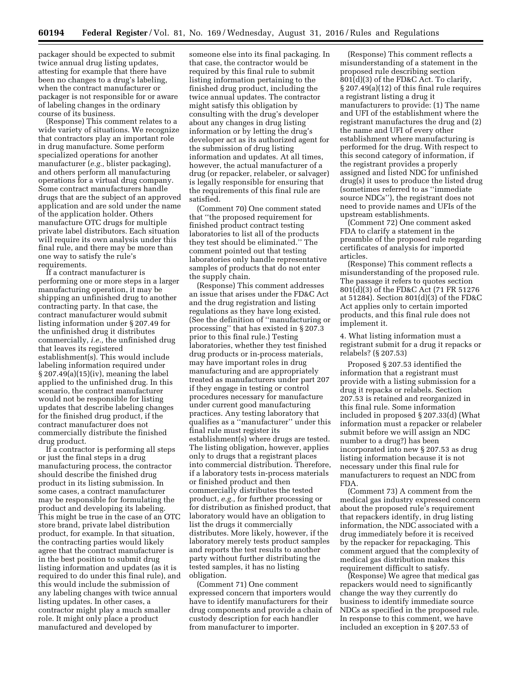packager should be expected to submit twice annual drug listing updates, attesting for example that there have been no changes to a drug's labeling, when the contract manufacturer or packager is not responsible for or aware of labeling changes in the ordinary course of its business.

(Response) This comment relates to a wide variety of situations. We recognize that contractors play an important role in drug manufacture. Some perform specialized operations for another manufacturer (*e.g.,* blister packaging), and others perform all manufacturing operations for a virtual drug company. Some contract manufacturers handle drugs that are the subject of an approved application and are sold under the name of the application holder. Others manufacture OTC drugs for multiple private label distributors. Each situation will require its own analysis under this final rule, and there may be more than one way to satisfy the rule's requirements.

If a contract manufacturer is performing one or more steps in a larger manufacturing operation, it may be shipping an unfinished drug to another contracting party. In that case, the contract manufacturer would submit listing information under § 207.49 for the unfinished drug it distributes commercially, *i.e.,* the unfinished drug that leaves its registered establishment(s). This would include labeling information required under § 207.49(a)(15)(iv), meaning the label applied to the unfinished drug. In this scenario, the contract manufacturer would not be responsible for listing updates that describe labeling changes for the finished drug product, if the contract manufacturer does not commercially distribute the finished drug product.

If a contractor is performing all steps or just the final steps in a drug manufacturing process, the contractor should describe the finished drug product in its listing submission. In some cases, a contract manufacturer may be responsible for formulating the product and developing its labeling. This might be true in the case of an OTC store brand, private label distribution product, for example. In that situation, the contracting parties would likely agree that the contract manufacturer is in the best position to submit drug listing information and updates (as it is required to do under this final rule), and this would include the submission of any labeling changes with twice annual listing updates. In other cases, a contractor might play a much smaller role. It might only place a product manufactured and developed by

someone else into its final packaging. In that case, the contractor would be required by this final rule to submit listing information pertaining to the finished drug product, including the twice annual updates. The contractor might satisfy this obligation by consulting with the drug's developer about any changes in drug listing information or by letting the drug's developer act as its authorized agent for the submission of drug listing information and updates. At all times, however, the actual manufacturer of a drug (or repacker, relabeler, or salvager) is legally responsible for ensuring that the requirements of this final rule are satisfied.

(Comment 70) One comment stated that ''the proposed requirement for finished product contract testing laboratories to list all of the products they test should be eliminated.'' The comment pointed out that testing laboratories only handle representative samples of products that do not enter the supply chain.

(Response) This comment addresses an issue that arises under the FD&C Act and the drug registration and listing regulations as they have long existed. (See the definition of ''manufacturing or processing'' that has existed in § 207.3 prior to this final rule.) Testing laboratories, whether they test finished drug products or in-process materials, may have important roles in drug manufacturing and are appropriately treated as manufacturers under part 207 if they engage in testing or control procedures necessary for manufacture under current good manufacturing practices. Any testing laboratory that qualifies as a ''manufacturer'' under this final rule must register its establishment(s) where drugs are tested. The listing obligation, however, applies only to drugs that a registrant places into commercial distribution. Therefore, if a laboratory tests in-process materials or finished product and then commercially distributes the tested product, *e.g.,* for further processing or for distribution as finished product, that laboratory would have an obligation to list the drugs it commercially distributes. More likely, however, if the laboratory merely tests product samples and reports the test results to another party without further distributing the tested samples, it has no listing obligation.

(Comment 71) One comment expressed concern that importers would have to identify manufacturers for their drug components and provide a chain of custody description for each handler from manufacturer to importer.

(Response) This comment reflects a misunderstanding of a statement in the proposed rule describing section 801(d)(3) of the FD&C Act. To clarify, § 207.49(a)(12) of this final rule requires a registrant listing a drug it manufacturers to provide: (1) The name and UFI of the establishment where the registrant manufactures the drug and (2) the name and UFI of every other establishment where manufacturing is performed for the drug. With respect to this second category of information, if the registrant provides a properly assigned and listed NDC for unfinished drug(s) it uses to produce the listed drug (sometimes referred to as ''immediate source NDCs''), the registrant does not need to provide names and UFIs of the upstream establishments.

(Comment 72) One comment asked FDA to clarify a statement in the preamble of the proposed rule regarding certificates of analysis for imported articles.

(Response) This comment reflects a misunderstanding of the proposed rule. The passage it refers to quotes section 801(d)(3) of the FD&C Act (71 FR 51276 at 51284). Section 801(d)(3) of the FD&C Act applies only to certain imported products, and this final rule does not implement it.

4. What listing information must a registrant submit for a drug it repacks or relabels? (§ 207.53)

Proposed § 207.53 identified the information that a registrant must provide with a listing submission for a drug it repacks or relabels. Section 207.53 is retained and reorganized in this final rule. Some information included in proposed § 207.33(d) (What information must a repacker or relabeler submit before we will assign an NDC number to a drug?) has been incorporated into new § 207.53 as drug listing information because it is not necessary under this final rule for manufacturers to request an NDC from FDA.

(Comment 73) A comment from the medical gas industry expressed concern about the proposed rule's requirement that repackers identify, in drug listing information, the NDC associated with a drug immediately before it is received by the repacker for repackaging. This comment argued that the complexity of medical gas distribution makes this requirement difficult to satisfy.

(Response) We agree that medical gas repackers would need to significantly change the way they currently do business to identify immediate source NDCs as specified in the proposed rule. In response to this comment, we have included an exception in § 207.53 of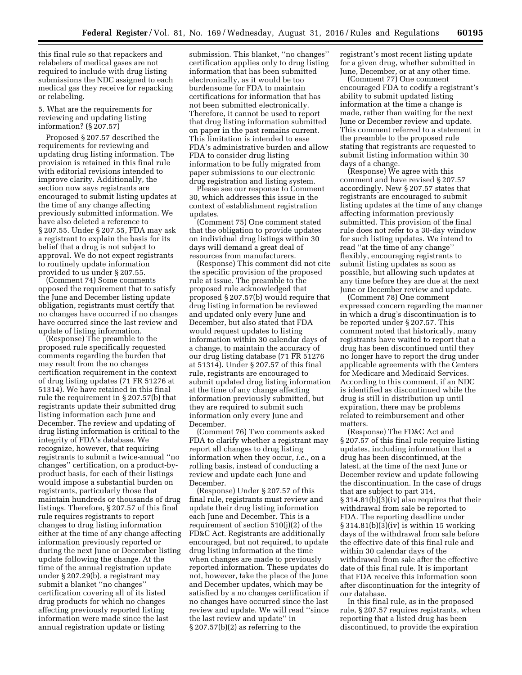this final rule so that repackers and relabelers of medical gases are not required to include with drug listing submissions the NDC assigned to each medical gas they receive for repacking or relabeling.

### 5. What are the requirements for reviewing and updating listing information? (§ 207.57)

Proposed § 207.57 described the requirements for reviewing and updating drug listing information. The provision is retained in this final rule with editorial revisions intended to improve clarity. Additionally, the section now says registrants are encouraged to submit listing updates at the time of any change affecting previously submitted information. We have also deleted a reference to § 207.55. Under § 207.55, FDA may ask a registrant to explain the basis for its belief that a drug is not subject to approval. We do not expect registrants to routinely update information provided to us under § 207.55.

(Comment 74) Some comments opposed the requirement that to satisfy the June and December listing update obligation, registrants must certify that no changes have occurred if no changes have occurred since the last review and update of listing information.

(Response) The preamble to the proposed rule specifically requested comments regarding the burden that may result from the no changes certification requirement in the context of drug listing updates (71 FR 51276 at 51314). We have retained in this final rule the requirement in § 207.57(b) that registrants update their submitted drug listing information each June and December. The review and updating of drug listing information is critical to the integrity of FDA's database. We recognize, however, that requiring registrants to submit a twice-annual ''no changes'' certification, on a product-byproduct basis, for each of their listings would impose a substantial burden on registrants, particularly those that maintain hundreds or thousands of drug listings. Therefore, § 207.57 of this final rule requires registrants to report changes to drug listing information either at the time of any change affecting information previously reported or during the next June or December listing update following the change. At the time of the annual registration update under § 207.29(b), a registrant may submit a blanket ''no changes'' certification covering all of its listed drug products for which no changes affecting previously reported listing information were made since the last annual registration update or listing

submission. This blanket, ''no changes'' certification applies only to drug listing information that has been submitted electronically, as it would be too burdensome for FDA to maintain certifications for information that has not been submitted electronically. Therefore, it cannot be used to report that drug listing information submitted on paper in the past remains current. This limitation is intended to ease FDA's administrative burden and allow FDA to consider drug listing information to be fully migrated from paper submissions to our electronic drug registration and listing system.

Please see our response to Comment 30, which addresses this issue in the context of establishment registration updates.

(Comment 75) One comment stated that the obligation to provide updates on individual drug listings within 30 days will demand a great deal of resources from manufacturers.

(Response) This comment did not cite the specific provision of the proposed rule at issue. The preamble to the proposed rule acknowledged that proposed § 207.57(b) would require that drug listing information be reviewed and updated only every June and December, but also stated that FDA would request updates to listing information within 30 calendar days of a change, to maintain the accuracy of our drug listing database (71 FR 51276 at 51314). Under § 207.57 of this final rule, registrants are encouraged to submit updated drug listing information at the time of any change affecting information previously submitted, but they are required to submit such information only every June and December.

(Comment 76) Two comments asked FDA to clarify whether a registrant may report all changes to drug listing information when they occur, *i.e.,* on a rolling basis, instead of conducting a review and update each June and December.

(Response) Under § 207.57 of this final rule, registrants must review and update their drug listing information each June and December. This is a requirement of section 510(j)(2) of the FD&C Act. Registrants are additionally encouraged, but not required, to update drug listing information at the time when changes are made to previously reported information. These updates do not, however, take the place of the June and December updates, which may be satisfied by a no changes certification if no changes have occurred since the last review and update. We will read ''since the last review and update'' in  $\S 207.57(b)(2)$  as referring to the

registrant's most recent listing update for a given drug, whether submitted in June, December, or at any other time.

(Comment 77) One comment encouraged FDA to codify a registrant's ability to submit updated listing information at the time a change is made, rather than waiting for the next June or December review and update. This comment referred to a statement in the preamble to the proposed rule stating that registrants are requested to submit listing information within 30 days of a change.

(Response) We agree with this comment and have revised § 207.57 accordingly. New § 207.57 states that registrants are encouraged to submit listing updates at the time of any change affecting information previously submitted. This provision of the final rule does not refer to a 30-day window for such listing updates. We intend to read ''at the time of any change'' flexibly, encouraging registrants to submit listing updates as soon as possible, but allowing such updates at any time before they are due at the next June or December review and update.

(Comment 78) One comment expressed concern regarding the manner in which a drug's discontinuation is to be reported under § 207.57. This comment noted that historically, many registrants have waited to report that a drug has been discontinued until they no longer have to report the drug under applicable agreements with the Centers for Medicare and Medicaid Services. According to this comment, if an NDC is identified as discontinued while the drug is still in distribution up until expiration, there may be problems related to reimbursement and other matters.

(Response) The FD&C Act and § 207.57 of this final rule require listing updates, including information that a drug has been discontinued, at the latest, at the time of the next June or December review and update following the discontinuation. In the case of drugs that are subject to part 314, § 314.81(b)(3)(iv) also requires that their withdrawal from sale be reported to FDA. The reporting deadline under § 314.81(b)(3)(iv) is within 15 working days of the withdrawal from sale before the effective date of this final rule and within 30 calendar days of the withdrawal from sale after the effective date of this final rule. It is important that FDA receive this information soon after discontinuation for the integrity of our database.

In this final rule, as in the proposed rule, § 207.57 requires registrants, when reporting that a listed drug has been discontinued, to provide the expiration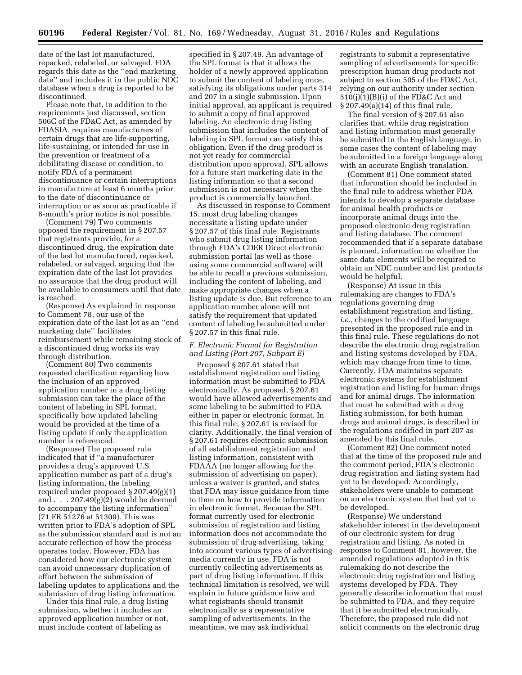date of the last lot manufactured, repacked, relabeled, or salvaged. FDA regards this date as the ''end marketing date'' and includes it in the public NDC database when a drug is reported to be discontinued.

Please note that, in addition to the requirements just discussed, section 506C of the FD&C Act, as amended by FDASIA, requires manufacturers of certain drugs that are life-supporting, life-sustaining, or intended for use in the prevention or treatment of a debilitating disease or condition, to notify FDA of a permanent discontinuance or certain interruptions in manufacture at least 6 months prior to the date of discontinuance or interruption or as soon as practicable if 6-month's prior notice is not possible.

(Comment 79) Two comments opposed the requirement in § 207.57 that registrants provide, for a discontinued drug, the expiration date of the last lot manufactured, repacked, relabeled, or salvaged, arguing that the expiration date of the last lot provides no assurance that the drug product will be available to consumers until that date is reached.

(Response) As explained in response to Comment 78, our use of the expiration date of the last lot as an ''end marketing date'' facilitates reimbursement while remaining stock of a discontinued drug works its way through distribution.

(Comment 80) Two comments requested clarification regarding how the inclusion of an approved application number in a drug listing submission can take the place of the content of labeling in SPL format, specifically how updated labeling would be provided at the time of a listing update if only the application number is referenced.

(Response) The proposed rule indicated that if ''a manufacturer provides a drug's approved U.S. application number as part of a drug's listing information, the labeling required under proposed § 207.49(g)(1) and . . . 207.49(g)(2) would be deemed to accompany the listing information'' (71 FR 51276 at 51309). This was written prior to FDA's adoption of SPL as the submission standard and is not an accurate reflection of how the process operates today. However, FDA has considered how our electronic system can avoid unnecessary duplication of effort between the submission of labeling updates to applications and the submission of drug listing information.

Under this final rule, a drug listing submission, whether it includes an approved application number or not, must include content of labeling as

specified in § 207.49. An advantage of the SPL format is that it allows the holder of a newly approved application to submit the content of labeling once, satisfying its obligations under parts 314 and 207 in a single submission. Upon initial approval, an applicant is required to submit a copy of final approved labeling. An electronic drug listing submission that includes the content of labeling in SPL format can satisfy this obligation. Even if the drug product is not yet ready for commercial distribution upon approval, SPL allows for a future start marketing date in the listing information so that a second submission is not necessary when the product is commercially launched.

As discussed in response to Comment 15, most drug labeling changes necessitate a listing update under § 207.57 of this final rule. Registrants who submit drug listing information through FDA's CDER Direct electronic submission portal (as well as those using some commercial software) will be able to recall a previous submission, including the content of labeling, and make appropriate changes when a listing update is due. But reference to an application number alone will not satisfy the requirement that updated content of labeling be submitted under § 207.57 in this final rule.

## *F. Electronic Format for Registration and Listing (Part 207, Subpart E)*

Proposed § 207.61 stated that establishment registration and listing information must be submitted to FDA electronically. As proposed, § 207.61 would have allowed advertisements and some labeling to be submitted to FDA either in paper or electronic format. In this final rule, § 207.61 is revised for clarity. Additionally, the final version of § 207.61 requires electronic submission of all establishment registration and listing information, consistent with FDAAA (no longer allowing for the submission of advertising on paper), unless a waiver is granted, and states that FDA may issue guidance from time to time on how to provide information in electronic format. Because the SPL format currently used for electronic submission of registration and listing information does not accommodate the submission of drug advertising, taking into account various types of advertising media currently in use, FDA is not currently collecting advertisements as part of drug listing information. If this technical limitation is resolved, we will explain in future guidance how and what registrants should transmit electronically as a representative sampling of advertisements. In the meantime, we may ask individual

registrants to submit a representative sampling of advertisements for specific prescription human drug products not subject to section 505 of the FD&C Act, relying on our authority under section  $510(j)(1)(B)(i)$  of the FD&C Act and § 207.49(a)(14) of this final rule.

The final version of § 207.61 also clarifies that, while drug registration and listing information must generally be submitted in the English language, in some cases the content of labeling may be submitted in a foreign language along with an accurate English translation.

(Comment 81) One comment stated that information should be included in the final rule to address whether FDA intends to develop a separate database for animal health products or incorporate animal drugs into the proposed electronic drug registration and listing database. The comment recommended that if a separate database is planned, information on whether the same data elements will be required to obtain an NDC number and list products would be helpful.

(Response) At issue in this rulemaking are changes to FDA's regulations governing drug establishment registration and listing, *i.e.,* changes to the codified language presented in the proposed rule and in this final rule. These regulations do not describe the electronic drug registration and listing systems developed by FDA, which may change from time to time. Currently, FDA maintains separate electronic systems for establishment registration and listing for human drugs and for animal drugs. The information that must be submitted with a drug listing submission, for both human drugs and animal drugs, is described in the regulations codified in part 207 as amended by this final rule.

(Comment 82) One comment noted that at the time of the proposed rule and the comment period, FDA's electronic drug registration and listing system had yet to be developed. Accordingly, stakeholders were unable to comment on an electronic system that had yet to be developed.

(Response) We understand stakeholder interest in the development of our electronic system for drug registration and listing. As noted in response to Comment 81, however, the amended regulations adopted in this rulemaking do not describe the electronic drug registration and listing systems developed by FDA. They generally describe information that must be submitted to FDA, and they require that it be submitted electronically. Therefore, the proposed rule did not solicit comments on the electronic drug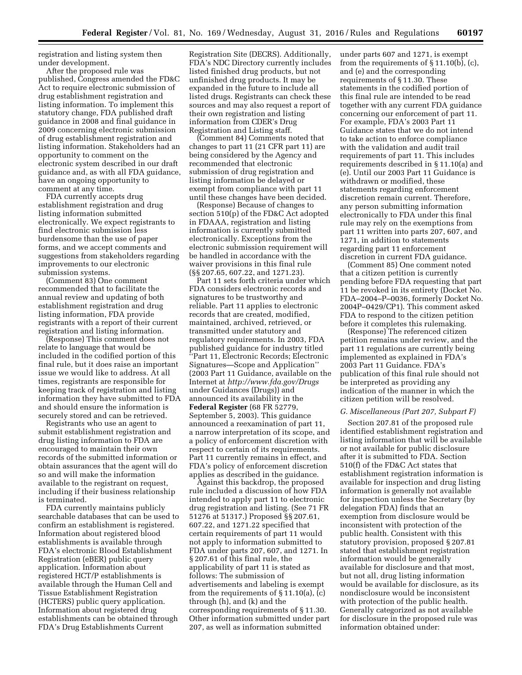registration and listing system then under development.

After the proposed rule was published, Congress amended the FD&C Act to require electronic submission of drug establishment registration and listing information. To implement this statutory change, FDA published draft guidance in 2008 and final guidance in 2009 concerning electronic submission of drug establishment registration and listing information. Stakeholders had an opportunity to comment on the electronic system described in our draft guidance and, as with all FDA guidance, have an ongoing opportunity to comment at any time.

FDA currently accepts drug establishment registration and drug listing information submitted electronically. We expect registrants to find electronic submission less burdensome than the use of paper forms, and we accept comments and suggestions from stakeholders regarding improvements to our electronic submission systems.

(Comment 83) One comment recommended that to facilitate the annual review and updating of both establishment registration and drug listing information, FDA provide registrants with a report of their current registration and listing information.

(Response) This comment does not relate to language that would be included in the codified portion of this final rule, but it does raise an important issue we would like to address. At all times, registrants are responsible for keeping track of registration and listing information they have submitted to FDA and should ensure the information is securely stored and can be retrieved.

Registrants who use an agent to submit establishment registration and drug listing information to FDA are encouraged to maintain their own records of the submitted information or obtain assurances that the agent will do so and will make the information available to the registrant on request, including if their business relationship is terminated.

FDA currently maintains publicly searchable databases that can be used to confirm an establishment is registered. Information about registered blood establishments is available through FDA's electronic Blood Establishment Registration (eBER) public query application. Information about registered HCT/P establishments is available through the Human Cell and Tissue Establishment Registration (HCTERS) public query application. Information about registered drug establishments can be obtained through FDA's Drug Establishments Current

Registration Site (DECRS). Additionally, FDA's NDC Directory currently includes listed finished drug products, but not unfinished drug products. It may be expanded in the future to include all listed drugs. Registrants can check these sources and may also request a report of their own registration and listing information from CDER's Drug Registration and Listing staff.

(Comment 84) Comments noted that changes to part 11 (21 CFR part 11) are being considered by the Agency and recommended that electronic submission of drug registration and listing information be delayed or exempt from compliance with part 11 until these changes have been decided.

(Response) Because of changes to section 510(p) of the FD&C Act adopted in FDAAA, registration and listing information is currently submitted electronically. Exceptions from the electronic submission requirement will be handled in accordance with the waiver provisions in this final rule (§§ 207.65, 607.22, and 1271.23).

Part 11 sets forth criteria under which FDA considers electronic records and signatures to be trustworthy and reliable. Part 11 applies to electronic records that are created, modified, maintained, archived, retrieved, or transmitted under statutory and regulatory requirements. In 2003, FDA published guidance for industry titled ''Part 11, Electronic Records; Electronic Signatures—Scope and Application'' (2003 Part 11 Guidance, available on the Internet at *<http://www.fda.gov/Drugs>*  under Guidances (Drugs)) and announced its availability in the **Federal Register** (68 FR 52779, September 5, 2003). This guidance announced a reexamination of part 11, a narrow interpretation of its scope, and a policy of enforcement discretion with respect to certain of its requirements. Part 11 currently remains in effect, and FDA's policy of enforcement discretion applies as described in the guidance.

Against this backdrop, the proposed rule included a discussion of how FDA intended to apply part 11 to electronic drug registration and listing. (See 71 FR 51276 at 51317.) Proposed §§ 207.61, 607.22, and 1271.22 specified that certain requirements of part 11 would not apply to information submitted to FDA under parts 207, 607, and 1271. In § 207.61 of this final rule, the applicability of part 11 is stated as follows: The submission of advertisements and labeling is exempt from the requirements of § 11.10(a), (c) through (h), and (k) and the corresponding requirements of § 11.30. Other information submitted under part 207, as well as information submitted

under parts 607 and 1271, is exempt from the requirements of § 11.10(b), (c), and (e) and the corresponding requirements of § 11.30. These statements in the codified portion of this final rule are intended to be read together with any current FDA guidance concerning our enforcement of part 11. For example, FDA's 2003 Part 11 Guidance states that we do not intend to take action to enforce compliance with the validation and audit trail requirements of part 11. This includes requirements described in § 11.10(a) and (e). Until our 2003 Part 11 Guidance is withdrawn or modified, these statements regarding enforcement discretion remain current. Therefore, any person submitting information electronically to FDA under this final rule may rely on the exemptions from part 11 written into parts 207, 607, and 1271, in addition to statements regarding part 11 enforcement discretion in current FDA guidance.

(Comment 85) One comment noted that a citizen petition is currently pending before FDA requesting that part 11 be revoked in its entirety (Docket No. FDA–2004–P–0036, formerly Docket No. 2004P–0429/CP1). This comment asked FDA to respond to the citizen petition before it completes this rulemaking.

(Response) The referenced citizen petition remains under review, and the part 11 regulations are currently being implemented as explained in FDA's 2003 Part 11 Guidance. FDA's publication of this final rule should not be interpreted as providing any indication of the manner in which the citizen petition will be resolved.

### *G. Miscellaneous (Part 207, Subpart F)*

Section 207.81 of the proposed rule identified establishment registration and listing information that will be available or not available for public disclosure after it is submitted to FDA. Section 510(f) of the FD&C Act states that establishment registration information is available for inspection and drug listing information is generally not available for inspection unless the Secretary (by delegation FDA) finds that an exemption from disclosure would be inconsistent with protection of the public health. Consistent with this statutory provision, proposed § 207.81 stated that establishment registration information would be generally available for disclosure and that most, but not all, drug listing information would be available for disclosure, as its nondisclosure would be inconsistent with protection of the public health. Generally categorized as not available for disclosure in the proposed rule was information obtained under: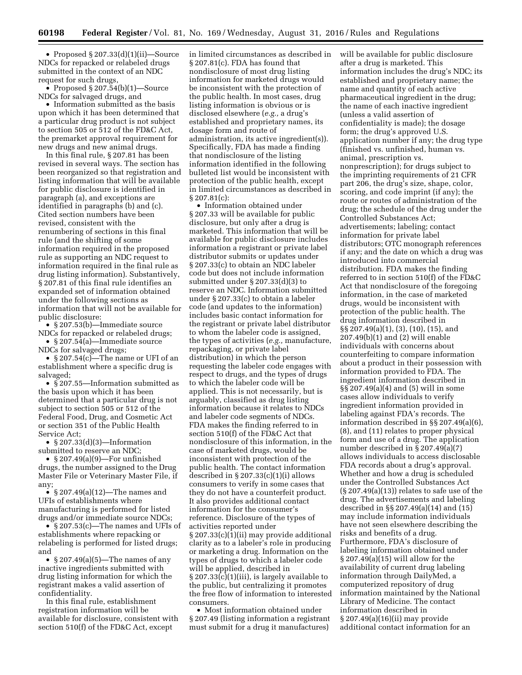• Proposed § 207.33(d)(1)(ii)—Source NDCs for repacked or relabeled drugs submitted in the context of an NDC request for such drugs,

• Proposed  $\S 207.54(b)(1)$ —Source NDCs for salvaged drugs, and

• Information submitted as the basis upon which it has been determined that a particular drug product is not subject to section 505 or 512 of the FD&C Act, the premarket approval requirement for new drugs and new animal drugs.

In this final rule, § 207.81 has been revised in several ways. The section has been reorganized so that registration and listing information that will be available for public disclosure is identified in paragraph (a), and exceptions are identified in paragraphs (b) and (c). Cited section numbers have been revised, consistent with the renumbering of sections in this final rule (and the shifting of some information required in the proposed rule as supporting an NDC request to information required in the final rule as drug listing information). Substantively, § 207.81 of this final rule identifies an expanded set of information obtained under the following sections as information that will not be available for public disclosure:

• § 207.53(b)—Immediate source NDCs for repacked or relabeled drugs;

• § 207.54(a)—Immediate source NDCs for salvaged drugs;

• § 207.54(c)—The name or UFI of an establishment where a specific drug is salvaged;

• §207.55—Information submitted as the basis upon which it has been determined that a particular drug is not subject to section 505 or 512 of the Federal Food, Drug, and Cosmetic Act or section 351 of the Public Health Service Act;

• § 207.33(d)(3)—Information submitted to reserve an NDC;

• § 207.49(a)(9)—For unfinished drugs, the number assigned to the Drug Master File or Veterinary Master File, if any;

•  $§ 207.49(a)(12)$ —The names and UFIs of establishments where manufacturing is performed for listed drugs and/or immediate source NDCs;

• § 207.53(c)—The names and UFIs of establishments where repacking or relabeling is performed for listed drugs; and

• § 207.49(a)(5)—The names of any inactive ingredients submitted with drug listing information for which the registrant makes a valid assertion of confidentiality.

In this final rule, establishment registration information will be available for disclosure, consistent with section 510(f) of the FD&C Act, except

in limited circumstances as described in § 207.81(c). FDA has found that nondisclosure of most drug listing information for marketed drugs would be inconsistent with the protection of the public health. In most cases, drug listing information is obvious or is disclosed elsewhere (*e.g.,* a drug's established and proprietary names, its dosage form and route of administration, its active ingredient(s)). Specifically, FDA has made a finding that nondisclosure of the listing information identified in the following bulleted list would be inconsistent with protection of the public health, except in limited circumstances as described in § 207.81(c):

• Information obtained under § 207.33 will be available for public disclosure, but only after a drug is marketed. This information that will be available for public disclosure includes information a registrant or private label distributor submits or updates under § 207.33(c) to obtain an NDC labeler code but does not include information submitted under § 207.33(d)(3) to reserve an NDC. Information submitted under § 207.33(c) to obtain a labeler code (and updates to the information) includes basic contact information for the registrant or private label distributor to whom the labeler code is assigned, the types of activities (*e.g.,* manufacture, repackaging, or private label distribution) in which the person requesting the labeler code engages with respect to drugs, and the types of drugs to which the labeler code will be applied. This is not necessarily, but is arguably, classified as drug listing information because it relates to NDCs and labeler code segments of NDCs. FDA makes the finding referred to in section 510(f) of the FD&C Act that nondisclosure of this information, in the case of marketed drugs, would be inconsistent with protection of the public health. The contact information described in § 207.33(c)(1)(i) allows consumers to verify in some cases that they do not have a counterfeit product. It also provides additional contact information for the consumer's reference. Disclosure of the types of activities reported under § 207.33(c)(1)(ii) may provide additional clarity as to a labeler's role in producing or marketing a drug. Information on the types of drugs to which a labeler code will be applied, described in § 207.33(c)(1)(iii), is largely available to the public, but centralizing it promotes the free flow of information to interested consumers.

• Most information obtained under § 207.49 (listing information a registrant must submit for a drug it manufactures)

will be available for public disclosure after a drug is marketed. This information includes the drug's NDC; its established and proprietary name; the name and quantity of each active pharmaceutical ingredient in the drug; the name of each inactive ingredient (unless a valid assertion of confidentiality is made); the dosage form; the drug's approved U.S. application number if any; the drug type (finished vs. unfinished, human vs. animal, prescription vs. nonprescription); for drugs subject to the imprinting requirements of 21 CFR part 206, the drug's size, shape, color, scoring, and code imprint (if any); the route or routes of administration of the drug; the schedule of the drug under the Controlled Substances Act; advertisements; labeling; contact information for private label distributors; OTC monograph references if any; and the date on which a drug was introduced into commercial distribution. FDA makes the finding referred to in section 510(f) of the FD&C Act that nondisclosure of the foregoing information, in the case of marketed drugs, would be inconsistent with protection of the public health. The drug information described in §§ 207.49(a)(1), (3), (10), (15), and 207.49(b)(1) and (2) will enable individuals with concerns about counterfeiting to compare information about a product in their possession with information provided to FDA. The ingredient information described in §§ 207.49(a)(4) and (5) will in some cases allow individuals to verify ingredient information provided in labeling against FDA's records. The information described in §§ 207.49(a)(6), (8), and (11) relates to proper physical form and use of a drug. The application number described in § 207.49(a)(7) allows individuals to access disclosable FDA records about a drug's approval. Whether and how a drug is scheduled under the Controlled Substances Act  $(\S 207.49(a)(13))$  relates to safe use of the drug. The advertisements and labeling described in §§ 207.49(a)(14) and (15) may include information individuals have not seen elsewhere describing the risks and benefits of a drug. Furthermore, FDA's disclosure of labeling information obtained under § 207.49(a)(15) will allow for the availability of current drug labeling information through DailyMed, a computerized repository of drug information maintained by the National Library of Medicine. The contact information described in § 207.49(a)(16)(ii) may provide additional contact information for an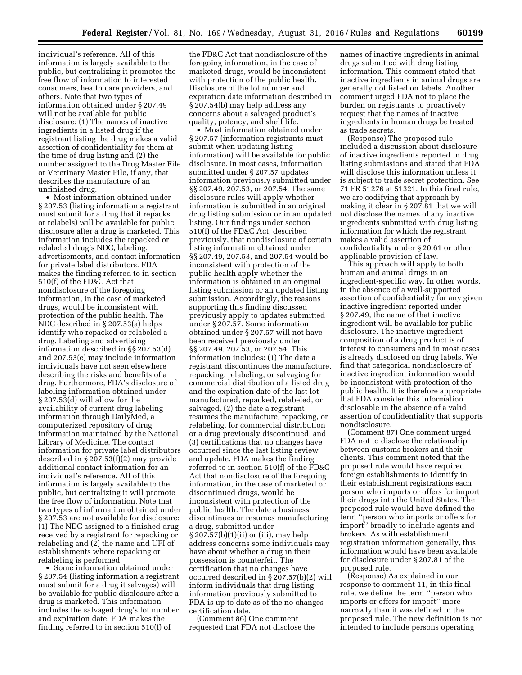individual's reference. All of this information is largely available to the public, but centralizing it promotes the free flow of information to interested consumers, health care providers, and others. Note that two types of information obtained under § 207.49 will not be available for public disclosure: (1) The names of inactive ingredients in a listed drug if the registrant listing the drug makes a valid assertion of confidentiality for them at the time of drug listing and (2) the number assigned to the Drug Master File or Veterinary Master File, if any, that describes the manufacture of an unfinished drug.

• Most information obtained under § 207.53 (listing information a registrant must submit for a drug that it repacks or relabels) will be available for public disclosure after a drug is marketed. This information includes the repacked or relabeled drug's NDC, labeling, advertisements, and contact information for private label distributors. FDA makes the finding referred to in section 510(f) of the FD&C Act that nondisclosure of the foregoing information, in the case of marketed drugs, would be inconsistent with protection of the public health. The NDC described in § 207.53(a) helps identify who repacked or relabeled a drug. Labeling and advertising information described in §§ 207.53(d) and 207.53(e) may include information individuals have not seen elsewhere describing the risks and benefits of a drug. Furthermore, FDA's disclosure of labeling information obtained under § 207.53(d) will allow for the availability of current drug labeling information through DailyMed, a computerized repository of drug information maintained by the National Library of Medicine. The contact information for private label distributors described in § 207.53(f)(2) may provide additional contact information for an individual's reference. All of this information is largely available to the public, but centralizing it will promote the free flow of information. Note that two types of information obtained under § 207.53 are not available for disclosure: (1) The NDC assigned to a finished drug received by a registrant for repacking or relabeling and (2) the name and UFI of establishments where repacking or relabeling is performed.

• Some information obtained under § 207.54 (listing information a registrant must submit for a drug it salvages) will be available for public disclosure after a drug is marketed. This information includes the salvaged drug's lot number and expiration date. FDA makes the finding referred to in section 510(f) of

the FD&C Act that nondisclosure of the foregoing information, in the case of marketed drugs, would be inconsistent with protection of the public health. Disclosure of the lot number and expiration date information described in § 207.54(b) may help address any concerns about a salvaged product's quality, potency, and shelf life.

• Most information obtained under § 207.57 (information registrants must submit when updating listing information) will be available for public disclosure. In most cases, information submitted under § 207.57 updates information previously submitted under §§ 207.49, 207.53, or 207.54. The same disclosure rules will apply whether information is submitted in an original drug listing submission or in an updated listing. Our findings under section 510(f) of the FD&C Act, described previously, that nondisclosure of certain listing information obtained under §§ 207.49, 207.53, and 207.54 would be inconsistent with protection of the public health apply whether the information is obtained in an original listing submission or an updated listing submission. Accordingly, the reasons supporting this finding discussed previously apply to updates submitted under § 207.57. Some information obtained under § 207.57 will not have been received previously under §§ 207.49, 207.53, or 207.54. This information includes: (1) The date a registrant discontinues the manufacture, repacking, relabeling, or salvaging for commercial distribution of a listed drug and the expiration date of the last lot manufactured, repacked, relabeled, or salvaged, (2) the date a registrant resumes the manufacture, repacking, or relabeling, for commercial distribution or a drug previously discontinued, and (3) certifications that no changes have occurred since the last listing review and update. FDA makes the finding referred to in section 510(f) of the FD&C Act that nondisclosure of the foregoing information, in the case of marketed or discontinued drugs, would be inconsistent with protection of the public health. The date a business discontinues or resumes manufacturing a drug, submitted under § 207.57(b)(1)(ii) or (iii), may help address concerns some individuals may have about whether a drug in their possession is counterfeit. The certification that no changes have occurred described in § 207.57(b)(2) will inform individuals that drug listing information previously submitted to FDA is up to date as of the no changes certification date.

(Comment 86) One comment requested that FDA not disclose the

names of inactive ingredients in animal drugs submitted with drug listing information. This comment stated that inactive ingredients in animal drugs are generally not listed on labels. Another comment urged FDA not to place the burden on registrants to proactively request that the names of inactive ingredients in human drugs be treated as trade secrets.

(Response) The proposed rule included a discussion about disclosure of inactive ingredients reported in drug listing submissions and stated that FDA will disclose this information unless it is subject to trade secret protection. See 71 FR 51276 at 51321. In this final rule, we are codifying that approach by making it clear in § 207.81 that we will not disclose the names of any inactive ingredients submitted with drug listing information for which the registrant makes a valid assertion of confidentiality under § 20.61 or other applicable provision of law.

This approach will apply to both human and animal drugs in an ingredient-specific way. In other words, in the absence of a well-supported assertion of confidentiality for any given inactive ingredient reported under § 207.49, the name of that inactive ingredient will be available for public disclosure. The inactive ingredient composition of a drug product is of interest to consumers and in most cases is already disclosed on drug labels. We find that categorical nondisclosure of inactive ingredient information would be inconsistent with protection of the public health. It is therefore appropriate that FDA consider this information disclosable in the absence of a valid assertion of confidentiality that supports nondisclosure.

(Comment 87) One comment urged FDA not to disclose the relationship between customs brokers and their clients. This comment noted that the proposed rule would have required foreign establishments to identify in their establishment registrations each person who imports or offers for import their drugs into the United States. The proposed rule would have defined the term ''person who imports or offers for import'' broadly to include agents and brokers. As with establishment registration information generally, this information would have been available for disclosure under § 207.81 of the proposed rule.

(Response) As explained in our response to comment 11, in this final rule, we define the term ''person who imports or offers for import'' more narrowly than it was defined in the proposed rule. The new definition is not intended to include persons operating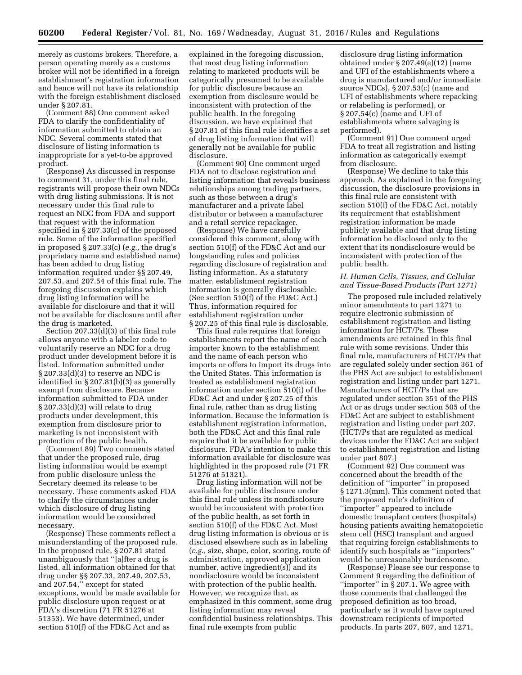merely as customs brokers. Therefore, a person operating merely as a customs broker will not be identified in a foreign establishment's registration information and hence will not have its relationship with the foreign establishment disclosed under § 207.81.

(Comment 88) One comment asked FDA to clarify the confidentiality of information submitted to obtain an NDC. Several comments stated that disclosure of listing information is inappropriate for a yet-to-be approved product.

(Response) As discussed in response to comment 31, under this final rule, registrants will propose their own NDCs with drug listing submissions. It is not necessary under this final rule to request an NDC from FDA and support that request with the information specified in § 207.33(c) of the proposed rule. Some of the information specified in proposed § 207.33(c) (*e.g.,* the drug's proprietary name and established name) has been added to drug listing information required under §§ 207.49, 207.53, and 207.54 of this final rule. The foregoing discussion explains which drug listing information will be available for disclosure and that it will not be available for disclosure until after the drug is marketed.

Section 207.33(d)(3) of this final rule allows anyone with a labeler code to voluntarily reserve an NDC for a drug product under development before it is listed. Information submitted under § 207.33(d)(3) to reserve an NDC is identified in § 207.81(b)(3) as generally exempt from disclosure. Because information submitted to FDA under § 207.33(d)(3) will relate to drug products under development, this exemption from disclosure prior to marketing is not inconsistent with protection of the public health.

(Comment 89) Two comments stated that under the proposed rule, drug listing information would be exempt from public disclosure unless the Secretary deemed its release to be necessary. These comments asked FDA to clarify the circumstances under which disclosure of drug listing information would be considered necessary.

(Response) These comments reflect a misunderstanding of the proposed rule. In the proposed rule, § 207.81 stated unambiguously that ''[a]fter a drug is listed, all information obtained for that drug under §§ 207.33, 207.49, 207.53, and 207.54,'' except for stated exceptions, would be made available for public disclosure upon request or at FDA's discretion (71 FR 51276 at 51353). We have determined, under section 510(f) of the FD&C Act and as

explained in the foregoing discussion, that most drug listing information relating to marketed products will be categorically presumed to be available for public disclosure because an exemption from disclosure would be inconsistent with protection of the public health. In the foregoing discussion, we have explained that § 207.81 of this final rule identifies a set of drug listing information that will generally not be available for public disclosure.

(Comment 90) One comment urged FDA not to disclose registration and listing information that reveals business relationships among trading partners, such as those between a drug's manufacturer and a private label distributor or between a manufacturer and a retail service repackager.

(Response) We have carefully considered this comment, along with section 510(f) of the FD&C Act and our longstanding rules and policies regarding disclosure of registration and listing information. As a statutory matter, establishment registration information is generally disclosable. (See section 510(f) of the FD&C Act.) Thus, information required for establishment registration under § 207.25 of this final rule is disclosable.

This final rule requires that foreign establishments report the name of each importer known to the establishment and the name of each person who imports or offers to import its drugs into the United States. This information is treated as establishment registration information under section 510(i) of the FD&C Act and under § 207.25 of this final rule, rather than as drug listing information. Because the information is establishment registration information, both the FD&C Act and this final rule require that it be available for public disclosure. FDA's intention to make this information available for disclosure was highlighted in the proposed rule (71 FR 51276 at 51321).

Drug listing information will not be available for public disclosure under this final rule unless its nondisclosure would be inconsistent with protection of the public health, as set forth in section 510(f) of the FD&C Act. Most drug listing information is obvious or is disclosed elsewhere such as in labeling (*e.g.,* size, shape, color, scoring, route of administration, approved application number, active ingredient(s)) and its nondisclosure would be inconsistent with protection of the public health. However, we recognize that, as emphasized in this comment, some drug listing information may reveal confidential business relationships. This final rule exempts from public

disclosure drug listing information obtained under § 207.49(a)(12) (name and UFI of the establishments where a drug is manufactured and/or immediate source NDCs), § 207.53(c) (name and UFI of establishments where repacking or relabeling is performed), or § 207.54(c) (name and UFI of establishments where salvaging is performed).

(Comment 91) One comment urged FDA to treat all registration and listing information as categorically exempt from disclosure.

(Response) We decline to take this approach. As explained in the foregoing discussion, the disclosure provisions in this final rule are consistent with section 510(f) of the FD&C Act, notably its requirement that establishment registration information be made publicly available and that drug listing information be disclosed only to the extent that its nondisclosure would be inconsistent with protection of the public health.

## *H. Human Cells, Tissues, and Cellular and Tissue-Based Products (Part 1271)*

The proposed rule included relatively minor amendments to part 1271 to require electronic submission of establishment registration and listing information for HCT/Ps. These amendments are retained in this final rule with some revisions. Under this final rule, manufacturers of HCT/Ps that are regulated solely under section 361 of the PHS Act are subject to establishment registration and listing under part 1271. Manufacturers of HCT/Ps that are regulated under section 351 of the PHS Act or as drugs under section 505 of the FD&C Act are subject to establishment registration and listing under part 207. (HCT/Ps that are regulated as medical devices under the FD&C Act are subject to establishment registration and listing under part 807.)

(Comment 92) One comment was concerned about the breadth of the definition of ''importer'' in proposed § 1271.3(mm). This comment noted that the proposed rule's definition of ''importer'' appeared to include domestic transplant centers (hospitals) housing patients awaiting hematopoietic stem cell (HSC) transplant and argued that requiring foreign establishments to identify such hospitals as ''importers'' would be unreasonably burdensome.

(Response) Please see our response to Comment 9 regarding the definition of ''importer'' in § 207.1. We agree with those comments that challenged the proposed definition as too broad, particularly as it would have captured downstream recipients of imported products. In parts 207, 607, and 1271,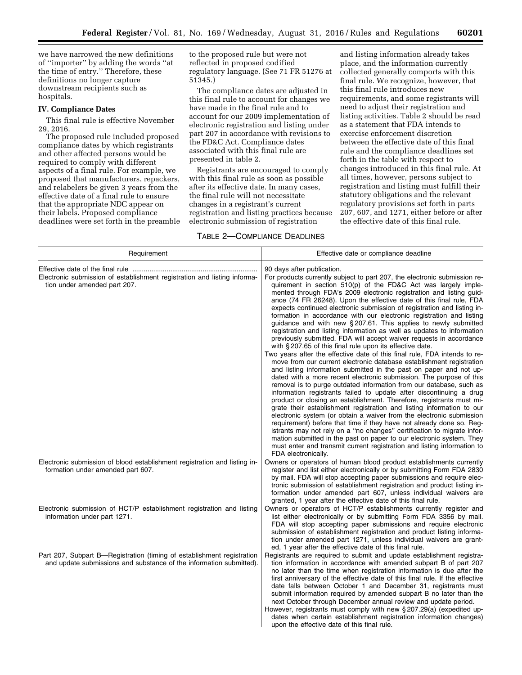we have narrowed the new definitions of ''importer'' by adding the words ''at the time of entry.'' Therefore, these definitions no longer capture downstream recipients such as hospitals.

#### **IV. Compliance Dates**

This final rule is effective November 29, 2016.

The proposed rule included proposed compliance dates by which registrants and other affected persons would be required to comply with different aspects of a final rule. For example, we proposed that manufacturers, repackers, and relabelers be given 3 years from the effective date of a final rule to ensure that the appropriate NDC appear on their labels. Proposed compliance deadlines were set forth in the preamble to the proposed rule but were not reflected in proposed codified regulatory language. (See 71 FR 51276 at 51345.)

The compliance dates are adjusted in this final rule to account for changes we have made in the final rule and to account for our 2009 implementation of electronic registration and listing under part 207 in accordance with revisions to the FD&C Act. Compliance dates associated with this final rule are presented in table 2.

Registrants are encouraged to comply with this final rule as soon as possible after its effective date. In many cases, the final rule will not necessitate changes in a registrant's current registration and listing practices because electronic submission of registration

## TABLE 2—COMPLIANCE DEADLINES

and listing information already takes place, and the information currently collected generally comports with this final rule. We recognize, however, that this final rule introduces new requirements, and some registrants will need to adjust their registration and listing activities. Table 2 should be read as a statement that FDA intends to exercise enforcement discretion between the effective date of this final rule and the compliance deadlines set forth in the table with respect to changes introduced in this final rule. At all times, however, persons subject to registration and listing must fulfill their statutory obligations and the relevant regulatory provisions set forth in parts 207, 607, and 1271, either before or after the effective date of this final rule.

| Requirement                                                                                                                                   | Effective date or compliance deadline                                                                                                                                                                                                                                                                                                                                                                                                                                                                                                                                                                                                                                                                                                                                                                                                                                                                                                                                                                                                                                                                                                                                                                                                                                                                                                                                                                                                                                                                                                                                                                                                                                                                                                                            |
|-----------------------------------------------------------------------------------------------------------------------------------------------|------------------------------------------------------------------------------------------------------------------------------------------------------------------------------------------------------------------------------------------------------------------------------------------------------------------------------------------------------------------------------------------------------------------------------------------------------------------------------------------------------------------------------------------------------------------------------------------------------------------------------------------------------------------------------------------------------------------------------------------------------------------------------------------------------------------------------------------------------------------------------------------------------------------------------------------------------------------------------------------------------------------------------------------------------------------------------------------------------------------------------------------------------------------------------------------------------------------------------------------------------------------------------------------------------------------------------------------------------------------------------------------------------------------------------------------------------------------------------------------------------------------------------------------------------------------------------------------------------------------------------------------------------------------------------------------------------------------------------------------------------------------|
| Electronic submission of establishment registration and listing informa-<br>tion under amended part 207.                                      | 90 days after publication.<br>For products currently subject to part 207, the electronic submission re-<br>quirement in section 510(p) of the FD&C Act was largely imple-<br>mented through FDA's 2009 electronic registration and listing guid-<br>ance (74 FR 26248). Upon the effective date of this final rule, FDA<br>expects continued electronic submission of registration and listing in-<br>formation in accordance with our electronic registration and listing<br>guidance and with new § 207.61. This applies to newly submitted<br>registration and listing information as well as updates to information<br>previously submitted. FDA will accept waiver requests in accordance<br>with §207.65 of this final rule upon its effective date.<br>Two years after the effective date of this final rule, FDA intends to re-<br>move from our current electronic database establishment registration<br>and listing information submitted in the past on paper and not up-<br>dated with a more recent electronic submission. The purpose of this<br>removal is to purge outdated information from our database, such as<br>information registrants failed to update after discontinuing a drug<br>product or closing an establishment. Therefore, registrants must mi-<br>grate their establishment registration and listing information to our<br>electronic system (or obtain a waiver from the electronic submission<br>requirement) before that time if they have not already done so. Req-<br>istrants may not rely on a "no changes" certification to migrate infor-<br>mation submitted in the past on paper to our electronic system. They<br>must enter and transmit current registration and listing information to<br>FDA electronically. |
| Electronic submission of blood establishment registration and listing in-<br>formation under amended part 607.                                | Owners or operators of human blood product establishments currently<br>register and list either electronically or by submitting Form FDA 2830<br>by mail. FDA will stop accepting paper submissions and require elec-<br>tronic submission of establishment registration and product listing in-<br>formation under amended part 607, unless individual waivers are<br>granted, 1 year after the effective date of this final rule.                                                                                                                                                                                                                                                                                                                                                                                                                                                                                                                                                                                                                                                                                                                                                                                                                                                                                                                                                                                                                                                                                                                                                                                                                                                                                                                              |
| Electronic submission of HCT/P establishment registration and listing<br>information under part 1271.                                         | Owners or operators of HCT/P establishments currently register and<br>list either electronically or by submitting Form FDA 3356 by mail.<br>FDA will stop accepting paper submissions and require electronic<br>submission of establishment registration and product listing informa-<br>tion under amended part 1271, unless individual waivers are grant-<br>ed, 1 year after the effective date of this final rule.                                                                                                                                                                                                                                                                                                                                                                                                                                                                                                                                                                                                                                                                                                                                                                                                                                                                                                                                                                                                                                                                                                                                                                                                                                                                                                                                           |
| Part 207, Subpart B-Registration (timing of establishment registration<br>and update submissions and substance of the information submitted). | Registrants are required to submit and update establishment registra-<br>tion information in accordance with amended subpart B of part 207<br>no later than the time when registration information is due after the<br>first anniversary of the effective date of this final rule. If the effective<br>date falls between October 1 and December 31, registrants must<br>submit information required by amended subpart B no later than the<br>next October through December annual review and update period.<br>However, registrants must comply with new § 207.29(a) (expedited up-<br>dates when certain establishment registration information changes)<br>upon the effective date of this final rule.                                                                                                                                                                                                                                                                                                                                                                                                                                                                                                                                                                                                                                                                                                                                                                                                                                                                                                                                                                                                                                                       |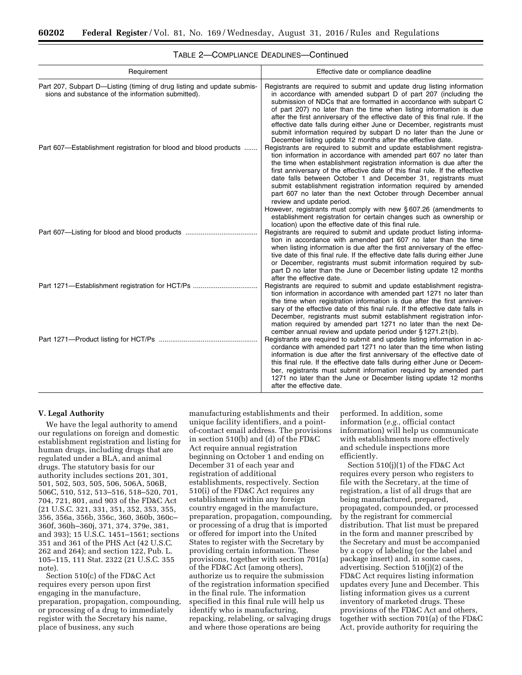| Requirement                                                                                                                                                                                      | Effective date or compliance deadline                                                                                                                                                                                                                                                                                                                                                                                                                                                                                                                                                                                                                                                                                                                                                                                                                                                                                                                                                                                                                                                                  |
|--------------------------------------------------------------------------------------------------------------------------------------------------------------------------------------------------|--------------------------------------------------------------------------------------------------------------------------------------------------------------------------------------------------------------------------------------------------------------------------------------------------------------------------------------------------------------------------------------------------------------------------------------------------------------------------------------------------------------------------------------------------------------------------------------------------------------------------------------------------------------------------------------------------------------------------------------------------------------------------------------------------------------------------------------------------------------------------------------------------------------------------------------------------------------------------------------------------------------------------------------------------------------------------------------------------------|
| Part 207, Subpart D-Listing (timing of drug listing and update submis-<br>sions and substance of the information submitted).<br>Part 607-Establishment registration for blood and blood products | Registrants are required to submit and update drug listing information<br>in accordance with amended subpart D of part 207 (including the<br>submission of NDCs that are formatted in accordance with subpart C<br>of part 207) no later than the time when listing information is due<br>after the first anniversary of the effective date of this final rule. If the<br>effective date falls during either June or December, registrants must<br>submit information required by subpart D no later than the June or<br>December listing update 12 months after the effective date.<br>Registrants are required to submit and update establishment registra-<br>tion information in accordance with amended part 607 no later than<br>the time when establishment registration information is due after the<br>first anniversary of the effective date of this final rule. If the effective<br>date falls between October 1 and December 31, registrants must<br>submit establishment registration information required by amended<br>part 607 no later than the next October through December annual |
| Part 607-Listing for blood and blood products                                                                                                                                                    | review and update period.<br>However, registrants must comply with new §607.26 (amendments to<br>establishment registration for certain changes such as ownership or<br>location) upon the effective date of this final rule.<br>Registrants are required to submit and update product listing informa-<br>tion in accordance with amended part 607 no later than the time<br>when listing information is due after the first anniversary of the effec-<br>tive date of this final rule. If the effective date falls during either June<br>or December, registrants must submit information required by sub-<br>part D no later than the June or December listing update 12 months<br>after the effective date.                                                                                                                                                                                                                                                                                                                                                                                        |
| Part 1271—Establishment registration for HCT/Ps                                                                                                                                                  | Registrants are required to submit and update establishment registra-<br>tion information in accordance with amended part 1271 no later than<br>the time when registration information is due after the first anniver-<br>sary of the effective date of this final rule. If the effective date falls in<br>December, registrants must submit establishment registration infor-<br>mation required by amended part 1271 no later than the next De-                                                                                                                                                                                                                                                                                                                                                                                                                                                                                                                                                                                                                                                      |
|                                                                                                                                                                                                  | cember annual review and update period under §1271.21(b).<br>Registrants are required to submit and update listing information in ac-<br>cordance with amended part 1271 no later than the time when listing<br>information is due after the first anniversary of the effective date of<br>this final rule. If the effective date falls during either June or Decem-<br>ber, registrants must submit information required by amended part<br>1271 no later than the June or December listing update 12 months<br>after the effective date.                                                                                                                                                                                                                                                                                                                                                                                                                                                                                                                                                             |

## TABLE 2—COMPLIANCE DEADLINES—Continued

## **V. Legal Authority**

We have the legal authority to amend our regulations on foreign and domestic establishment registration and listing for human drugs, including drugs that are regulated under a BLA, and animal drugs. The statutory basis for our authority includes sections 201, 301, 501, 502, 503, 505, 506, 506A, 506B, 506C, 510, 512, 513–516, 518–520, 701, 704, 721, 801, and 903 of the FD&C Act (21 U.S.C. 321, 331, 351, 352, 353, 355, 356, 356a, 356b, 356c, 360, 360b, 360c– 360f, 360h–360j, 371, 374, 379e, 381, and 393); 15 U.S.C. 1451–1561; sections 351 and 361 of the PHS Act (42 U.S.C. 262 and 264); and section 122, Pub. L. 105–115, 111 Stat. 2322 (21 U.S.C. 355 note).

Section 510(c) of the FD&C Act requires every person upon first engaging in the manufacture, preparation, propagation, compounding, or processing of a drug to immediately register with the Secretary his name, place of business, any such

manufacturing establishments and their unique facility identifiers, and a pointof-contact email address. The provisions in section 510(b) and (d) of the FD&C Act require annual registration beginning on October 1 and ending on December 31 of each year and registration of additional establishments, respectively. Section 510(i) of the FD&C Act requires any establishment within any foreign country engaged in the manufacture, preparation, propagation, compounding, or processing of a drug that is imported or offered for import into the United States to register with the Secretary by providing certain information. These provisions, together with section 701(a) of the FD&C Act (among others), authorize us to require the submission of the registration information specified in the final rule. The information specified in this final rule will help us identify who is manufacturing, repacking, relabeling, or salvaging drugs and where those operations are being

performed. In addition, some information (*e.g.,* official contact information) will help us communicate with establishments more effectively and schedule inspections more efficiently.

Section 510(j)(1) of the FD&C Act requires every person who registers to file with the Secretary, at the time of registration, a list of all drugs that are being manufactured, prepared, propagated, compounded, or processed by the registrant for commercial distribution. That list must be prepared in the form and manner prescribed by the Secretary and must be accompanied by a copy of labeling (or the label and package insert) and, in some cases, advertising. Section 510(j)(2) of the FD&C Act requires listing information updates every June and December. This listing information gives us a current inventory of marketed drugs. These provisions of the FD&C Act and others, together with section 701(a) of the FD&C Act, provide authority for requiring the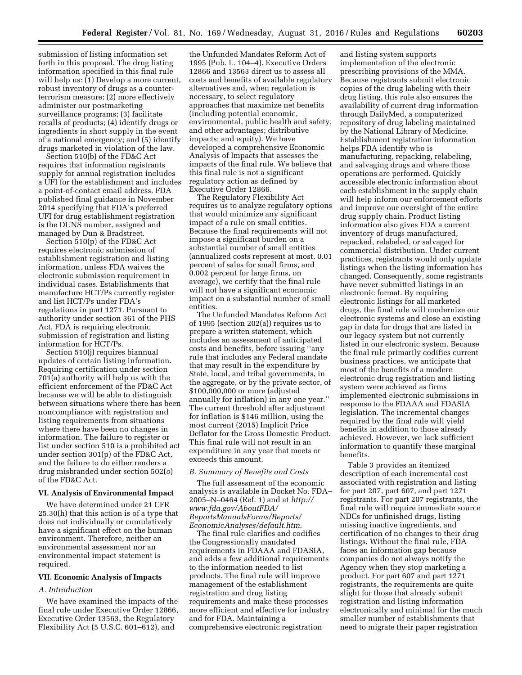submission of listing information set forth in this proposal. The drug listing information specified in this final rule will help us: (1) Develop a more current, robust inventory of drugs as a counterterrorism measure; (2) more effectively administer our postmarketing surveillance programs; (3) facilitate recalls of products; (4) identify drugs or ingredients in short supply in the event of a national emergency; and (5) identify drugs marketed in violation of the law.

Section 510(b) of the FD&C Act requires that information registrants supply for annual registration includes a UFI for the establishment and includes a point-of-contact email address. FDA published final guidance in November 2014 specifying that FDA's preferred UFI for drug establishment registration is the DUNS number, assigned and managed by Dun & Bradstreet.

Section 510(p) of the FD&C Act requires electronic submission of establishment registration and listing information, unless FDA waives the electronic submission requirement in individual cases. Establishments that manufacture HCT/Ps currently register and list HCT/Ps under FDA's regulations in part 1271. Pursuant to authority under section 361 of the PHS Act, FDA is requiring electronic submission of registration and listing information for HCT/Ps.

Section 510(j) requires biannual updates of certain listing information. Requiring certification under section 701(a) authority will help us with the efficient enforcement of the FD&C Act because we will be able to distinguish between situations where there has been noncompliance with registration and listing requirements from situations where there have been no changes in information. The failure to register or list under section 510 is a prohibited act under section 301(p) of the FD&C Act, and the failure to do either renders a drug misbranded under section 502(*o*) of the FD&C Act.

### **VI. Analysis of Environmental Impact**

We have determined under 21 CFR 25.30(h) that this action is of a type that does not individually or cumulatively have a significant effect on the human environment. Therefore, neither an environmental assessment nor an environmental impact statement is required.

### **VII. Economic Analysis of Impacts**

## *A. Introduction*

We have examined the impacts of the final rule under Executive Order 12866, Executive Order 13563, the Regulatory Flexibility Act (5 U.S.C. 601–612), and

the Unfunded Mandates Reform Act of 1995 (Pub. L. 104–4). Executive Orders 12866 and 13563 direct us to assess all costs and benefits of available regulatory alternatives and, when regulation is necessary, to select regulatory approaches that maximize net benefits (including potential economic, environmental, public health and safety, and other advantages; distributive impacts; and equity). We have developed a comprehensive Economic Analysis of Impacts that assesses the impacts of the final rule. We believe that this final rule is not a significant regulatory action as defined by Executive Order 12866.

The Regulatory Flexibility Act requires us to analyze regulatory options that would minimize any significant impact of a rule on small entities. Because the final requirements will not impose a significant burden on a substantial number of small entities (annualized costs represent at most, 0.01 percent of sales for small firms, and 0.002 percent for large firms, on average), we certify that the final rule will not have a significant economic impact on a substantial number of small entities.

The Unfunded Mandates Reform Act of 1995 (section 202(a)) requires us to prepare a written statement, which includes an assessment of anticipated costs and benefits, before issuing ''any rule that includes any Federal mandate that may result in the expenditure by State, local, and tribal governments, in the aggregate, or by the private sector, of \$100,000,000 or more (adjusted annually for inflation) in any one year.'' The current threshold after adjustment for inflation is \$146 million, using the most current (2015) Implicit Price Deflator for the Gross Domestic Product. This final rule will not result in an expenditure in any year that meets or exceeds this amount.

## *B. Summary of Benefits and Costs*

The full assessment of the economic analysis is available in Docket No. FDA– 2005–N–0464 (Ref. 1) and at *[http://](http://www.fda.gov/AboutFDA/ReportsManualsForms/Reports/EconomicAnalyses/default.htm) [www.fda.gov/AboutFDA/](http://www.fda.gov/AboutFDA/ReportsManualsForms/Reports/EconomicAnalyses/default.htm) [ReportsManualsForms/Reports/](http://www.fda.gov/AboutFDA/ReportsManualsForms/Reports/EconomicAnalyses/default.htm)  [EconomicAnalyses/default.htm.](http://www.fda.gov/AboutFDA/ReportsManualsForms/Reports/EconomicAnalyses/default.htm)* 

The final rule clarifies and codifies the Congressionally mandated requirements in FDAAA and FDASIA, and adds a few additional requirements to the information needed to list products. The final rule will improve management of the establishment registration and drug listing requirements and make these processes more efficient and effective for industry and for FDA. Maintaining a comprehensive electronic registration

and listing system supports implementation of the electronic prescribing provisions of the MMA. Because registrants submit electronic copies of the drug labeling with their drug listing, this rule also ensures the availability of current drug information through DailyMed, a computerized repository of drug labeling maintained by the National Library of Medicine. Establishment registration information helps FDA identify who is manufacturing, repacking, relabeling, and salvaging drugs and where those operations are performed. Quickly accessible electronic information about each establishment in the supply chain will help inform our enforcement efforts and improve our oversight of the entire drug supply chain. Product listing information also gives FDA a current inventory of drugs manufactured, repacked, relabeled, or salvaged for commercial distribution. Under current practices, registrants would only update listings when the listing information has changed. Consequently, some registrants have never submitted listings in an electronic format. By requiring electronic listings for all marketed drugs, the final rule will modernize our electronic systems and close an existing gap in data for drugs that are listed in our legacy system but not currently listed in our electronic system. Because the final rule primarily codifies current business practices, we anticipate that most of the benefits of a modern electronic drug registration and listing system were achieved as firms implemented electronic submissions in response to the FDAAA and FDASIA legislation. The incremental changes required by the final rule will yield benefits in addition to those already achieved. However, we lack sufficient information to quantify these marginal benefits.

Table 3 provides an itemized description of each incremental cost associated with registration and listing for part 207, part 607, and part 1271 registrants. For part 207 registrants, the final rule will require immediate source NDCs for unfinished drugs, listing missing inactive ingredients, and certification of no changes to their drug listings. Without the final rule, FDA faces an information gap because companies do not always notify the Agency when they stop marketing a product. For part 607 and part 1271 registrants, the requirements are quite slight for those that already submit registration and listing information electronically and minimal for the much smaller number of establishments that need to migrate their paper registration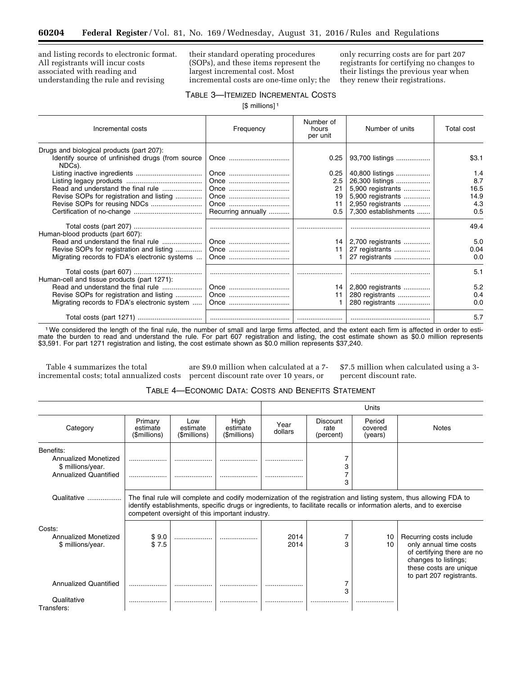and listing records to electronic format. All registrants will incur costs associated with reading and understanding the rule and revising

their standard operating procedures (SOPs), and these items represent the largest incremental cost. Most incremental costs are one-time only; the

only recurring costs are for part 207 registrants for certifying no changes to their listings the previous year when they renew their registrations.

## TABLE 3—ITEMIZED INCREMENTAL COSTS

[\$ millions]<sup>1</sup>

| Incremental costs                                          | Frequency          | Number of<br>hours<br>per unit | Number of units      | Total cost |
|------------------------------------------------------------|--------------------|--------------------------------|----------------------|------------|
| Drugs and biological products (part 207):                  |                    |                                |                      |            |
| Identify source of unfinished drugs (from source<br>NDCs). | Once               | 0.25                           | 93,700 listings      | \$3.1      |
|                                                            |                    | 0.25                           | 40,800 listings      | 1.4        |
|                                                            |                    | 2.5                            | 26,300 listings      | 8.7        |
| Read and understand the final rule                         | Once               | 21                             | 5,900 registrants    | 16.5       |
| Revise SOPs for registration and listing                   |                    | 19                             | 5,900 registrants    | 14.9       |
|                                                            |                    | 11                             | 2,950 registrants    | 4.3        |
|                                                            | Recurring annually | 0.5                            | 7,300 establishments | 0.5        |
| Human-blood products (part 607):                           |                    |                                |                      | 49.4       |
| Read and understand the final rule                         | Once               | 14                             | 2,700 registrants    | 5.0        |
| Revise SOPs for registration and listing                   | Once               | 11                             | 27 registrants       | 0.04       |
| Migrating records to FDA's electronic systems              | Once               |                                | 27 registrants       | 0.0        |
| Human-cell and tissue products (part 1271):                |                    |                                |                      | 5.1        |
| Read and understand the final rule                         |                    | 14                             | 2,800 registrants    | 5.2        |
| Revise SOPs for registration and listing                   |                    | 11                             | 280 registrants      | 0.4        |
| Migrating records to FDA's electronic system               | Once               |                                | 280 registrants      | 0.0        |
|                                                            |                    |                                |                      | 5.7        |

1We considered the length of the final rule, the number of small and large firms affected, and the extent each firm is affected in order to estimate the burden to read and understand the rule. For part 607 registration and listing, the cost estimate shown as \$0.0 million represents \$3,591. For part 1271 registration and listing, the cost estimate shown as \$0.0 million represents \$37,240.

Table 4 summarizes the total incremental costs; total annualized costs

are \$9.0 million when calculated at a 7 percent discount rate over 10 years, or

\$7.5 million when calculated using a 3 percent discount rate.

| Table 4—Economic Data: Costs and Benefits Statement |  |
|-----------------------------------------------------|--|
|-----------------------------------------------------|--|

|                                                                                        |                                                                                                                                                                                                                                                                                               |                                 |                                  | Units           |                                      |                              |                                                                                                                                                               |  |
|----------------------------------------------------------------------------------------|-----------------------------------------------------------------------------------------------------------------------------------------------------------------------------------------------------------------------------------------------------------------------------------------------|---------------------------------|----------------------------------|-----------------|--------------------------------------|------------------------------|---------------------------------------------------------------------------------------------------------------------------------------------------------------|--|
| Category                                                                               | Primary<br>estimate<br>(\$millions)                                                                                                                                                                                                                                                           | Low<br>estimate<br>(\$millions) | High<br>estimate<br>(\$millions) | Year<br>dollars | <b>Discount</b><br>rate<br>(percent) | Period<br>covered<br>(years) | <b>Notes</b>                                                                                                                                                  |  |
| Benefits:<br>Annualized Monetized<br>\$ millions/year.<br><b>Annualized Quantified</b> |                                                                                                                                                                                                                                                                                               |                                 |                                  |                 | 3                                    |                              |                                                                                                                                                               |  |
| Qualitative                                                                            | The final rule will complete and codify modernization of the registration and listing system, thus allowing FDA to<br>identify establishments, specific drugs or ingredients, to facilitate recalls or information alerts, and to exercise<br>competent oversight of this important industry. |                                 |                                  |                 |                                      |                              |                                                                                                                                                               |  |
| Costs:<br>Annualized Monetized<br>\$ millions/year.                                    | \$9.0<br>\$7.5                                                                                                                                                                                                                                                                                |                                 |                                  | 2014<br>2014    | 3                                    | 10<br>10                     | Recurring costs include<br>only annual time costs<br>of certifying there are no<br>changes to listings;<br>these costs are unique<br>to part 207 registrants. |  |
| <b>Annualized Quantified</b>                                                           |                                                                                                                                                                                                                                                                                               |                                 |                                  |                 | 3                                    |                              |                                                                                                                                                               |  |
| Qualitative<br>Transfers:                                                              |                                                                                                                                                                                                                                                                                               |                                 |                                  |                 |                                      | .                            |                                                                                                                                                               |  |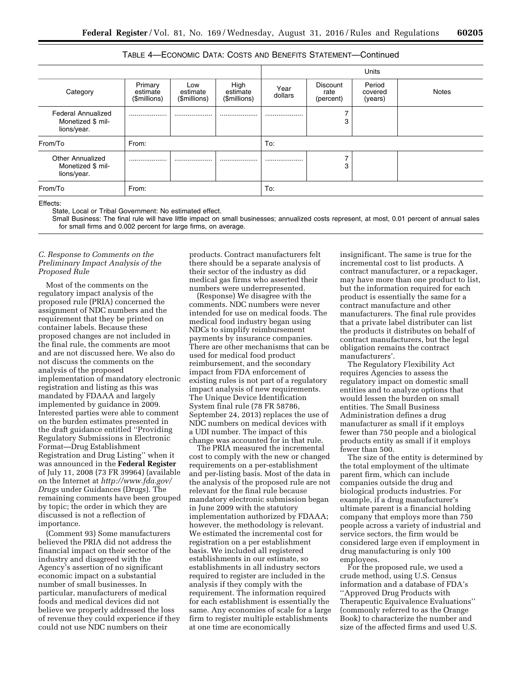|                                                               |                                     |                                 |                                  |                 |                                      | <b>Units</b>                 |              |
|---------------------------------------------------------------|-------------------------------------|---------------------------------|----------------------------------|-----------------|--------------------------------------|------------------------------|--------------|
| Category                                                      | Primary<br>estimate<br>(\$millions) | Low<br>estimate<br>(\$millions) | High<br>estimate<br>(\$millions) | Year<br>dollars | <b>Discount</b><br>rate<br>(percent) | Period<br>covered<br>(years) | <b>Notes</b> |
| <b>Federal Annualized</b><br>Monetized \$ mil-<br>lions/year. |                                     |                                 |                                  |                 | 3                                    |                              |              |
| From/To                                                       | From:                               |                                 |                                  | To:             |                                      |                              |              |
| <b>Other Annualized</b><br>Monetized \$ mil-<br>lions/year.   |                                     |                                 |                                  |                 | 3                                    |                              |              |
| From/To<br>From:                                              |                                     |                                 | To:                              |                 |                                      |                              |              |

TABLE 4—ECONOMIC DATA: COSTS AND BENEFITS STATEMENT—Continued

Effects:

State, Local or Tribal Government: No estimated effect.

Small Business: The final rule will have little impact on small businesses; annualized costs represent, at most, 0.01 percent of annual sales for small firms and 0.002 percent for large firms, on average.

## *C. Response to Comments on the Preliminary Impact Analysis of the Proposed Rule*

Most of the comments on the regulatory impact analysis of the proposed rule (PRIA) concerned the assignment of NDC numbers and the requirement that they be printed on container labels. Because these proposed changes are not included in the final rule, the comments are moot and are not discussed here. We also do not discuss the comments on the analysis of the proposed implementation of mandatory electronic registration and listing as this was mandated by FDAAA and largely implemented by guidance in 2009. Interested parties were able to comment on the burden estimates presented in the draft guidance entitled ''Providing Regulatory Submissions in Electronic Format—Drug Establishment Registration and Drug Listing'' when it was announced in the **Federal Register**  of July 11, 2008 (73 FR 39964) (available on the Internet at *[http://www.fda.gov/](http://www.fda.gov/Drugs)  [Drugs](http://www.fda.gov/Drugs)* under Guidances (Drugs). The remaining comments have been grouped by topic; the order in which they are discussed is not a reflection of importance.

(Comment 93) Some manufacturers believed the PRIA did not address the financial impact on their sector of the industry and disagreed with the Agency's assertion of no significant economic impact on a substantial number of small businesses. In particular, manufacturers of medical foods and medical devices did not believe we properly addressed the loss of revenue they could experience if they could not use NDC numbers on their

products. Contract manufacturers felt there should be a separate analysis of their sector of the industry as did medical gas firms who asserted their numbers were underrepresented.

(Response) We disagree with the comments. NDC numbers were never intended for use on medical foods. The medical food industry began using NDCs to simplify reimbursement payments by insurance companies. There are other mechanisms that can be used for medical food product reimbursement, and the secondary impact from FDA enforcement of existing rules is not part of a regulatory impact analysis of new requirements. The Unique Device Identification System final rule (78 FR 58786, September 24, 2013) replaces the use of NDC numbers on medical devices with a UDI number. The impact of this change was accounted for in that rule.

The PRIA measured the incremental cost to comply with the new or changed requirements on a per-establishment and per-listing basis. Most of the data in the analysis of the proposed rule are not relevant for the final rule because mandatory electronic submission began in June 2009 with the statutory implementation authorized by FDAAA; however, the methodology is relevant. We estimated the incremental cost for registration on a per establishment basis. We included all registered establishments in our estimate, so establishments in all industry sectors required to register are included in the analysis if they comply with the requirement. The information required for each establishment is essentially the same. Any economies of scale for a large firm to register multiple establishments at one time are economically

insignificant. The same is true for the incremental cost to list products. A contract manufacturer, or a repackager, may have more than one product to list, but the information required for each product is essentially the same for a contract manufacture and other manufacturers. The final rule provides that a private label distributer can list the products it distributes on behalf of contract manufacturers, but the legal obligation remains the contract manufacturers'.

The Regulatory Flexibility Act requires Agencies to assess the regulatory impact on domestic small entities and to analyze options that would lessen the burden on small entities. The Small Business Administration defines a drug manufacturer as small if it employs fewer than 750 people and a biological products entity as small if it employs fewer than 500.

The size of the entity is determined by the total employment of the ultimate parent firm, which can include companies outside the drug and biological products industries. For example, if a drug manufacturer's ultimate parent is a financial holding company that employs more than 750 people across a variety of industrial and service sectors, the firm would be considered large even if employment in drug manufacturing is only 100 employees.

For the proposed rule, we used a crude method, using U.S. Census information and a database of FDA's ''Approved Drug Products with Therapeutic Equivalence Evaluations'' (commonly referred to as the Orange Book) to characterize the number and size of the affected firms and used U.S.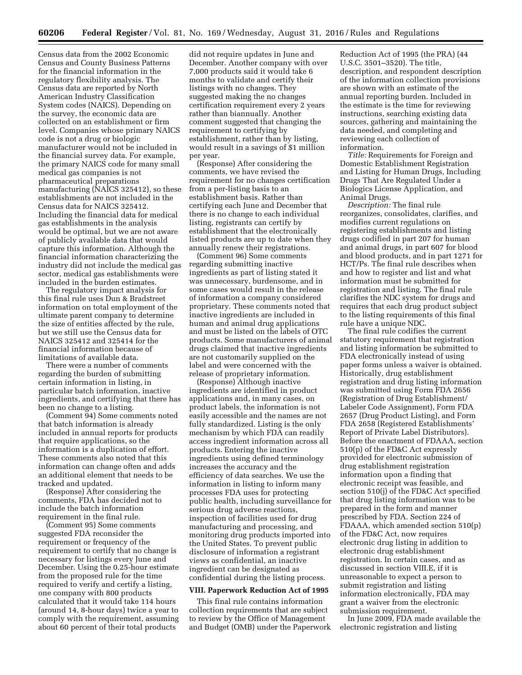Census data from the 2002 Economic Census and County Business Patterns for the financial information in the regulatory flexibility analysis. The Census data are reported by North American Industry Classification System codes (NAICS). Depending on the survey, the economic data are collected on an establishment or firm level. Companies whose primary NAICS code is not a drug or biologic manufacturer would not be included in the financial survey data. For example, the primary NAICS code for many small medical gas companies is not pharmaceutical preparations manufacturing (NAICS 325412), so these establishments are not included in the Census data for NAICS 325412. Including the financial data for medical gas establishments in the analysis would be optimal, but we are not aware of publicly available data that would capture this information. Although the financial information characterizing the industry did not include the medical gas sector, medical gas establishments were included in the burden estimates.

The regulatory impact analysis for this final rule uses Dun & Bradstreet information on total employment of the ultimate parent company to determine the size of entities affected by the rule, but we still use the Census data for NAICS 325412 and 325414 for the financial information because of limitations of available data.

There were a number of comments regarding the burden of submitting certain information in listing, in particular batch information, inactive ingredients, and certifying that there has been no change to a listing.

(Comment 94) Some comments noted that batch information is already included in annual reports for products that require applications, so the information is a duplication of effort. These comments also noted that this information can change often and adds an additional element that needs to be tracked and updated.

(Response) After considering the comments, FDA has decided not to include the batch information requirement in the final rule.

(Comment 95) Some comments suggested FDA reconsider the requirement or frequency of the requirement to certify that no change is necessary for listings every June and December. Using the 0.25-hour estimate from the proposed rule for the time required to verify and certify a listing, one company with 800 products calculated that it would take 114 hours (around 14, 8-hour days) twice a year to comply with the requirement, assuming about 60 percent of their total products

did not require updates in June and December. Another company with over 7,000 products said it would take 6 months to validate and certify their listings with no changes. They suggested making the no changes certification requirement every 2 years rather than biannually. Another comment suggested that changing the requirement to certifying by establishment, rather than by listing, would result in a savings of \$1 million per year.

(Response) After considering the comments, we have revised the requirement for no changes certification from a per-listing basis to an establishment basis. Rather than certifying each June and December that there is no change to each individual listing, registrants can certify by establishment that the electronically listed products are up to date when they annually renew their registrations.

(Comment 96) Some comments regarding submitting inactive ingredients as part of listing stated it was unnecessary, burdensome, and in some cases would result in the release of information a company considered proprietary. These comments noted that inactive ingredients are included in human and animal drug applications and must be listed on the labels of OTC products. Some manufacturers of animal drugs claimed that inactive ingredients are not customarily supplied on the label and were concerned with the release of proprietary information.

(Response) Although inactive ingredients are identified in product applications and, in many cases, on product labels, the information is not easily accessible and the names are not fully standardized. Listing is the only mechanism by which FDA can readily access ingredient information across all products. Entering the inactive ingredients using defined terminology increases the accuracy and the efficiency of data searches. We use the information in listing to inform many processes FDA uses for protecting public health, including surveillance for serious drug adverse reactions, inspection of facilities used for drug manufacturing and processing, and monitoring drug products imported into the United States. To prevent public disclosure of information a registrant views as confidential, an inactive ingredient can be designated as confidential during the listing process.

#### **VIII. Paperwork Reduction Act of 1995**

This final rule contains information collection requirements that are subject to review by the Office of Management and Budget (OMB) under the Paperwork

Reduction Act of 1995 (the PRA) (44 U.S.C. 3501–3520). The title, description, and respondent description of the information collection provisions are shown with an estimate of the annual reporting burden. Included in the estimate is the time for reviewing instructions, searching existing data sources, gathering and maintaining the data needed, and completing and reviewing each collection of information.

*Title:* Requirements for Foreign and Domestic Establishment Registration and Listing for Human Drugs, Including Drugs That Are Regulated Under a Biologics License Application, and Animal Drugs.

*Description:* The final rule reorganizes, consolidates, clarifies, and modifies current regulations on registering establishments and listing drugs codified in part 207 for human and animal drugs, in part 607 for blood and blood products, and in part 1271 for HCT/Ps. The final rule describes when and how to register and list and what information must be submitted for registration and listing. The final rule clarifies the NDC system for drugs and requires that each drug product subject to the listing requirements of this final rule have a unique NDC.

The final rule codifies the current statutory requirement that registration and listing information be submitted to FDA electronically instead of using paper forms unless a waiver is obtained. Historically, drug establishment registration and drug listing information was submitted using Form FDA 2656 (Registration of Drug Establishment/ Labeler Code Assignment), Form FDA 2657 (Drug Product Listing), and Form FDA 2658 (Registered Establishments' Report of Private Label Distributors). Before the enactment of FDAAA, section 510(p) of the FD&C Act expressly provided for electronic submission of drug establishment registration information upon a finding that electronic receipt was feasible, and section 510(j) of the FD&C Act specified that drug listing information was to be prepared in the form and manner prescribed by FDA. Section 224 of FDAAA, which amended section 510(p) of the FD&C Act, now requires electronic drug listing in addition to electronic drug establishment registration. In certain cases, and as discussed in section VIII.E, if it is unreasonable to expect a person to submit registration and listing information electronically, FDA may grant a waiver from the electronic submission requirement.

In June 2009, FDA made available the electronic registration and listing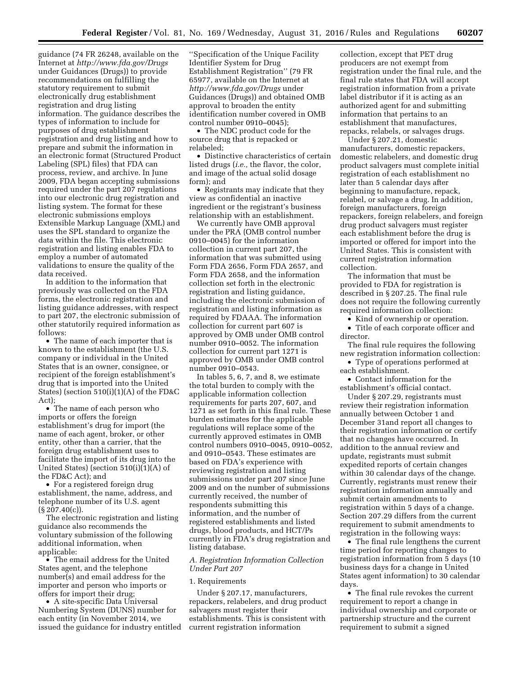guidance (74 FR 26248, available on the Internet at *<http://www.fda.gov/Drugs>*  under Guidances (Drugs)) to provide recommendations on fulfilling the statutory requirement to submit electronically drug establishment registration and drug listing information. The guidance describes the types of information to include for purposes of drug establishment registration and drug listing and how to prepare and submit the information in an electronic format (Structured Product Labeling (SPL) files) that FDA can process, review, and archive. In June 2009, FDA began accepting submissions required under the part 207 regulations into our electronic drug registration and listing system. The format for these electronic submissions employs Extensible Markup Language (XML) and uses the SPL standard to organize the data within the file. This electronic registration and listing enables FDA to employ a number of automated validations to ensure the quality of the data received.

In addition to the information that previously was collected on the FDA forms, the electronic registration and listing guidance addresses, with respect to part 207, the electronic submission of other statutorily required information as follows:

• The name of each importer that is known to the establishment (the U.S. company or individual in the United States that is an owner, consignee, or recipient of the foreign establishment's drug that is imported into the United States) (section 510(i)(1)(A) of the FD&C Act);

• The name of each person who imports or offers the foreign establishment's drug for import (the name of each agent, broker, or other entity, other than a carrier, that the foreign drug establishment uses to facilitate the import of its drug into the United States) (section 510(i)(1)(A) of the FD&C Act); and

• For a registered foreign drug establishment, the name, address, and telephone number of its U.S. agent (§ 207.40(c)).

The electronic registration and listing guidance also recommends the voluntary submission of the following additional information, when applicable:

• The email address for the United States agent, and the telephone number(s) and email address for the importer and person who imports or offers for import their drug;

• A site-specific Data Universal Numbering System (DUNS) number for each entity (in November 2014, we issued the guidance for industry entitled

''Specification of the Unique Facility Identifier System for Drug Establishment Registration'' (79 FR 65977, available on the Internet at *<http://www.fda.gov/Drugs>* under Guidances (Drugs)) and obtained OMB approval to broaden the entity identification number covered in OMB control number 0910–0045);

• The NDC product code for the source drug that is repacked or relabeled;

• Distinctive characteristics of certain listed drugs (*i.e.,* the flavor, the color, and image of the actual solid dosage form); and

• Registrants may indicate that they view as confidential an inactive ingredient or the registrant's business relationship with an establishment.

We currently have OMB approval under the PRA (OMB control number 0910–0045) for the information collection in current part 207, the information that was submitted using Form FDA 2656, Form FDA 2657, and Form FDA 2658, and the information collection set forth in the electronic registration and listing guidance, including the electronic submission of registration and listing information as required by FDAAA. The information collection for current part 607 is approved by OMB under OMB control number 0910–0052. The information collection for current part 1271 is approved by OMB under OMB control number 0910–0543.

In tables 5, 6, 7, and 8, we estimate the total burden to comply with the applicable information collection requirements for parts 207, 607, and 1271 as set forth in this final rule. These burden estimates for the applicable regulations will replace some of the currently approved estimates in OMB control numbers 0910–0045, 0910–0052, and 0910–0543. These estimates are based on FDA's experience with reviewing registration and listing submissions under part 207 since June 2009 and on the number of submissions currently received, the number of respondents submitting this information, and the number of registered establishments and listed drugs, blood products, and HCT/Ps currently in FDA's drug registration and listing database.

## *A. Registration Information Collection Under Part 207*

#### 1. Requirements

Under § 207.17, manufacturers, repackers, relabelers, and drug product salvagers must register their establishments. This is consistent with current registration information

collection, except that PET drug producers are not exempt from registration under the final rule, and the final rule states that FDA will accept registration information from a private label distributor if it is acting as an authorized agent for and submitting information that pertains to an establishment that manufactures, repacks, relabels, or salvages drugs.

Under § 207.21, domestic manufacturers, domestic repackers, domestic relabelers, and domestic drug product salvagers must complete initial registration of each establishment no later than 5 calendar days after beginning to manufacture, repack, relabel, or salvage a drug. In addition, foreign manufacturers, foreign repackers, foreign relabelers, and foreign drug product salvagers must register each establishment before the drug is imported or offered for import into the United States. This is consistent with current registration information collection.

The information that must be provided to FDA for registration is described in § 207.25. The final rule does not require the following currently required information collection:

• Kind of ownership or operation.

• Title of each corporate officer and director.

The final rule requires the following new registration information collection:

• Type of operations performed at each establishment.

• Contact information for the establishment's official contact.

Under § 207.29, registrants must review their registration information annually between October 1 and December 31and report all changes to their registration information or certify that no changes have occurred. In addition to the annual review and update, registrants must submit expedited reports of certain changes within 30 calendar days of the change. Currently, registrants must renew their registration information annually and submit certain amendments to registration within 5 days of a change. Section 207.29 differs from the current requirement to submit amendments to registration in the following ways:

• The final rule lengthens the current time period for reporting changes to registration information from 5 days (10 business days for a change in United States agent information) to 30 calendar days.

• The final rule revokes the current requirement to report a change in individual ownership and corporate or partnership structure and the current requirement to submit a signed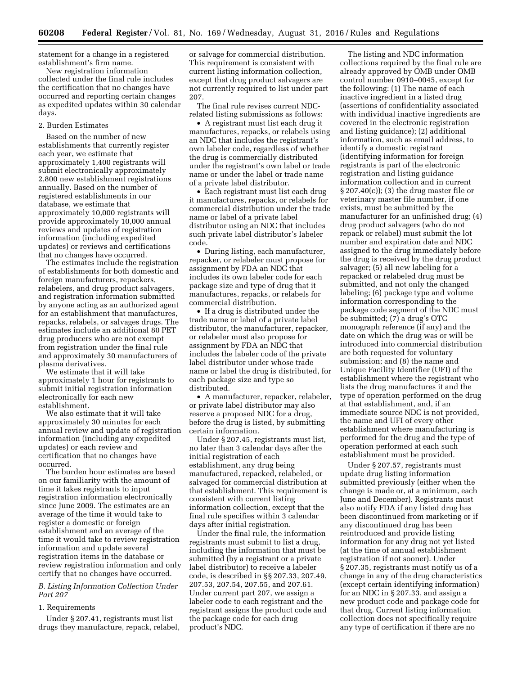statement for a change in a registered establishment's firm name.

New registration information collected under the final rule includes the certification that no changes have occurred and reporting certain changes as expedited updates within 30 calendar days.

### 2. Burden Estimates

Based on the number of new establishments that currently register each year, we estimate that approximately 1,400 registrants will submit electronically approximately 2,800 new establishment registrations annually. Based on the number of registered establishments in our database, we estimate that approximately 10,000 registrants will provide approximately 10,000 annual reviews and updates of registration information (including expedited updates) or reviews and certifications that no changes have occurred.

The estimates include the registration of establishments for both domestic and foreign manufacturers, repackers, relabelers, and drug product salvagers, and registration information submitted by anyone acting as an authorized agent for an establishment that manufactures, repacks, relabels, or salvages drugs. The estimates include an additional 80 PET drug producers who are not exempt from registration under the final rule and approximately 30 manufacturers of plasma derivatives.

We estimate that it will take approximately 1 hour for registrants to submit initial registration information electronically for each new establishment.

We also estimate that it will take approximately 30 minutes for each annual review and update of registration information (including any expedited updates) or each review and certification that no changes have occurred.

The burden hour estimates are based on our familiarity with the amount of time it takes registrants to input registration information electronically since June 2009. The estimates are an average of the time it would take to register a domestic or foreign establishment and an average of the time it would take to review registration information and update several registration items in the database or review registration information and only certify that no changes have occurred.

## *B. Listing Information Collection Under Part 207*

## 1. Requirements

Under § 207.41, registrants must list drugs they manufacture, repack, relabel, or salvage for commercial distribution. This requirement is consistent with current listing information collection, except that drug product salvagers are not currently required to list under part 207.

The final rule revises current NDCrelated listing submissions as follows:

• A registrant must list each drug it manufactures, repacks, or relabels using an NDC that includes the registrant's own labeler code, regardless of whether the drug is commercially distributed under the registrant's own label or trade name or under the label or trade name of a private label distributor.

• Each registrant must list each drug it manufactures, repacks, or relabels for commercial distribution under the trade name or label of a private label distributor using an NDC that includes such private label distributor's labeler code.

• During listing, each manufacturer, repacker, or relabeler must propose for assignment by FDA an NDC that includes its own labeler code for each package size and type of drug that it manufactures, repacks, or relabels for commercial distribution.

• If a drug is distributed under the trade name or label of a private label distributor, the manufacturer, repacker, or relabeler must also propose for assignment by FDA an NDC that includes the labeler code of the private label distributor under whose trade name or label the drug is distributed, for each package size and type so distributed.

• A manufacturer, repacker, relabeler, or private label distributor may also reserve a proposed NDC for a drug, before the drug is listed, by submitting certain information.

Under § 207.45, registrants must list, no later than 3 calendar days after the initial registration of each establishment, any drug being manufactured, repacked, relabeled, or salvaged for commercial distribution at that establishment. This requirement is consistent with current listing information collection, except that the final rule specifies within 3 calendar days after initial registration.

Under the final rule, the information registrants must submit to list a drug, including the information that must be submitted (by a registrant or a private label distributor) to receive a labeler code, is described in §§ 207.33, 207.49, 207.53, 207.54, 207.55, and 207.61. Under current part 207, we assign a labeler code to each registrant and the registrant assigns the product code and the package code for each drug product's NDC.

The listing and NDC information collections required by the final rule are already approved by OMB under OMB control number 0910–0045, except for the following: (1) The name of each inactive ingredient in a listed drug (assertions of confidentiality associated with individual inactive ingredients are covered in the electronic registration and listing guidance); (2) additional information, such as email address, to identify a domestic registrant (identifying information for foreign registrants is part of the electronic registration and listing guidance information collection and in current § 207.40(c)); (3) the drug master file or veterinary master file number, if one exists, must be submitted by the manufacturer for an unfinished drug; (4) drug product salvagers (who do not repack or relabel) must submit the lot number and expiration date and NDC assigned to the drug immediately before the drug is received by the drug product salvager; (5) all new labeling for a repacked or relabeled drug must be submitted, and not only the changed labeling; (6) package type and volume information corresponding to the package code segment of the NDC must be submitted; (7) a drug's OTC monograph reference (if any) and the date on which the drug was or will be introduced into commercial distribution are both requested for voluntary submission; and (8) the name and Unique Facility Identifier (UFI) of the establishment where the registrant who lists the drug manufactures it and the type of operation performed on the drug at that establishment, and, if an immediate source NDC is not provided, the name and UFI of every other establishment where manufacturing is performed for the drug and the type of operation performed at each such establishment must be provided.

Under § 207.57, registrants must update drug listing information submitted previously (either when the change is made or, at a minimum, each June and December). Registrants must also notify FDA if any listed drug has been discontinued from marketing or if any discontinued drug has been reintroduced and provide listing information for any drug not yet listed (at the time of annual establishment registration if not sooner). Under § 207.35, registrants must notify us of a change in any of the drug characteristics (except certain identifying information) for an NDC in § 207.33, and assign a new product code and package code for that drug. Current listing information collection does not specifically require any type of certification if there are no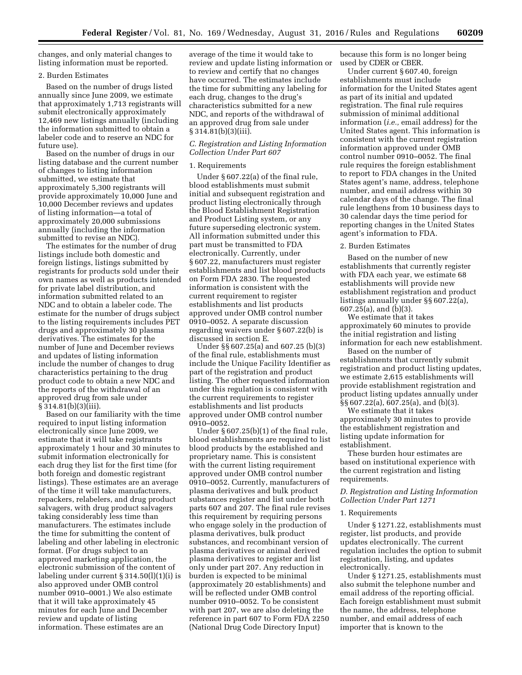changes, and only material changes to listing information must be reported.

### 2. Burden Estimates

Based on the number of drugs listed annually since June 2009, we estimate that approximately 1,713 registrants will submit electronically approximately 12,469 new listings annually (including the information submitted to obtain a labeler code and to reserve an NDC for future use).

Based on the number of drugs in our listing database and the current number of changes to listing information submitted, we estimate that approximately 5,300 registrants will provide approximately 10,000 June and 10,000 December reviews and updates of listing information—a total of approximately 20,000 submissions annually (including the information submitted to revise an NDC).

The estimates for the number of drug listings include both domestic and foreign listings, listings submitted by registrants for products sold under their own names as well as products intended for private label distribution, and information submitted related to an NDC and to obtain a labeler code. The estimate for the number of drugs subject to the listing requirements includes PET drugs and approximately 30 plasma derivatives. The estimates for the number of June and December reviews and updates of listing information include the number of changes to drug characteristics pertaining to the drug product code to obtain a new NDC and the reports of the withdrawal of an approved drug from sale under § 314.81(b)(3)(iii).

Based on our familiarity with the time required to input listing information electronically since June 2009, we estimate that it will take registrants approximately 1 hour and 30 minutes to submit information electronically for each drug they list for the first time (for both foreign and domestic registrant listings). These estimates are an average of the time it will take manufacturers, repackers, relabelers, and drug product salvagers, with drug product salvagers taking considerably less time than manufacturers. The estimates include the time for submitting the content of labeling and other labeling in electronic format. (For drugs subject to an approved marketing application, the electronic submission of the content of labeling under current § 314.50(l)(1)(i) is also approved under OMB control number 0910–0001.) We also estimate that it will take approximately 45 minutes for each June and December review and update of listing information. These estimates are an

average of the time it would take to review and update listing information or to review and certify that no changes have occurred. The estimates include the time for submitting any labeling for each drug, changes to the drug's characteristics submitted for a new NDC, and reports of the withdrawal of an approved drug from sale under § 314.81(b)(3)(iii).

## *C. Registration and Listing Information Collection Under Part 607*

#### 1. Requirements

Under § 607.22(a) of the final rule, blood establishments must submit initial and subsequent registration and product listing electronically through the Blood Establishment Registration and Product Listing system, or any future superseding electronic system. All information submitted under this part must be transmitted to FDA electronically. Currently, under § 607.22, manufacturers must register establishments and list blood products on Form FDA 2830. The requested information is consistent with the current requirement to register establishments and list products approved under OMB control number 0910–0052. A separate discussion regarding waivers under § 607.22(b) is discussed in section E.

Under §§ 607.25(a) and 607.25 (b)(3) of the final rule, establishments must include the Unique Facility Identifier as part of the registration and product listing. The other requested information under this regulation is consistent with the current requirements to register establishments and list products approved under OMB control number 0910–0052.

Under § 607.25(b)(1) of the final rule, blood establishments are required to list blood products by the established and proprietary name. This is consistent with the current listing requirement approved under OMB control number 0910–0052. Currently, manufacturers of plasma derivatives and bulk product substances register and list under both parts 607 and 207. The final rule revises this requirement by requiring persons who engage solely in the production of plasma derivatives, bulk product substances, and recombinant version of plasma derivatives or animal derived plasma derivatives to register and list only under part 207. Any reduction in burden is expected to be minimal (approximately 20 establishments) and will be reflected under OMB control number 0910–0052. To be consistent with part 207, we are also deleting the reference in part 607 to Form FDA 2250 (National Drug Code Directory Input)

because this form is no longer being used by CDER or CBER.

Under current § 607.40, foreign establishments must include information for the United States agent as part of its initial and updated registration. The final rule requires submission of minimal additional information (*i.e.,* email address) for the United States agent. This information is consistent with the current registration information approved under OMB control number 0910–0052. The final rule requires the foreign establishment to report to FDA changes in the United States agent's name, address, telephone number, and email address within 30 calendar days of the change. The final rule lengthens from 10 business days to 30 calendar days the time period for reporting changes in the United States agent's information to FDA.

## 2. Burden Estimates

Based on the number of new establishments that currently register with FDA each year, we estimate 68 establishments will provide new establishment registration and product listings annually under §§ 607.22(a), 607.25(a), and (b)(3).

We estimate that it takes approximately 60 minutes to provide the initial registration and listing information for each new establishment.

Based on the number of establishments that currently submit registration and product listing updates, we estimate 2,615 establishments will provide establishment registration and product listing updates annually under §§ 607.22(a), 607.25(a), and (b)(3).

We estimate that it takes approximately 30 minutes to provide the establishment registration and listing update information for establishment.

These burden hour estimates are based on institutional experience with the current registration and listing requirements.

## *D. Registration and Listing Information Collection Under Part 1271*

### 1. Requirements

Under § 1271.22, establishments must register, list products, and provide updates electronically. The current regulation includes the option to submit registration, listing, and updates electronically.

Under § 1271.25, establishments must also submit the telephone number and email address of the reporting official. Each foreign establishment must submit the name, the address, telephone number, and email address of each importer that is known to the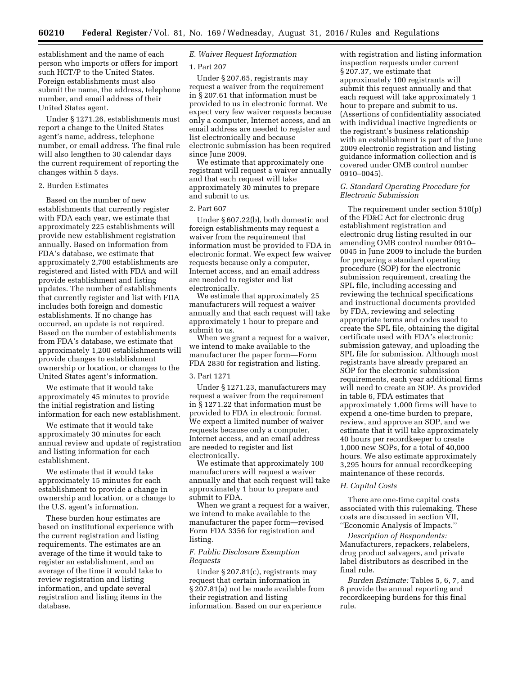establishment and the name of each person who imports or offers for import such HCT/P to the United States. Foreign establishments must also submit the name, the address, telephone number, and email address of their United States agent.

Under § 1271.26, establishments must report a change to the United States agent's name, address, telephone number, or email address. The final rule will also lengthen to 30 calendar days the current requirement of reporting the changes within 5 days.

## 2. Burden Estimates

Based on the number of new establishments that currently register with FDA each year, we estimate that approximately 225 establishments will provide new establishment registration annually. Based on information from FDA's database, we estimate that approximately 2,700 establishments are registered and listed with FDA and will provide establishment and listing updates. The number of establishments that currently register and list with FDA includes both foreign and domestic establishments. If no change has occurred, an update is not required. Based on the number of establishments from FDA's database, we estimate that approximately 1,200 establishments will provide changes to establishment ownership or location, or changes to the United States agent's information.

We estimate that it would take approximately 45 minutes to provide the initial registration and listing information for each new establishment.

We estimate that it would take approximately 30 minutes for each annual review and update of registration and listing information for each establishment.

We estimate that it would take approximately 15 minutes for each establishment to provide a change in ownership and location, or a change to the U.S. agent's information.

These burden hour estimates are based on institutional experience with the current registration and listing requirements. The estimates are an average of the time it would take to register an establishment, and an average of the time it would take to review registration and listing information, and update several registration and listing items in the database.

## *E. Waiver Request Information*

### 1. Part 207

Under § 207.65, registrants may request a waiver from the requirement in § 207.61 that information must be provided to us in electronic format. We expect very few waiver requests because only a computer, Internet access, and an email address are needed to register and list electronically and because electronic submission has been required since June 2009.

We estimate that approximately one registrant will request a waiver annually and that each request will take approximately 30 minutes to prepare and submit to us.

## 2. Part 607

Under § 607.22(b), both domestic and foreign establishments may request a waiver from the requirement that information must be provided to FDA in electronic format. We expect few waiver requests because only a computer, Internet access, and an email address are needed to register and list electronically.

We estimate that approximately 25 manufacturers will request a waiver annually and that each request will take approximately 1 hour to prepare and submit to us.

When we grant a request for a waiver, we intend to make available to the manufacturer the paper form—Form FDA 2830 for registration and listing.

#### 3. Part 1271

Under § 1271.23, manufacturers may request a waiver from the requirement in § 1271.22 that information must be provided to FDA in electronic format. We expect a limited number of waiver requests because only a computer, Internet access, and an email address are needed to register and list electronically.

We estimate that approximately 100 manufacturers will request a waiver annually and that each request will take approximately 1 hour to prepare and submit to FDA.

When we grant a request for a waiver, we intend to make available to the manufacturer the paper form—revised Form FDA 3356 for registration and listing.

## *F. Public Disclosure Exemption Requests*

Under § 207.81(c), registrants may request that certain information in § 207.81(a) not be made available from their registration and listing information. Based on our experience

with registration and listing information inspection requests under current § 207.37, we estimate that approximately 100 registrants will submit this request annually and that each request will take approximately 1 hour to prepare and submit to us. (Assertions of confidentiality associated with individual inactive ingredients or the registrant's business relationship with an establishment is part of the June 2009 electronic registration and listing guidance information collection and is covered under OMB control number 0910–0045).

## *G. Standard Operating Procedure for Electronic Submission*

The requirement under section 510(p) of the FD&C Act for electronic drug establishment registration and electronic drug listing resulted in our amending OMB control number 0910– 0045 in June 2009 to include the burden for preparing a standard operating procedure (SOP) for the electronic submission requirement, creating the SPL file, including accessing and reviewing the technical specifications and instructional documents provided by FDA, reviewing and selecting appropriate terms and codes used to create the SPL file, obtaining the digital certificate used with FDA's electronic submission gateway, and uploading the SPL file for submission. Although most registrants have already prepared an SOP for the electronic submission requirements, each year additional firms will need to create an SOP. As provided in table 6, FDA estimates that approximately 1,000 firms will have to expend a one-time burden to prepare, review, and approve an SOP, and we estimate that it will take approximately 40 hours per recordkeeper to create 1,000 new SOPs, for a total of 40,000 hours. We also estimate approximately 3,295 hours for annual recordkeeping maintenance of these records.

### *H. Capital Costs*

There are one-time capital costs associated with this rulemaking. These costs are discussed in section VII, ''Economic Analysis of Impacts.''

*Description of Respondents:*  Manufacturers, repackers, relabelers, drug product salvagers, and private label distributors as described in the final rule.

*Burden Estimate:* Tables 5, 6, 7, and 8 provide the annual reporting and recordkeeping burdens for this final rule.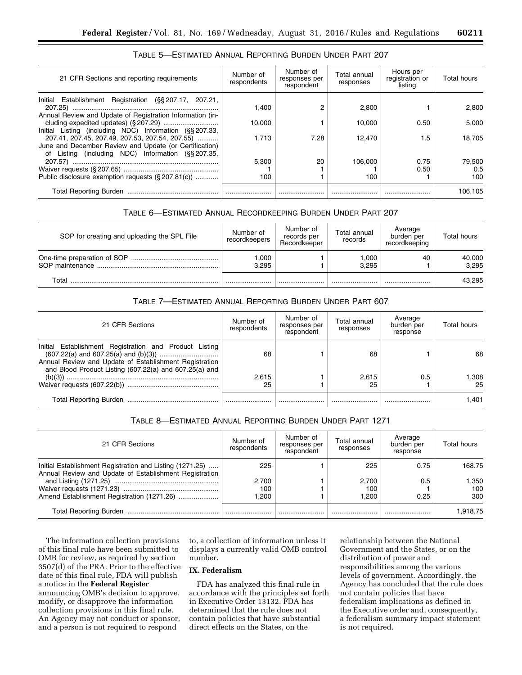| 21 CFR Sections and reporting requirements                                                                           | Number of<br>respondents | Number of<br>responses per<br>respondent | Total annual<br>responses | Hours per<br>registration or<br>listina | Total hours |
|----------------------------------------------------------------------------------------------------------------------|--------------------------|------------------------------------------|---------------------------|-----------------------------------------|-------------|
| Initial Establishment Registration (§§ 207.17, 207.21,                                                               | 1.400                    |                                          | 2.800                     |                                         | 2.800       |
| Annual Review and Update of Registration Information (in-<br>Initial Listing (including NDC) Information (§§ 207.33, | 10.000                   |                                          | 10.000                    | 0.50                                    | 5.000       |
| 207.41, 207.45, 207.49, 207.53, 207.54, 207.55)<br>June and December Review and Update (or Certification)            | 1.713                    | 7.28                                     | 12.470                    | 1.5                                     | 18.705      |
| of Listing (including NDC) Information (§§207.35,                                                                    | 5.300                    | 20                                       | 106,000                   | 0.75                                    | 79.500      |
|                                                                                                                      |                          |                                          |                           | 0.50                                    | 0.5         |
| Public disclosure exemption requests (§ 207.81(c))                                                                   | 100                      |                                          | 100                       |                                         | 100         |
|                                                                                                                      |                          |                                          |                           |                                         | 106.105     |

## TABLE 5—ESTIMATED ANNUAL REPORTING BURDEN UNDER PART 207

# TABLE 6—ESTIMATED ANNUAL RECORDKEEPING BURDEN UNDER PART 207

| SOP for creating and uploading the SPL File | Number of<br>recordkeepers | Number of<br>records per<br>Recordkeeper | Total annual<br>records | Average<br>burden per<br>recordkeeping | Total hours     |
|---------------------------------------------|----------------------------|------------------------------------------|-------------------------|----------------------------------------|-----------------|
|                                             | ,000<br>3.295              |                                          | ,000<br>3.295           | 40                                     | 40,000<br>3.295 |
| T∩tal                                       |                            |                                          |                         |                                        | 43.295          |

## TABLE 7—ESTIMATED ANNUAL REPORTING BURDEN UNDER PART 607

| 21 CFR Sections                                                                                                                                                            | Number of<br>respondents | Number of<br>responses per<br>respondent | Total annual<br>responses | Average<br>burden per<br>response | Total hours |
|----------------------------------------------------------------------------------------------------------------------------------------------------------------------------|--------------------------|------------------------------------------|---------------------------|-----------------------------------|-------------|
| Initial Establishment Registration and Product Listing<br>Annual Review and Update of Establishment Registration<br>and Blood Product Listing (607.22(a) and 607.25(a) and | 68                       |                                          | 68                        |                                   | 68          |
|                                                                                                                                                                            | 2,615                    |                                          | 2.615                     | 0.5                               | 308. ا      |
|                                                                                                                                                                            | 25                       |                                          | 25                        |                                   | 25          |
|                                                                                                                                                                            |                          |                                          |                           |                                   | 1.401       |

# TABLE 8—ESTIMATED ANNUAL REPORTING BURDEN UNDER PART 1271

| 21 CFR Sections                                                                                                    | Number of<br>respondents | Number of<br>responses per<br>respondent | Total annual<br>responses | Average<br>burden per<br>response | Total hours |
|--------------------------------------------------------------------------------------------------------------------|--------------------------|------------------------------------------|---------------------------|-----------------------------------|-------------|
| Initial Establishment Registration and Listing (1271.25)<br>Annual Review and Update of Establishment Registration | 225                      |                                          | 225                       | 0.75                              | 168.75      |
|                                                                                                                    | 2.700                    |                                          | 2.700                     | 0.5                               | 350. ا      |
|                                                                                                                    | 100                      |                                          | 100                       |                                   | 100         |
| Amend Establishment Registration (1271.26)                                                                         | 1.200                    |                                          | <b>1.200</b>              | 0.25                              | 300         |
|                                                                                                                    |                          |                                          |                           |                                   | 1.918.75    |

The information collection provisions of this final rule have been submitted to OMB for review, as required by section 3507(d) of the PRA. Prior to the effective date of this final rule, FDA will publish a notice in the **Federal Register**  announcing OMB's decision to approve, modify, or disapprove the information collection provisions in this final rule. An Agency may not conduct or sponsor, and a person is not required to respond

to, a collection of information unless it displays a currently valid OMB control number.

## **IX. Federalism**

FDA has analyzed this final rule in accordance with the principles set forth in Executive Order 13132. FDA has determined that the rule does not contain policies that have substantial direct effects on the States, on the

relationship between the National Government and the States, or on the distribution of power and responsibilities among the various levels of government. Accordingly, the Agency has concluded that the rule does not contain policies that have federalism implications as defined in the Executive order and, consequently, a federalism summary impact statement is not required.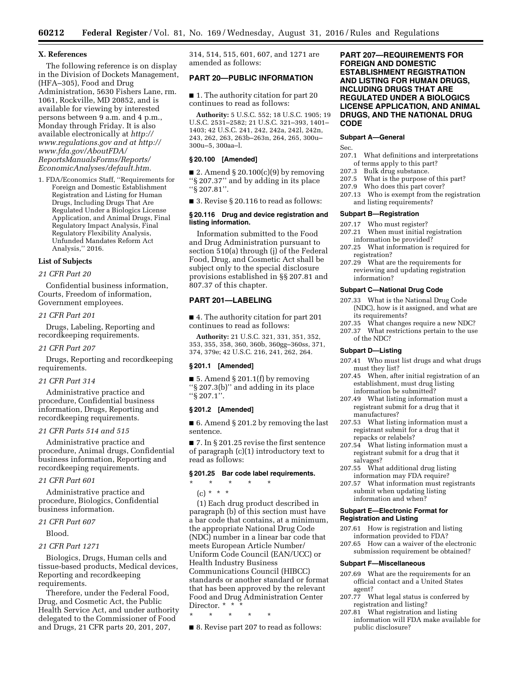## **X. References**

The following reference is on display in the Division of Dockets Management, (HFA–305), Food and Drug Administration, 5630 Fishers Lane, rm. 1061, Rockville, MD 20852, and is available for viewing by interested persons between 9 a.m. and 4 p.m., Monday through Friday. It is also available electronically at *[http://](http://www.regulations.gov) [www.regulations.gov](http://www.regulations.gov) and at [http://](http://www.fda.gov/AboutFDA/ReportsManualsForms/Reports/EconomicAnalyses/default.htm)  [www.fda.gov/AboutFDA/](http://www.fda.gov/AboutFDA/ReportsManualsForms/Reports/EconomicAnalyses/default.htm) [ReportsManualsForms/Reports/](http://www.fda.gov/AboutFDA/ReportsManualsForms/Reports/EconomicAnalyses/default.htm)  [EconomicAnalyses/default.htm.](http://www.fda.gov/AboutFDA/ReportsManualsForms/Reports/EconomicAnalyses/default.htm)* 

1. FDA/Economics Staff, ''Requirements for Foreign and Domestic Establishment Registration and Listing for Human Drugs, Including Drugs That Are Regulated Under a Biologics License Application, and Animal Drugs, Final Regulatory Impact Analysis, Final Regulatory Flexibility Analysis, Unfunded Mandates Reform Act Analysis,'' 2016.

## **List of Subjects**

### *21 CFR Part 20*

Confidential business information, Courts, Freedom of information, Government employees.

### *21 CFR Part 201*

Drugs, Labeling, Reporting and recordkeeping requirements.

### *21 CFR Part 207*

Drugs, Reporting and recordkeeping requirements.

### *21 CFR Part 314*

Administrative practice and procedure, Confidential business information, Drugs, Reporting and recordkeeping requirements.

### *21 CFR Parts 514 and 515*

Administrative practice and procedure, Animal drugs, Confidential business information, Reporting and recordkeeping requirements.

## *21 CFR Part 601*

Administrative practice and procedure, Biologics, Confidential business information.

*21 CFR Part 607* 

Blood.

#### *21 CFR Part 1271*

Biologics, Drugs, Human cells and tissue-based products, Medical devices, Reporting and recordkeeping requirements.

Therefore, under the Federal Food, Drug, and Cosmetic Act, the Public Health Service Act, and under authority delegated to the Commissioner of Food and Drugs, 21 CFR parts 20, 201, 207,

314, 514, 515, 601, 607, and 1271 are amended as follows:

## **PART 20—PUBLIC INFORMATION**

■ 1. The authority citation for part 20 continues to read as follows:

**Authority:** 5 U.S.C. 552; 18 U.S.C. 1905; 19 U.S.C. 2531–2582; 21 U.S.C. 321–393, 1401– 1403; 42 U.S.C. 241, 242, 242a, 242l, 242n, 243, 262, 263, 263b–263n, 264, 265, 300u– 300u–5, 300aa–l.

## **§ 20.100 [Amended]**

■ 2. Amend § 20.100 $(c)(9)$  by removing ''§ 207.37'' and by adding in its place ''§ 207.81''.

■ 3. Revise § 20.116 to read as follows:

### **§ 20.116 Drug and device registration and listing information.**

Information submitted to the Food and Drug Administration pursuant to section 510(a) through (j) of the Federal Food, Drug, and Cosmetic Act shall be subject only to the special disclosure provisions established in §§ 207.81 and 807.37 of this chapter.

# **PART 201—LABELING**

■ 4. The authority citation for part 201 continues to read as follows:

**Authority:** 21 U.S.C. 321, 331, 351, 352, 353, 355, 358, 360, 360b, 360gg–360ss, 371, 374, 379e; 42 U.S.C. 216, 241, 262, 264.

#### **§ 201.1 [Amended]**

■ 5. Amend § 201.1(f) by removing ''§ 207.3(b)'' and adding in its place ''§ 207.1''.

## **§ 201.2 [Amended]**

■ 6. Amend § 201.2 by removing the last sentence.

■ 7. In § 201.25 revise the first sentence of paragraph (c)(1) introductory text to read as follows:

### **§ 201.25 Bar code label requirements.**

\* \* \* \* \*  $(c) * * * *$ 

(1) Each drug product described in paragraph (b) of this section must have a bar code that contains, at a minimum, the appropriate National Drug Code (NDC) number in a linear bar code that meets European Article Number/ Uniform Code Council (EAN/UCC) or Health Industry Business Communications Council (HIBCC) standards or another standard or format that has been approved by the relevant Food and Drug Administration Center Director. \* \*

\* \* \* \* \*

■ 8. Revise part 207 to read as follows:

**PART 207—REQUIREMENTS FOR FOREIGN AND DOMESTIC ESTABLISHMENT REGISTRATION AND LISTING FOR HUMAN DRUGS, INCLUDING DRUGS THAT ARE REGULATED UNDER A BIOLOGICS LICENSE APPLICATION, AND ANIMAL DRUGS, AND THE NATIONAL DRUG CODE** 

## **Subpart A—General**

Sec.

- 207.1 What definitions and interpretations of terms apply to this part?
- 207.3 Bulk drug substance.<br>207.5 What is the purpose
- What is the purpose of this part?
- 207.9 Who does this part cover?
- 207.13 Who is exempt from the registration and listing requirements?

#### **Subpart B—Registration**

- 207.17 Who must register?
- 207.21 When must initial registration information be provided?
- 207.25 What information is required for registration?
- 207.29 What are the requirements for reviewing and updating registration information?

### **Subpart C—National Drug Code**

- 207.33 What is the National Drug Code (NDC), how is it assigned, and what are its requirements?
- 207.35 What changes require a new NDC?
- 207.37 What restrictions pertain to the use
- of the NDC?

### **Subpart D—Listing**

- 207.41 Who must list drugs and what drugs must they list?
- 207.45 When, after initial registration of an establishment, must drug listing information be submitted?
- 207.49 What listing information must a registrant submit for a drug that it manufactures?
- 207.53 What listing information must a registrant submit for a drug that it repacks or relabels?
- 207.54 What listing information must a registrant submit for a drug that it salvages?
- 207.55 What additional drug listing information may FDA require?
- 207.57 What information must registrants submit when updating listing information and when?

### **Subpart E—Electronic Format for Registration and Listing**

- 207.61 How is registration and listing information provided to FDA?
- 207.65 How can a waiver of the electronic submission requirement be obtained?

### **Subpart F—Miscellaneous**

- 207.69 What are the requirements for an official contact and a United States agent?
- 207.77 What legal status is conferred by registration and listing?
- 207.81 What registration and listing information will FDA make available for public disclosure?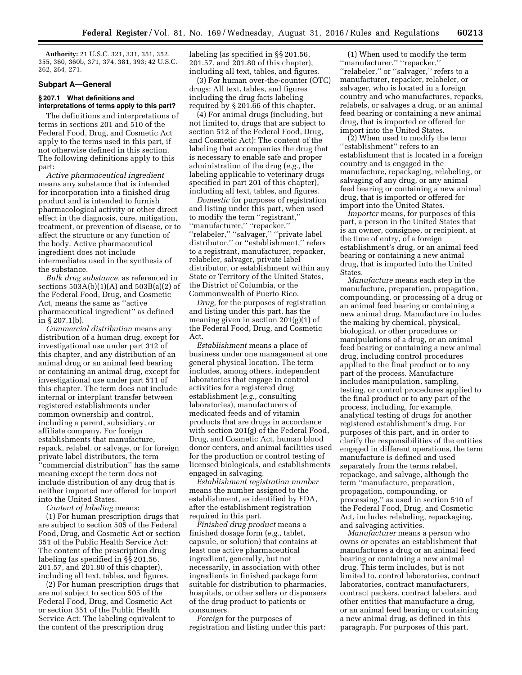**Authority:** 21 U.S.C. 321, 331, 351, 352, 355, 360, 360b, 371, 374, 381, 393; 42 U.S.C. 262, 264, 271.

### **Subpart A—General**

## **§ 207.1 What definitions and interpretations of terms apply to this part?**

The definitions and interpretations of terms in sections 201 and 510 of the Federal Food, Drug, and Cosmetic Act apply to the terms used in this part, if not otherwise defined in this section. The following definitions apply to this part:

*Active pharmaceutical ingredient*  means any substance that is intended for incorporation into a finished drug product and is intended to furnish pharmacological activity or other direct effect in the diagnosis, cure, mitigation, treatment, or prevention of disease, or to affect the structure or any function of the body. Active pharmaceutical ingredient does not include intermediates used in the synthesis of the substance.

*Bulk drug substance,* as referenced in sections  $503A(b)(1)(A)$  and  $503B(a)(2)$  of the Federal Food, Drug, and Cosmetic Act, means the same as ''active pharmaceutical ingredient'' as defined in § 207.1(b).

*Commercial distribution* means any distribution of a human drug, except for investigational use under part 312 of this chapter, and any distribution of an animal drug or an animal feed bearing or containing an animal drug, except for investigational use under part 511 of this chapter. The term does not include internal or interplant transfer between registered establishments under common ownership and control, including a parent, subsidiary, or affiliate company. For foreign establishments that manufacture, repack, relabel, or salvage, or for foreign private label distributors, the term ''commercial distribution'' has the same meaning except the term does not include distribution of any drug that is neither imported nor offered for import into the United States.

*Content of labeling* means:

(1) For human prescription drugs that are subject to section 505 of the Federal Food, Drug, and Cosmetic Act or section 351 of the Public Health Service Act: The content of the prescription drug labeling (as specified in §§ 201.56, 201.57, and 201.80 of this chapter), including all text, tables, and figures.

(2) For human prescription drugs that are not subject to section 505 of the Federal Food, Drug, and Cosmetic Act or section 351 of the Public Health Service Act: The labeling equivalent to the content of the prescription drug

labeling (as specified in §§ 201.56, 201.57, and 201.80 of this chapter), including all text, tables, and figures.

(3) For human over-the-counter (OTC) drugs: All text, tables, and figures including the drug facts labeling required by § 201.66 of this chapter.

(4) For animal drugs (including, but not limited to, drugs that are subject to section 512 of the Federal Food, Drug, and Cosmetic Act): The content of the labeling that accompanies the drug that is necessary to enable safe and proper administration of the drug (*e.g.,* the labeling applicable to veterinary drugs specified in part 201 of this chapter), including all text, tables, and figures.

*Domestic* for purposes of registration and listing under this part, when used to modify the term ''registrant,'' ''manufacturer,'' ''repacker,'' ''relabeler,'' ''salvager,'' ''private label distributor,'' or ''establishment,'' refers to a registrant, manufacturer, repacker, relabeler, salvager, private label distributor, or establishment within any State or Territory of the United States, the District of Columbia, or the Commonwealth of Puerto Rico.

*Drug,* for the purposes of registration and listing under this part, has the meaning given in section 201(g)(1) of the Federal Food, Drug, and Cosmetic Act.

*Establishment* means a place of business under one management at one general physical location. The term includes, among others, independent laboratories that engage in control activities for a registered drug establishment (*e.g.,* consulting laboratories), manufacturers of medicated feeds and of vitamin products that are drugs in accordance with section 201(g) of the Federal Food, Drug, and Cosmetic Act, human blood donor centers, and animal facilities used for the production or control testing of licensed biologicals, and establishments engaged in salvaging.

*Establishment registration number*  means the number assigned to the establishment, as identified by FDA, after the establishment registration required in this part.

*Finished drug product* means a finished dosage form (*e.g.,* tablet, capsule, or solution) that contains at least one active pharmaceutical ingredient, generally, but not necessarily, in association with other ingredients in finished package form suitable for distribution to pharmacies, hospitals, or other sellers or dispensers of the drug product to patients or consumers.

*Foreign* for the purposes of registration and listing under this part:

(1) When used to modify the term ''manufacturer,'' ''repacker,'' ''relabeler,'' or ''salvager,'' refers to a manufacturer, repacker, relabeler, or salvager, who is located in a foreign country and who manufactures, repacks, relabels, or salvages a drug, or an animal feed bearing or containing a new animal drug, that is imported or offered for import into the United States.

(2) When used to modify the term ''establishment'' refers to an establishment that is located in a foreign country and is engaged in the manufacture, repackaging, relabeling, or salvaging of any drug, or any animal feed bearing or containing a new animal drug, that is imported or offered for import into the United States.

*Importer* means, for purposes of this part, a person in the United States that is an owner, consignee, or recipient, at the time of entry, of a foreign establishment's drug, or an animal feed bearing or containing a new animal drug, that is imported into the United States.

*Manufacture* means each step in the manufacture, preparation, propagation, compounding, or processing of a drug or an animal feed bearing or containing a new animal drug. Manufacture includes the making by chemical, physical, biological, or other procedures or manipulations of a drug, or an animal feed bearing or containing a new animal drug, including control procedures applied to the final product or to any part of the process. Manufacture includes manipulation, sampling, testing, or control procedures applied to the final product or to any part of the process, including, for example, analytical testing of drugs for another registered establishment's drug. For purposes of this part, and in order to clarify the responsibilities of the entities engaged in different operations, the term manufacture is defined and used separately from the terms relabel, repackage, and salvage, although the term ''manufacture, preparation, propagation, compounding, or processing,'' as used in section 510 of the Federal Food, Drug, and Cosmetic Act, includes relabeling, repackaging, and salvaging activities.

*Manufacturer* means a person who owns or operates an establishment that manufactures a drug or an animal feed bearing or containing a new animal drug. This term includes, but is not limited to, control laboratories, contract laboratories, contract manufacturers, contract packers, contract labelers, and other entities that manufacture a drug, or an animal feed bearing or containing a new animal drug, as defined in this paragraph. For purposes of this part,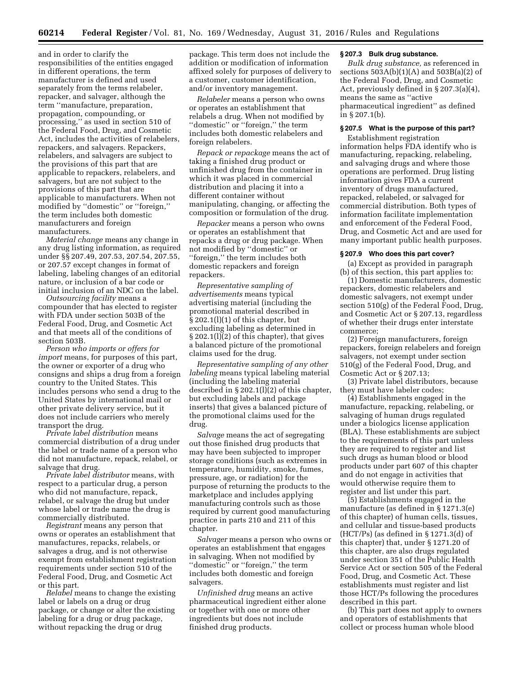and in order to clarify the responsibilities of the entities engaged in different operations, the term manufacturer is defined and used separately from the terms relabeler, repacker, and salvager, although the term ''manufacture, preparation, propagation, compounding, or processing,'' as used in section 510 of the Federal Food, Drug, and Cosmetic Act, includes the activities of relabelers, repackers, and salvagers. Repackers, relabelers, and salvagers are subject to the provisions of this part that are applicable to repackers, relabelers, and salvagers, but are not subject to the provisions of this part that are applicable to manufacturers. When not modified by ''domestic'' or ''foreign,'' the term includes both domestic manufacturers and foreign manufacturers.

*Material change* means any change in any drug listing information, as required under §§ 207.49, 207.53, 207.54, 207.55, or 207.57 except changes in format of labeling, labeling changes of an editorial nature, or inclusion of a bar code or initial inclusion of an NDC on the label.

*Outsourcing facility* means a compounder that has elected to register with FDA under section 503B of the Federal Food, Drug, and Cosmetic Act and that meets all of the conditions of section 503B.

*Person who imports or offers for import* means, for purposes of this part, the owner or exporter of a drug who consigns and ships a drug from a foreign country to the United States. This includes persons who send a drug to the United States by international mail or other private delivery service, but it does not include carriers who merely transport the drug.

*Private label distribution* means commercial distribution of a drug under the label or trade name of a person who did not manufacture, repack, relabel, or salvage that drug.

*Private label distributor* means, with respect to a particular drug, a person who did not manufacture, repack, relabel, or salvage the drug but under whose label or trade name the drug is commercially distributed.

*Registrant* means any person that owns or operates an establishment that manufactures, repacks, relabels, or salvages a drug, and is not otherwise exempt from establishment registration requirements under section 510 of the Federal Food, Drug, and Cosmetic Act or this part.

*Relabel* means to change the existing label or labels on a drug or drug package, or change or alter the existing labeling for a drug or drug package, without repacking the drug or drug

package. This term does not include the addition or modification of information affixed solely for purposes of delivery to a customer, customer identification, and/or inventory management.

*Relabeler* means a person who owns or operates an establishment that relabels a drug. When not modified by ''domestic'' or ''foreign,'' the term includes both domestic relabelers and foreign relabelers.

*Repack or repackage* means the act of taking a finished drug product or unfinished drug from the container in which it was placed in commercial distribution and placing it into a different container without manipulating, changing, or affecting the composition or formulation of the drug.

*Repacker* means a person who owns or operates an establishment that repacks a drug or drug package. When not modified by ''domestic'' or ''foreign,'' the term includes both domestic repackers and foreign repackers.

*Representative sampling of advertisements* means typical advertising material (including the promotional material described in § 202.1(l)(1) of this chapter, but excluding labeling as determined in § 202.1(l)(2) of this chapter), that gives a balanced picture of the promotional claims used for the drug.

*Representative sampling of any other labeling* means typical labeling material (including the labeling material described in § 202.1(l)(2) of this chapter, but excluding labels and package inserts) that gives a balanced picture of the promotional claims used for the drug.

*Salvage* means the act of segregating out those finished drug products that may have been subjected to improper storage conditions (such as extremes in temperature, humidity, smoke, fumes, pressure, age, or radiation) for the purpose of returning the products to the marketplace and includes applying manufacturing controls such as those required by current good manufacturing practice in parts 210 and 211 of this chapter.

*Salvager* means a person who owns or operates an establishment that engages in salvaging. When not modified by "domestic" or "foreign," the term includes both domestic and foreign salvagers.

*Unfinished drug* means an active pharmaceutical ingredient either alone or together with one or more other ingredients but does not include finished drug products.

#### **§ 207.3 Bulk drug substance.**

*Bulk drug substance,* as referenced in sections  $503A(b)(1)(A)$  and  $503B(a)(2)$  of the Federal Food, Drug, and Cosmetic Act, previously defined in § 207.3(a)(4), means the same as ''active pharmaceutical ingredient'' as defined in § 207.1(b).

## **§ 207.5 What is the purpose of this part?**

Establishment registration information helps FDA identify who is manufacturing, repacking, relabeling, and salvaging drugs and where those operations are performed. Drug listing information gives FDA a current inventory of drugs manufactured, repacked, relabeled, or salvaged for commercial distribution. Both types of information facilitate implementation and enforcement of the Federal Food, Drug, and Cosmetic Act and are used for many important public health purposes.

## **§ 207.9 Who does this part cover?**

(a) Except as provided in paragraph (b) of this section, this part applies to:

(1) Domestic manufacturers, domestic repackers, domestic relabelers and domestic salvagers, not exempt under section 510(g) of the Federal Food, Drug, and Cosmetic Act or § 207.13, regardless of whether their drugs enter interstate commerce;

(2) Foreign manufacturers, foreign repackers, foreign relabelers and foreign salvagers, not exempt under section 510(g) of the Federal Food, Drug, and Cosmetic Act or § 207.13;

(3) Private label distributors, because they must have labeler codes;

(4) Establishments engaged in the manufacture, repacking, relabeling, or salvaging of human drugs regulated under a biologics license application (BLA). These establishments are subject to the requirements of this part unless they are required to register and list such drugs as human blood or blood products under part 607 of this chapter and do not engage in activities that would otherwise require them to register and list under this part.

(5) Establishments engaged in the manufacture (as defined in § 1271.3(e) of this chapter) of human cells, tissues, and cellular and tissue-based products (HCT/Ps) (as defined in § 1271.3(d) of this chapter) that, under § 1271.20 of this chapter, are also drugs regulated under section 351 of the Public Health Service Act or section 505 of the Federal Food, Drug, and Cosmetic Act. These establishments must register and list those HCT/Ps following the procedures described in this part.

(b) This part does not apply to owners and operators of establishments that collect or process human whole blood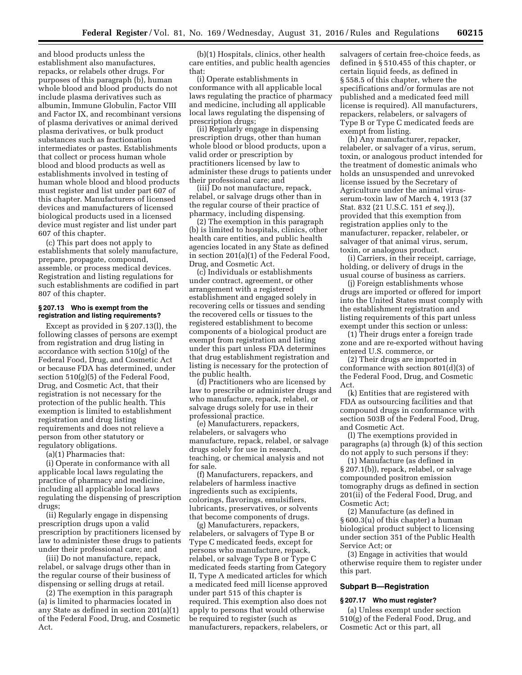and blood products unless the establishment also manufactures, repacks, or relabels other drugs. For purposes of this paragraph (b), human whole blood and blood products do not include plasma derivatives such as albumin, Immune Globulin, Factor VIII and Factor IX, and recombinant versions of plasma derivatives or animal derived plasma derivatives, or bulk product substances such as fractionation intermediates or pastes. Establishments that collect or process human whole blood and blood products as well as establishments involved in testing of human whole blood and blood products must register and list under part 607 of this chapter. Manufacturers of licensed devices and manufacturers of licensed biological products used in a licensed device must register and list under part 607 of this chapter.

(c) This part does not apply to establishments that solely manufacture, prepare, propagate, compound, assemble, or process medical devices. Registration and listing regulations for such establishments are codified in part 807 of this chapter.

#### **§ 207.13 Who is exempt from the registration and listing requirements?**

Except as provided in § 207.13(l), the following classes of persons are exempt from registration and drug listing in accordance with section 510(g) of the Federal Food, Drug, and Cosmetic Act or because FDA has determined, under section 510(g)(5) of the Federal Food, Drug, and Cosmetic Act, that their registration is not necessary for the protection of the public health. This exemption is limited to establishment registration and drug listing requirements and does not relieve a person from other statutory or regulatory obligations.

(a)(1) Pharmacies that:

(i) Operate in conformance with all applicable local laws regulating the practice of pharmacy and medicine, including all applicable local laws regulating the dispensing of prescription drugs;

(ii) Regularly engage in dispensing prescription drugs upon a valid prescription by practitioners licensed by law to administer these drugs to patients under their professional care; and

(iii) Do not manufacture, repack, relabel, or salvage drugs other than in the regular course of their business of dispensing or selling drugs at retail.

(2) The exemption in this paragraph (a) is limited to pharmacies located in any State as defined in section 201(a)(1) of the Federal Food, Drug, and Cosmetic Act.

(b)(1) Hospitals, clinics, other health care entities, and public health agencies that:

(i) Operate establishments in conformance with all applicable local laws regulating the practice of pharmacy and medicine, including all applicable local laws regulating the dispensing of prescription drugs;

(ii) Regularly engage in dispensing prescription drugs, other than human whole blood or blood products, upon a valid order or prescription by practitioners licensed by law to administer these drugs to patients under their professional care; and

(iii) Do not manufacture, repack, relabel, or salvage drugs other than in the regular course of their practice of pharmacy, including dispensing.

(2) The exemption in this paragraph (b) is limited to hospitals, clinics, other health care entities, and public health agencies located in any State as defined in section 201(a)(1) of the Federal Food, Drug, and Cosmetic Act.

(c) Individuals or establishments under contract, agreement, or other arrangement with a registered establishment and engaged solely in recovering cells or tissues and sending the recovered cells or tissues to the registered establishment to become components of a biological product are exempt from registration and listing under this part unless FDA determines that drug establishment registration and listing is necessary for the protection of the public health.

(d) Practitioners who are licensed by law to prescribe or administer drugs and who manufacture, repack, relabel, or salvage drugs solely for use in their professional practice.

(e) Manufacturers, repackers, relabelers, or salvagers who manufacture, repack, relabel, or salvage drugs solely for use in research, teaching, or chemical analysis and not for sale.

(f) Manufacturers, repackers, and relabelers of harmless inactive ingredients such as excipients, colorings, flavorings, emulsifiers, lubricants, preservatives, or solvents that become components of drugs.

(g) Manufacturers, repackers, relabelers, or salvagers of Type B or Type C medicated feeds, except for persons who manufacture, repack, relabel, or salvage Type B or Type C medicated feeds starting from Category II, Type A medicated articles for which a medicated feed mill license approved under part 515 of this chapter is required. This exemption also does not apply to persons that would otherwise be required to register (such as manufacturers, repackers, relabelers, or

salvagers of certain free-choice feeds, as defined in § 510.455 of this chapter, or certain liquid feeds, as defined in § 558.5 of this chapter, where the specifications and/or formulas are not published and a medicated feed mill license is required). All manufacturers, repackers, relabelers, or salvagers of Type B or Type C medicated feeds are exempt from listing.

(h) Any manufacturer, repacker, relabeler, or salvager of a virus, serum, toxin, or analogous product intended for the treatment of domestic animals who holds an unsuspended and unrevoked license issued by the Secretary of Agriculture under the animal virusserum-toxin law of March 4, 1913 (37 Stat. 832 (21 U.S.C. 151 *et seq.*)), provided that this exemption from registration applies only to the manufacturer, repacker, relabeler, or salvager of that animal virus, serum, toxin, or analogous product.

(i) Carriers, in their receipt, carriage, holding, or delivery of drugs in the usual course of business as carriers.

(j) Foreign establishments whose drugs are imported or offered for import into the United States must comply with the establishment registration and listing requirements of this part unless exempt under this section or unless:

(1) Their drugs enter a foreign trade zone and are re-exported without having entered U.S. commerce, or

(2) Their drugs are imported in conformance with section 801(d)(3) of the Federal Food, Drug, and Cosmetic Act.

(k) Entities that are registered with FDA as outsourcing facilities and that compound drugs in conformance with section 503B of the Federal Food, Drug, and Cosmetic Act.

(l) The exemptions provided in paragraphs (a) through (k) of this section do not apply to such persons if they:

(1) Manufacture (as defined in § 207.1(b)), repack, relabel, or salvage compounded positron emission tomography drugs as defined in section 201(ii) of the Federal Food, Drug, and Cosmetic Act;

(2) Manufacture (as defined in § 600.3(u) of this chapter) a human biological product subject to licensing under section 351 of the Public Health Service Act; or

(3) Engage in activities that would otherwise require them to register under this part.

#### **Subpart B—Registration**

## **§ 207.17 Who must register?**

(a) Unless exempt under section 510(g) of the Federal Food, Drug, and Cosmetic Act or this part, all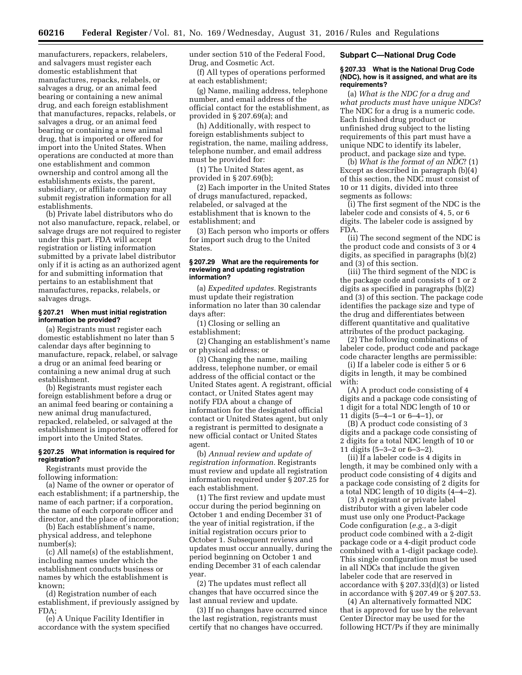manufacturers, repackers, relabelers, and salvagers must register each domestic establishment that manufactures, repacks, relabels, or salvages a drug, or an animal feed bearing or containing a new animal drug, and each foreign establishment that manufactures, repacks, relabels, or salvages a drug, or an animal feed bearing or containing a new animal drug, that is imported or offered for import into the United States. When operations are conducted at more than one establishment and common ownership and control among all the establishments exists, the parent, subsidiary, or affiliate company may submit registration information for all establishments.

(b) Private label distributors who do not also manufacture, repack, relabel, or salvage drugs are not required to register under this part. FDA will accept registration or listing information submitted by a private label distributor only if it is acting as an authorized agent for and submitting information that pertains to an establishment that manufactures, repacks, relabels, or salvages drugs.

#### **§ 207.21 When must initial registration information be provided?**

(a) Registrants must register each domestic establishment no later than 5 calendar days after beginning to manufacture, repack, relabel, or salvage a drug or an animal feed bearing or containing a new animal drug at such establishment.

(b) Registrants must register each foreign establishment before a drug or an animal feed bearing or containing a new animal drug manufactured, repacked, relabeled, or salvaged at the establishment is imported or offered for import into the United States.

## **§ 207.25 What information is required for registration?**

Registrants must provide the following information:

(a) Name of the owner or operator of each establishment; if a partnership, the name of each partner; if a corporation, the name of each corporate officer and director, and the place of incorporation;

(b) Each establishment's name, physical address, and telephone number(s);

(c) All name(s) of the establishment, including names under which the establishment conducts business or names by which the establishment is known;

(d) Registration number of each establishment, if previously assigned by FDA;

(e) A Unique Facility Identifier in accordance with the system specified under section 510 of the Federal Food, Drug, and Cosmetic Act.

(f) All types of operations performed at each establishment;

(g) Name, mailing address, telephone number, and email address of the official contact for the establishment, as provided in § 207.69(a); and

(h) Additionally, with respect to foreign establishments subject to registration, the name, mailing address, telephone number, and email address must be provided for:

(1) The United States agent, as provided in § 207.69(b);

(2) Each importer in the United States of drugs manufactured, repacked, relabeled, or salvaged at the establishment that is known to the establishment; and

(3) Each person who imports or offers for import such drug to the United States.

### **§ 207.29 What are the requirements for reviewing and updating registration information?**

(a) *Expedited updates.* Registrants must update their registration information no later than 30 calendar days after:

(1) Closing or selling an establishment;

(2) Changing an establishment's name or physical address; or

(3) Changing the name, mailing address, telephone number, or email address of the official contact or the United States agent. A registrant, official contact, or United States agent may notify FDA about a change of information for the designated official contact or United States agent, but only a registrant is permitted to designate a new official contact or United States agent.

(b) *Annual review and update of registration information.* Registrants must review and update all registration information required under § 207.25 for each establishment.

(1) The first review and update must occur during the period beginning on October 1 and ending December 31 of the year of initial registration, if the initial registration occurs prior to October 1. Subsequent reviews and updates must occur annually, during the period beginning on October 1 and ending December 31 of each calendar year.

(2) The updates must reflect all changes that have occurred since the last annual review and update.

(3) If no changes have occurred since the last registration, registrants must certify that no changes have occurred.

#### **Subpart C—National Drug Code**

#### **§ 207.33 What is the National Drug Code (NDC), how is it assigned, and what are its requirements?**

(a) *What is the NDC for a drug and what products must have unique NDCs*? The NDC for a drug is a numeric code. Each finished drug product or unfinished drug subject to the listing requirements of this part must have a unique NDC to identify its labeler, product, and package size and type.

(b) *What is the format of an NDC*? (1) Except as described in paragraph (b)(4) of this section, the NDC must consist of 10 or 11 digits, divided into three segments as follows:

(i) The first segment of the NDC is the labeler code and consists of 4, 5, or 6 digits. The labeler code is assigned by FDA.

(ii) The second segment of the NDC is the product code and consists of 3 or 4 digits, as specified in paragraphs (b)(2) and (3) of this section.

(iii) The third segment of the NDC is the package code and consists of 1 or 2 digits as specified in paragraphs (b)(2) and (3) of this section. The package code identifies the package size and type of the drug and differentiates between different quantitative and qualitative attributes of the product packaging.

(2) The following combinations of labeler code, product code and package code character lengths are permissible:

(i) If a labeler code is either 5 or 6 digits in length, it may be combined with:

(A) A product code consisting of 4 digits and a package code consisting of 1 digit for a total NDC length of 10 or 11 digits (5–4–1 or 6–4–1), or

(B) A product code consisting of 3 digits and a package code consisting of 2 digits for a total NDC length of 10 or 11 digits (5–3–2 or 6–3–2).

(ii) If a labeler code is 4 digits in length, it may be combined only with a product code consisting of 4 digits and a package code consisting of 2 digits for a total NDC length of 10 digits (4–4–2).

(3) A registrant or private label distributor with a given labeler code must use only one Product-Package Code configuration (*e.g.,* a 3-digit product code combined with a 2-digit package code or a 4-digit product code combined with a 1-digit package code). This single configuration must be used in all NDCs that include the given labeler code that are reserved in accordance with § 207.33(d)(3) or listed in accordance with § 207.49 or § 207.53.

(4) An alternatively formatted NDC that is approved for use by the relevant Center Director may be used for the following HCT/Ps if they are minimally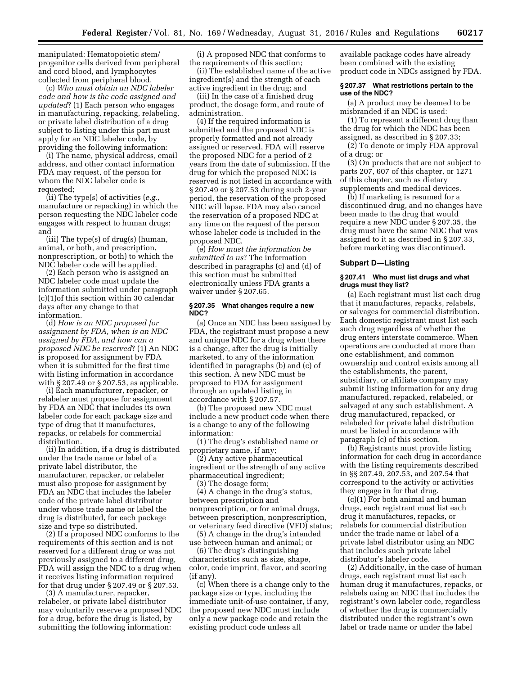manipulated: Hematopoietic stem/ progenitor cells derived from peripheral and cord blood, and lymphocytes collected from peripheral blood.

(c) *Who must obtain an NDC labeler code and how is the code assigned and updated*? (1) Each person who engages in manufacturing, repacking, relabeling, or private label distribution of a drug subject to listing under this part must apply for an NDC labeler code, by providing the following information:

(i) The name, physical address, email address, and other contact information FDA may request, of the person for whom the NDC labeler code is requested;

(ii) The type(s) of activities (*e.g.,*  manufacture or repacking) in which the person requesting the NDC labeler code engages with respect to human drugs; and

(iii) The type(s) of drug(s) (human, animal, or both, and prescription, nonprescription, or both) to which the NDC labeler code will be applied.

(2) Each person who is assigned an NDC labeler code must update the information submitted under paragraph (c)(1)of this section within 30 calendar days after any change to that information.

(d) *How is an NDC proposed for assignment by FDA, when is an NDC assigned by FDA, and how can a proposed NDC be reserved*? (1) An NDC is proposed for assignment by FDA when it is submitted for the first time with listing information in accordance with § 207.49 or § 207.53, as applicable.

(i) Each manufacturer, repacker, or relabeler must propose for assignment by FDA an NDC that includes its own labeler code for each package size and type of drug that it manufactures, repacks, or relabels for commercial distribution.

(ii) In addition, if a drug is distributed under the trade name or label of a private label distributor, the manufacturer, repacker, or relabeler must also propose for assignment by FDA an NDC that includes the labeler code of the private label distributor under whose trade name or label the drug is distributed, for each package size and type so distributed.

(2) If a proposed NDC conforms to the requirements of this section and is not reserved for a different drug or was not previously assigned to a different drug, FDA will assign the NDC to a drug when it receives listing information required for that drug under § 207.49 or § 207.53.

(3) A manufacturer, repacker, relabeler, or private label distributor may voluntarily reserve a proposed NDC for a drug, before the drug is listed, by submitting the following information:

(i) A proposed NDC that conforms to the requirements of this section;

(ii) The established name of the active ingredient(s) and the strength of each active ingredient in the drug; and

(iii) In the case of a finished drug product, the dosage form, and route of administration.

(4) If the required information is submitted and the proposed NDC is properly formatted and not already assigned or reserved, FDA will reserve the proposed NDC for a period of 2 years from the date of submission. If the drug for which the proposed NDC is reserved is not listed in accordance with § 207.49 or § 207.53 during such 2-year period, the reservation of the proposed NDC will lapse. FDA may also cancel the reservation of a proposed NDC at any time on the request of the person whose labeler code is included in the proposed NDC.

(e) *How must the information be submitted to us*? The information described in paragraphs (c) and (d) of this section must be submitted electronically unless FDA grants a waiver under § 207.65.

### **§ 207.35 What changes require a new NDC?**

(a) Once an NDC has been assigned by FDA, the registrant must propose a new and unique NDC for a drug when there is a change, after the drug is initially marketed, to any of the information identified in paragraphs (b) and (c) of this section. A new NDC must be proposed to FDA for assignment through an updated listing in accordance with § 207.57.

(b) The proposed new NDC must include a new product code when there is a change to any of the following information:

(1) The drug's established name or proprietary name, if any;

(2) Any active pharmaceutical ingredient or the strength of any active pharmaceutical ingredient;

(3) The dosage form;

(4) A change in the drug's status, between prescription and nonprescription, or for animal drugs, between prescription, nonprescription, or veterinary feed directive (VFD) status;

(5) A change in the drug's intended use between human and animal; or

(6) The drug's distinguishing characteristics such as size, shape, color, code imprint, flavor, and scoring (if any).

(c) When there is a change only to the package size or type, including the immediate unit-of-use container, if any, the proposed new NDC must include only a new package code and retain the existing product code unless all

available package codes have already been combined with the existing product code in NDCs assigned by FDA.

#### **§ 207.37 What restrictions pertain to the use of the NDC?**

(a) A product may be deemed to be misbranded if an NDC is used:

(1) To represent a different drug than the drug for which the NDC has been assigned, as described in § 207.33;

(2) To denote or imply FDA approval of a drug; or

(3) On products that are not subject to parts 207, 607 of this chapter, or 1271 of this chapter, such as dietary supplements and medical devices.

(b) If marketing is resumed for a discontinued drug, and no changes have been made to the drug that would require a new NDC under § 207.35, the drug must have the same NDC that was assigned to it as described in § 207.33, before marketing was discontinued.

#### **Subpart D—Listing**

### **§ 207.41 Who must list drugs and what drugs must they list?**

(a) Each registrant must list each drug that it manufactures, repacks, relabels, or salvages for commercial distribution. Each domestic registrant must list each such drug regardless of whether the drug enters interstate commerce. When operations are conducted at more than one establishment, and common ownership and control exists among all the establishments, the parent, subsidiary, or affiliate company may submit listing information for any drug manufactured, repacked, relabeled, or salvaged at any such establishment. A drug manufactured, repacked, or relabeled for private label distribution must be listed in accordance with paragraph (c) of this section.

(b) Registrants must provide listing information for each drug in accordance with the listing requirements described in §§ 207.49, 207.53, and 207.54 that correspond to the activity or activities they engage in for that drug.

(c)(1) For both animal and human drugs, each registrant must list each drug it manufactures, repacks, or relabels for commercial distribution under the trade name or label of a private label distributor using an NDC that includes such private label distributor's labeler code.

(2) Additionally, in the case of human drugs, each registrant must list each human drug it manufactures, repacks, or relabels using an NDC that includes the registrant's own labeler code, regardless of whether the drug is commercially distributed under the registrant's own label or trade name or under the label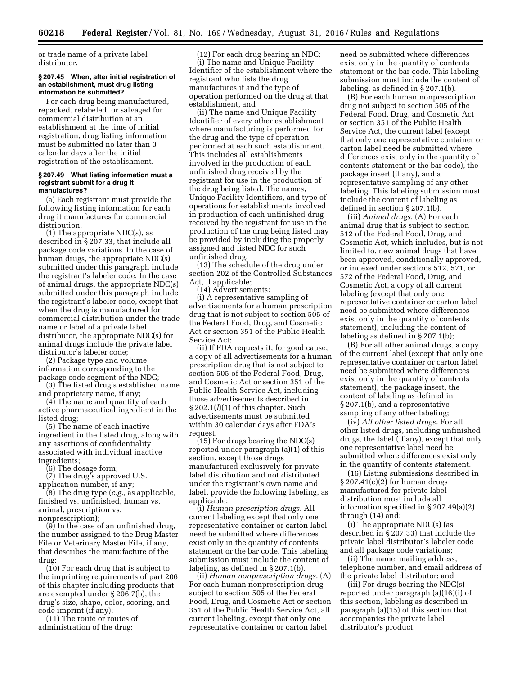or trade name of a private label distributor.

### **§ 207.45 When, after initial registration of an establishment, must drug listing information be submitted?**

For each drug being manufactured, repacked, relabeled, or salvaged for commercial distribution at an establishment at the time of initial registration, drug listing information must be submitted no later than 3 calendar days after the initial registration of the establishment.

#### **§ 207.49 What listing information must a registrant submit for a drug it manufactures?**

(a) Each registrant must provide the following listing information for each drug it manufactures for commercial distribution.

(1) The appropriate NDC(s), as described in § 207.33, that include all package code variations. In the case of human drugs, the appropriate NDC(s) submitted under this paragraph include the registrant's labeler code. In the case of animal drugs, the appropriate NDC(s) submitted under this paragraph include the registrant's labeler code, except that when the drug is manufactured for commercial distribution under the trade name or label of a private label distributor, the appropriate NDC(s) for animal drugs include the private label distributor's labeler code;

(2) Package type and volume information corresponding to the package code segment of the NDC;

(3) The listed drug's established name and proprietary name, if any;

(4) The name and quantity of each active pharmaceutical ingredient in the listed drug;

(5) The name of each inactive ingredient in the listed drug, along with any assertions of confidentiality associated with individual inactive ingredients;

(6) The dosage form;

(7) The drug's approved U.S. application number, if any;

(8) The drug type (*e.g.,* as applicable, finished vs. unfinished, human vs. animal, prescription vs. nonprescription);

(9) In the case of an unfinished drug, the number assigned to the Drug Master File or Veterinary Master File, if any, that describes the manufacture of the drug;

(10) For each drug that is subject to the imprinting requirements of part 206 of this chapter including products that are exempted under § 206.7(b), the drug's size, shape, color, scoring, and code imprint (if any);

(11) The route or routes of administration of the drug;

(12) For each drug bearing an NDC: (i) The name and Unique Facility Identifier of the establishment where the registrant who lists the drug manufactures it and the type of operation performed on the drug at that establishment, and

(ii) The name and Unique Facility Identifier of every other establishment where manufacturing is performed for the drug and the type of operation performed at each such establishment. This includes all establishments involved in the production of each unfinished drug received by the registrant for use in the production of the drug being listed. The names, Unique Facility Identifiers, and type of operations for establishments involved in production of each unfinished drug received by the registrant for use in the production of the drug being listed may be provided by including the properly assigned and listed NDC for such unfinished drug.

(13) The schedule of the drug under section 202 of the Controlled Substances Act, if applicable;

(14) Advertisements:

(i) A representative sampling of advertisements for a human prescription drug that is not subject to section 505 of the Federal Food, Drug, and Cosmetic Act or section 351 of the Public Health Service Act;

(ii) If FDA requests it, for good cause, a copy of all advertisements for a human prescription drug that is not subject to section 505 of the Federal Food, Drug, and Cosmetic Act or section 351 of the Public Health Service Act, including those advertisements described in § 202.1(*l*)(1) of this chapter. Such advertisements must be submitted within 30 calendar days after FDA's request.

(15) For drugs bearing the NDC(s) reported under paragraph (a)(1) of this section, except those drugs manufactured exclusively for private label distribution and not distributed under the registrant's own name and label, provide the following labeling, as applicable:

(i) *Human prescription drugs.* All current labeling except that only one representative container or carton label need be submitted where differences exist only in the quantity of contents statement or the bar code. This labeling submission must include the content of labeling, as defined in § 207.1(b).

(ii) *Human nonprescription drugs.* (A) For each human nonprescription drug subject to section 505 of the Federal Food, Drug, and Cosmetic Act or section 351 of the Public Health Service Act, all current labeling, except that only one representative container or carton label

need be submitted where differences exist only in the quantity of contents statement or the bar code. This labeling submission must include the content of labeling, as defined in § 207.1(b).

(B) For each human nonprescription drug not subject to section 505 of the Federal Food, Drug, and Cosmetic Act or section 351 of the Public Health Service Act, the current label (except that only one representative container or carton label need be submitted where differences exist only in the quantity of contents statement or the bar code), the package insert (if any), and a representative sampling of any other labeling. This labeling submission must include the content of labeling as defined in section § 207.1(b).

(iii) *Animal drugs.* (A) For each animal drug that is subject to section 512 of the Federal Food, Drug, and Cosmetic Act, which includes, but is not limited to, new animal drugs that have been approved, conditionally approved, or indexed under sections 512, 571, or 572 of the Federal Food, Drug, and Cosmetic Act, a copy of all current labeling (except that only one representative container or carton label need be submitted where differences exist only in the quantity of contents statement), including the content of labeling as defined in § 207.1(b);

(B) For all other animal drugs, a copy of the current label (except that only one representative container or carton label need be submitted where differences exist only in the quantity of contents statement), the package insert, the content of labeling as defined in § 207.1(b), and a representative sampling of any other labeling;

(iv) *All other listed drugs.* For all other listed drugs, including unfinished drugs, the label (if any), except that only one representative label need be submitted where differences exist only in the quantity of contents statement.

(16) Listing submissions described in § 207.41(c)(2) for human drugs manufactured for private label distribution must include all information specified in § 207.49(a)(2) through (14) and:

(i) The appropriate NDC(s) (as described in § 207.33) that include the private label distributor's labeler code and all package code variations;

(ii) The name, mailing address, telephone number, and email address of the private label distributor; and

(iii) For drugs bearing the NDC(s) reported under paragraph (a)(16)(i) of this section, labeling as described in paragraph (a)(15) of this section that accompanies the private label distributor's product.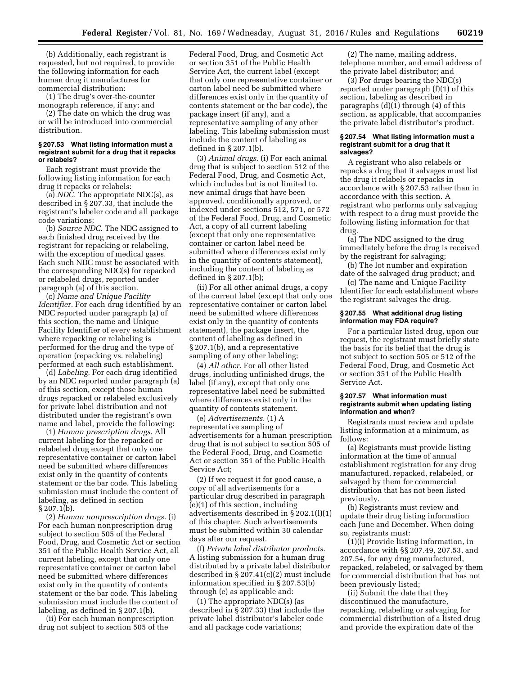(b) Additionally, each registrant is requested, but not required, to provide the following information for each human drug it manufactures for commercial distribution:

(1) The drug's over-the-counter monograph reference, if any; and

(2) The date on which the drug was or will be introduced into commercial distribution.

### **§ 207.53 What listing information must a registrant submit for a drug that it repacks or relabels?**

Each registrant must provide the following listing information for each drug it repacks or relabels:

(a) *NDC.* The appropriate NDC(s), as described in § 207.33, that include the registrant's labeler code and all package code variations;

(b) *Source NDC.* The NDC assigned to each finished drug received by the registrant for repacking or relabeling, with the exception of medical gases. Each such NDC must be associated with the corresponding NDC(s) for repacked or relabeled drugs, reported under paragraph (a) of this section.

(c) *Name and Unique Facility Identifier.* For each drug identified by an NDC reported under paragraph (a) of this section, the name and Unique Facility Identifier of every establishment where repacking or relabeling is performed for the drug and the type of operation (repacking vs. relabeling) performed at each such establishment.

(d) *Labeling.* For each drug identified by an NDC reported under paragraph (a) of this section, except those human drugs repacked or relabeled exclusively for private label distribution and not distributed under the registrant's own name and label, provide the following:

(1) *Human prescription drugs.* All current labeling for the repacked or relabeled drug except that only one representative container or carton label need be submitted where differences exist only in the quantity of contents statement or the bar code. This labeling submission must include the content of labeling, as defined in section § 207.1(b).

(2) *Human nonprescription drugs.* (i) For each human nonprescription drug subject to section 505 of the Federal Food, Drug, and Cosmetic Act or section 351 of the Public Health Service Act, all current labeling, except that only one representative container or carton label need be submitted where differences exist only in the quantity of contents statement or the bar code. This labeling submission must include the content of labeling, as defined in § 207.1(b).

(ii) For each human nonprescription drug not subject to section 505 of the

Federal Food, Drug, and Cosmetic Act or section 351 of the Public Health Service Act, the current label (except that only one representative container or carton label need be submitted where differences exist only in the quantity of contents statement or the bar code), the package insert (if any), and a representative sampling of any other labeling. This labeling submission must include the content of labeling as defined in § 207.1(b).

(3) *Animal drugs.* (i) For each animal drug that is subject to section 512 of the Federal Food, Drug, and Cosmetic Act, which includes but is not limited to, new animal drugs that have been approved, conditionally approved, or indexed under sections 512, 571, or 572 of the Federal Food, Drug, and Cosmetic Act, a copy of all current labeling (except that only one representative container or carton label need be submitted where differences exist only in the quantity of contents statement), including the content of labeling as defined in § 207.1(b);

(ii) For all other animal drugs, a copy of the current label (except that only one representative container or carton label need be submitted where differences exist only in the quantity of contents statement), the package insert, the content of labeling as defined in § 207.1(b), and a representative sampling of any other labeling;

(4) *All other.* For all other listed drugs, including unfinished drugs, the label (if any), except that only one representative label need be submitted where differences exist only in the quantity of contents statement.

(e) *Advertisements.* (1) A representative sampling of advertisements for a human prescription drug that is not subject to section 505 of the Federal Food, Drug, and Cosmetic Act or section 351 of the Public Health Service Act;

(2) If we request it for good cause, a copy of all advertisements for a particular drug described in paragraph (e)(1) of this section, including advertisements described in § 202.1(l)(1) of this chapter. Such advertisements must be submitted within 30 calendar days after our request.

(f) *Private label distributor products.*  A listing submission for a human drug distributed by a private label distributor described in § 207.41(c)(2) must include information specified in § 207.53(b) through (e) as applicable and:

(1) The appropriate NDC(s) (as described in § 207.33) that include the private label distributor's labeler code and all package code variations;

(2) The name, mailing address, telephone number, and email address of the private label distributor; and

(3) For drugs bearing the NDC(s) reported under paragraph (f)(1) of this section, labeling as described in paragraphs (d)(1) through (4) of this section, as applicable, that accompanies the private label distributor's product.

#### **§ 207.54 What listing information must a registrant submit for a drug that it salvages?**

A registrant who also relabels or repacks a drug that it salvages must list the drug it relabels or repacks in accordance with § 207.53 rather than in accordance with this section. A registrant who performs only salvaging with respect to a drug must provide the following listing information for that drug.

(a) The NDC assigned to the drug immediately before the drug is received by the registrant for salvaging;

(b) The lot number and expiration date of the salvaged drug product; and

(c) The name and Unique Facility Identifier for each establishment where the registrant salvages the drug.

## **§ 207.55 What additional drug listing information may FDA require?**

For a particular listed drug, upon our request, the registrant must briefly state the basis for its belief that the drug is not subject to section 505 or 512 of the Federal Food, Drug, and Cosmetic Act or section 351 of the Public Health Service Act.

#### **§ 207.57 What information must registrants submit when updating listing information and when?**

Registrants must review and update listing information at a minimum, as follows:

(a) Registrants must provide listing information at the time of annual establishment registration for any drug manufactured, repacked, relabeled, or salvaged by them for commercial distribution that has not been listed previously.

(b) Registrants must review and update their drug listing information each June and December. When doing so, registrants must:

(1)(i) Provide listing information, in accordance with §§ 207.49, 207.53, and 207.54, for any drug manufactured, repacked, relabeled, or salvaged by them for commercial distribution that has not been previously listed;

(ii) Submit the date that they discontinued the manufacture, repacking, relabeling or salvaging for commercial distribution of a listed drug and provide the expiration date of the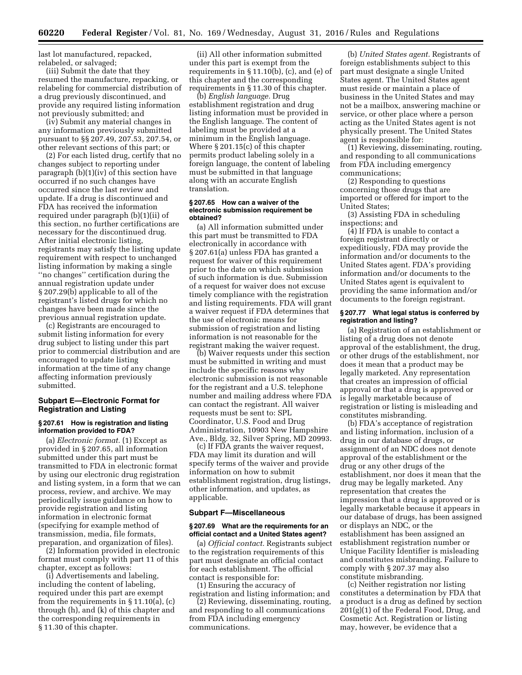last lot manufactured, repacked, relabeled, or salvaged;

(iii) Submit the date that they resumed the manufacture, repacking, or relabeling for commercial distribution of a drug previously discontinued, and provide any required listing information not previously submitted; and

(iv) Submit any material changes in any information previously submitted pursuant to §§ 207.49, 207.53, 207.54, or other relevant sections of this part; or

(2) For each listed drug, certify that no changes subject to reporting under paragraph (b)(1)(iv) of this section have occurred if no such changes have occurred since the last review and update. If a drug is discontinued and FDA has received the information required under paragraph (b)(1)(ii) of this section, no further certifications are necessary for the discontinued drug. After initial electronic listing, registrants may satisfy the listing update requirement with respect to unchanged listing information by making a single ''no changes'' certification during the annual registration update under § 207.29(b) applicable to all of the registrant's listed drugs for which no changes have been made since the previous annual registration update.

(c) Registrants are encouraged to submit listing information for every drug subject to listing under this part prior to commercial distribution and are encouraged to update listing information at the time of any change affecting information previously submitted.

## **Subpart E—Electronic Format for Registration and Listing**

## **§ 207.61 How is registration and listing information provided to FDA?**

(a) *Electronic format.* (1) Except as provided in § 207.65, all information submitted under this part must be transmitted to FDA in electronic format by using our electronic drug registration and listing system, in a form that we can process, review, and archive. We may periodically issue guidance on how to provide registration and listing information in electronic format (specifying for example method of transmission, media, file formats, preparation, and organization of files).

(2) Information provided in electronic format must comply with part 11 of this chapter, except as follows:

(i) Advertisements and labeling, including the content of labeling, required under this part are exempt from the requirements in § 11.10(a), (c) through (h), and (k) of this chapter and the corresponding requirements in § 11.30 of this chapter.

(ii) All other information submitted under this part is exempt from the requirements in § 11.10(b), (c), and (e) of this chapter and the corresponding requirements in § 11.30 of this chapter.

(b) *English language.* Drug establishment registration and drug listing information must be provided in the English language. The content of labeling must be provided at a minimum in the English language. Where § 201.15(c) of this chapter permits product labeling solely in a foreign language, the content of labeling must be submitted in that language along with an accurate English translation.

#### **§ 207.65 How can a waiver of the electronic submission requirement be obtained?**

(a) All information submitted under this part must be transmitted to FDA electronically in accordance with § 207.61(a) unless FDA has granted a request for waiver of this requirement prior to the date on which submission of such information is due. Submission of a request for waiver does not excuse timely compliance with the registration and listing requirements. FDA will grant a waiver request if FDA determines that the use of electronic means for submission of registration and listing information is not reasonable for the registrant making the waiver request.

(b) Waiver requests under this section must be submitted in writing and must include the specific reasons why electronic submission is not reasonable for the registrant and a U.S. telephone number and mailing address where FDA can contact the registrant. All waiver requests must be sent to: SPL Coordinator, U.S. Food and Drug Administration, 10903 New Hampshire Ave., Bldg. 32, Silver Spring, MD 20993.

(c) If FDA grants the waiver request, FDA may limit its duration and will specify terms of the waiver and provide information on how to submit establishment registration, drug listings, other information, and updates, as applicable.

#### **Subpart F—Miscellaneous**

#### **§ 207.69 What are the requirements for an official contact and a United States agent?**

(a) *Official contact.* Registrants subject to the registration requirements of this part must designate an official contact for each establishment. The official contact is responsible for:

(1) Ensuring the accuracy of registration and listing information; and

(2) Reviewing, disseminating, routing, and responding to all communications from FDA including emergency communications.

(b) *United States agent.* Registrants of foreign establishments subject to this part must designate a single United States agent. The United States agent must reside or maintain a place of business in the United States and may not be a mailbox, answering machine or service, or other place where a person acting as the United States agent is not physically present. The United States agent is responsible for:

(1) Reviewing, disseminating, routing, and responding to all communications from FDA including emergency communications;

(2) Responding to questions concerning those drugs that are imported or offered for import to the United States;

(3) Assisting FDA in scheduling inspections; and

(4) If FDA is unable to contact a foreign registrant directly or expeditiously, FDA may provide the information and/or documents to the United States agent. FDA's providing information and/or documents to the United States agent is equivalent to providing the same information and/or documents to the foreign registrant.

## **§ 207.77 What legal status is conferred by registration and listing?**

(a) Registration of an establishment or listing of a drug does not denote approval of the establishment, the drug, or other drugs of the establishment, nor does it mean that a product may be legally marketed. Any representation that creates an impression of official approval or that a drug is approved or is legally marketable because of registration or listing is misleading and constitutes misbranding.

(b) FDA's acceptance of registration and listing information, inclusion of a drug in our database of drugs, or assignment of an NDC does not denote approval of the establishment or the drug or any other drugs of the establishment, nor does it mean that the drug may be legally marketed. Any representation that creates the impression that a drug is approved or is legally marketable because it appears in our database of drugs, has been assigned or displays an NDC, or the establishment has been assigned an establishment registration number or Unique Facility Identifier is misleading and constitutes misbranding. Failure to comply with § 207.37 may also constitute misbranding.

(c) Neither registration nor listing constitutes a determination by FDA that a product is a drug as defined by section 201(g)(1) of the Federal Food, Drug, and Cosmetic Act. Registration or listing may, however, be evidence that a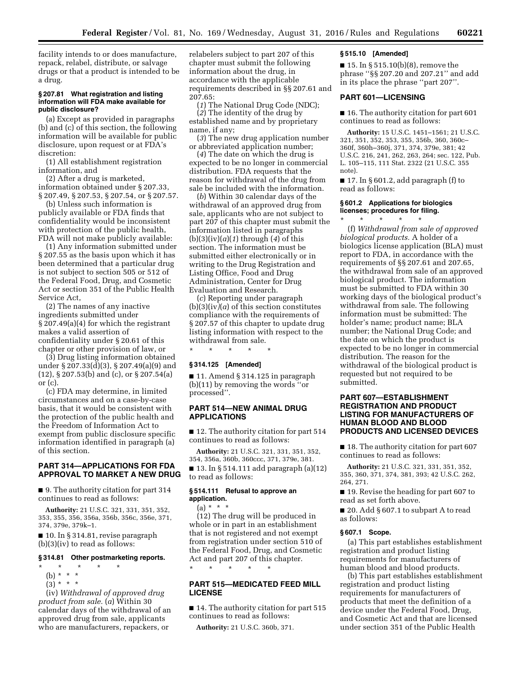facility intends to or does manufacture, repack, relabel, distribute, or salvage drugs or that a product is intended to be a drug.

#### **§ 207.81 What registration and listing information will FDA make available for public disclosure?**

(a) Except as provided in paragraphs (b) and (c) of this section, the following information will be available for public disclosure, upon request or at FDA's discretion:

(1) All establishment registration information, and

(2) After a drug is marketed, information obtained under § 207.33, § 207.49, § 207.53, § 207.54, or § 207.57.

(b) Unless such information is publicly available or FDA finds that confidentiality would be inconsistent with protection of the public health, FDA will not make publicly available:

(1) Any information submitted under § 207.55 as the basis upon which it has been determined that a particular drug is not subject to section 505 or 512 of the Federal Food, Drug, and Cosmetic Act or section 351 of the Public Health Service Act,

(2) The names of any inactive ingredients submitted under § 207.49(a)(4) for which the registrant makes a valid assertion of confidentiality under § 20.61 of this chapter or other provision of law, or

(3) Drug listing information obtained under § 207.33(d)(3), § 207.49(a)(9) and (12), § 207.53(b) and (c), or § 207.54(a) or (c).

(c) FDA may determine, in limited circumstances and on a case-by-case basis, that it would be consistent with the protection of the public health and the Freedom of Information Act to exempt from public disclosure specific information identified in paragraph (a) of this section.

## **PART 314—APPLICATIONS FOR FDA APPROVAL TO MARKET A NEW DRUG**

■ 9. The authority citation for part 314 continues to read as follows:

**Authority:** 21 U.S.C. 321, 331, 351, 352, 353, 355, 356, 356a, 356b, 356c, 356e, 371, 374, 379e, 379k–1.

■ 10. In § 314.81, revise paragraph (b)(3)(iv) to read as follows:

### **§ 314.81 Other postmarketing reports.**

- \* \* \* \* \*
	- (b) \* \* \*
	- $(3) * * * *$

(iv) *Withdrawal of approved drug product from sale.* (*a*) Within 30 calendar days of the withdrawal of an approved drug from sale, applicants who are manufacturers, repackers, or

relabelers subject to part 207 of this chapter must submit the following information about the drug, in accordance with the applicable requirements described in §§ 207.61 and 207.65:

(*1*) The National Drug Code (NDC);

(*2*) The identity of the drug by established name and by proprietary name, if any;

(*3*) The new drug application number or abbreviated application number;

(*4*) The date on which the drug is expected to be no longer in commercial distribution. FDA requests that the reason for withdrawal of the drug from sale be included with the information.

(*b*) Within 30 calendar days of the withdrawal of an approved drug from sale, applicants who are not subject to part 207 of this chapter must submit the information listed in paragraphs (b)(3)(iv)(*a*)(*1*) through (*4*) of this section. The information must be submitted either electronically or in writing to the Drug Registration and Listing Office, Food and Drug Administration, Center for Drug Evaluation and Research.

(*c*) Reporting under paragraph (b)(3)(iv*)*(*a*) of this section constitutes compliance with the requirements of § 207.57 of this chapter to update drug listing information with respect to the withdrawal from sale.

\* \* \* \* \*

## **§ 314.125 [Amended]**

■ 11. Amend § 314.125 in paragraph (b)(11) by removing the words ''or processed''.

## **PART 514—NEW ANIMAL DRUG APPLICATIONS**

■ 12. The authority citation for part 514 continues to read as follows:

**Authority:** 21 U.S.C. 321, 331, 351, 352, 354, 356a, 360b, 360ccc, 371, 379e, 381.

■ 13. In § 514.111 add paragraph (a)(12) to read as follows:

## **§ 514.111 Refusal to approve an application.**

 $(a) * * * *$ 

(12) The drug will be produced in whole or in part in an establishment that is not registered and not exempt from registration under section 510 of the Federal Food, Drug, and Cosmetic Act and part 207 of this chapter.

## **PART 515—MEDICATED FEED MILL LICENSE**

■ 14. The authority citation for part 515 continues to read as follows:

**Authority:** 21 U.S.C. 360b, 371.

\* \* \* \* \*

#### **§ 515.10 [Amended]**

■ 15. In § 515.10(b)(8), remove the phrase ''§§ 207.20 and 207.21'' and add in its place the phrase ''part 207''.

## **PART 601—LICENSING**

■ 16. The authority citation for part 601 continues to read as follows:

**Authority:** 15 U.S.C. 1451–1561; 21 U.S.C. 321, 351, 352, 353, 355, 356b, 360, 360c– 360f, 360h–360j, 371, 374, 379e, 381; 42 U.S.C. 216, 241, 262, 263, 264; sec. 122, Pub. L. 105–115, 111 Stat. 2322 (21 U.S.C. 355 note).

 $\blacksquare$  17. In § 601.2, add paragraph (f) to read as follows:

### **§ 601.2 Applications for biologics licenses; procedures for filing.**

\* \* \* \* \*

(f) *Withdrawal from sale of approved biological products.* A holder of a biologics license application (BLA) must report to FDA, in accordance with the requirements of §§ 207.61 and 207.65, the withdrawal from sale of an approved biological product. The information must be submitted to FDA within 30 working days of the biological product's withdrawal from sale. The following information must be submitted: The holder's name; product name; BLA number; the National Drug Code; and the date on which the product is expected to be no longer in commercial distribution. The reason for the withdrawal of the biological product is requested but not required to be submitted.

## **PART 607—ESTABLISHMENT REGISTRATION AND PRODUCT LISTING FOR MANUFACTURERS OF HUMAN BLOOD AND BLOOD PRODUCTS AND LICENSED DEVICES**

■ 18. The authority citation for part 607 continues to read as follows:

**Authority:** 21 U.S.C. 321, 331, 351, 352, 355, 360, 371, 374, 381, 393; 42 U.S.C. 262, 264, 271.

■ 19. Revise the heading for part 607 to read as set forth above.

■ 20. Add § 607.1 to subpart A to read as follows:

## **§ 607.1 Scope.**

(a) This part establishes establishment registration and product listing requirements for manufacturers of human blood and blood products.

(b) This part establishes establishment registration and product listing requirements for manufacturers of products that meet the definition of a device under the Federal Food, Drug, and Cosmetic Act and that are licensed under section 351 of the Public Health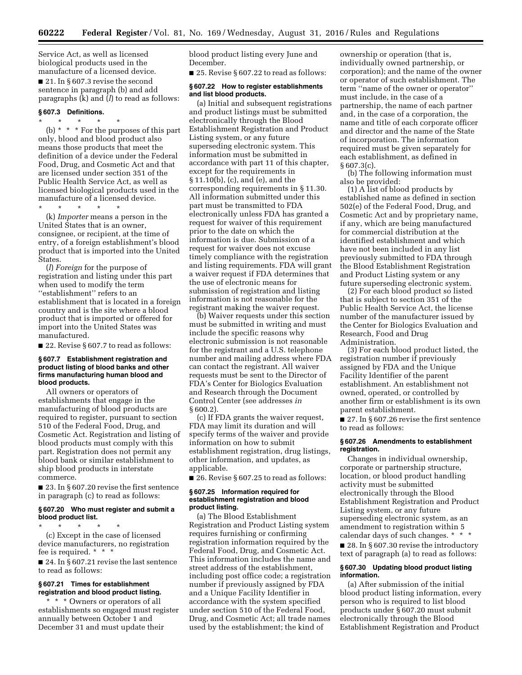Service Act, as well as licensed biological products used in the manufacture of a licensed device. ■ 21. In § 607.3 revise the second

sentence in paragraph (b) and add paragraphs (k) and (*l*) to read as follows:

# **§ 607.3 Definitions.**

\* \* \* \* \* (b) \* \* \* For the purposes of this part only, blood and blood product also means those products that meet the definition of a device under the Federal Food, Drug, and Cosmetic Act and that are licensed under section 351 of the Public Health Service Act, as well as licensed biological products used in the manufacture of a licensed device.

\* \* \* \* \*

(k) *Importer* means a person in the United States that is an owner, consignee, or recipient, at the time of entry, of a foreign establishment's blood product that is imported into the United States.

(*l*) *Foreign* for the purpose of registration and listing under this part when used to modify the term ''establishment'' refers to an establishment that is located in a foreign country and is the site where a blood product that is imported or offered for import into the United States was manufactured.

■ 22. Revise § 607.7 to read as follows:

#### **§ 607.7 Establishment registration and product listing of blood banks and other firms manufacturing human blood and blood products.**

All owners or operators of establishments that engage in the manufacturing of blood products are required to register, pursuant to section 510 of the Federal Food, Drug, and Cosmetic Act. Registration and listing of blood products must comply with this part. Registration does not permit any blood bank or similar establishment to ship blood products in interstate commerce.

■ 23. In § 607.20 revise the first sentence in paragraph (c) to read as follows:

## **§ 607.20 Who must register and submit a blood product list.**

 $\star$   $\star$   $\star$ (c) Except in the case of licensed device manufacturers, no registration fee is required. \* \* \*

■ 24. In § 607.21 revise the last sentence to read as follows:

## **§ 607.21 Times for establishment registration and blood product listing.**

\* \* \* Owners or operators of all establishments so engaged must register annually between October 1 and December 31 and must update their

blood product listing every June and December.

■ 25. Revise § 607.22 to read as follows:

#### **§ 607.22 How to register establishments and list blood products.**

(a) Initial and subsequent registrations and product listings must be submitted electronically through the Blood Establishment Registration and Product Listing system, or any future superseding electronic system. This information must be submitted in accordance with part 11 of this chapter, except for the requirements in § 11.10(b), (c), and (e), and the corresponding requirements in § 11.30. All information submitted under this part must be transmitted to FDA electronically unless FDA has granted a request for waiver of this requirement prior to the date on which the information is due. Submission of a request for waiver does not excuse timely compliance with the registration and listing requirements. FDA will grant a waiver request if FDA determines that the use of electronic means for submission of registration and listing information is not reasonable for the registrant making the waiver request.

(b) Waiver requests under this section must be submitted in writing and must include the specific reasons why electronic submission is not reasonable for the registrant and a U.S. telephone number and mailing address where FDA can contact the registrant. All waiver requests must be sent to the Director of FDA's Center for Biologics Evaluation and Research through the Document Control Center (see addresses *in*  § 600.2).

(c) If FDA grants the waiver request, FDA may limit its duration and will specify terms of the waiver and provide information on how to submit establishment registration, drug listings, other information, and updates, as applicable.

■ 26. Revise § 607.25 to read as follows:

### **§ 607.25 Information required for establishment registration and blood product listing.**

(a) The Blood Establishment Registration and Product Listing system requires furnishing or confirming registration information required by the Federal Food, Drug, and Cosmetic Act. This information includes the name and street address of the establishment, including post office code; a registration number if previously assigned by FDA and a Unique Facility Identifier in accordance with the system specified under section 510 of the Federal Food, Drug, and Cosmetic Act; all trade names used by the establishment; the kind of

ownership or operation (that is, individually owned partnership, or corporation); and the name of the owner or operator of such establishment. The term ''name of the owner or operator'' must include, in the case of a partnership, the name of each partner and, in the case of a corporation, the name and title of each corporate officer and director and the name of the State of incorporation. The information required must be given separately for each establishment, as defined in § 607.3(c).

(b) The following information must also be provided:

(1) A list of blood products by established name as defined in section 502(e) of the Federal Food, Drug, and Cosmetic Act and by proprietary name, if any, which are being manufactured for commercial distribution at the identified establishment and which have not been included in any list previously submitted to FDA through the Blood Establishment Registration and Product Listing system or any future superseding electronic system.

(2) For each blood product so listed that is subject to section 351 of the Public Health Service Act, the license number of the manufacturer issued by the Center for Biologics Evaluation and Research, Food and Drug Administration.

(3) For each blood product listed, the registration number if previously assigned by FDA and the Unique Facility Identifier of the parent establishment. An establishment not owned, operated, or controlled by another firm or establishment is its own parent establishment.

■ 27. In § 607.26 revise the first sentence to read as follows:

#### **§ 607.26 Amendments to establishment registration.**

Changes in individual ownership, corporate or partnership structure, location, or blood product handling activity must be submitted electronically through the Blood Establishment Registration and Product Listing system, or any future superseding electronic system, as an amendment to registration within 5 calendar days of such changes. \* \* \* ■ 28. In § 607.30 revise the introductory text of paragraph (a) to read as follows:

#### **§ 607.30 Updating blood product listing information.**

(a) After submission of the initial blood product listing information, every person who is required to list blood products under § 607.20 must submit electronically through the Blood Establishment Registration and Product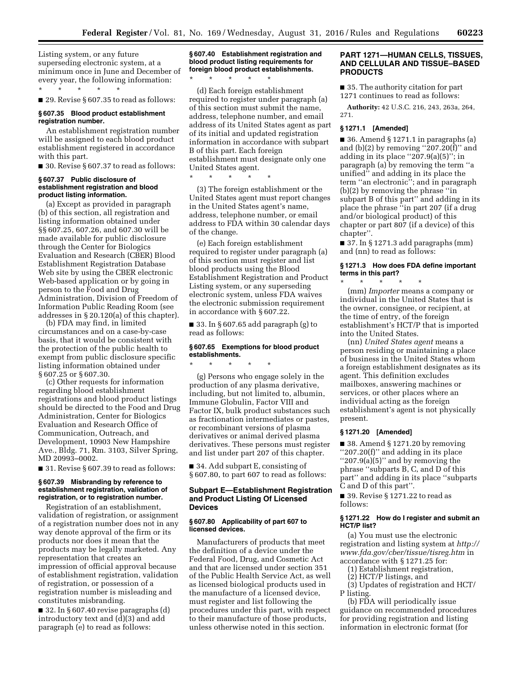Listing system, or any future superseding electronic system, at a minimum once in June and December of every year, the following information:

\* \* \* \* \* ■ 29. Revise § 607.35 to read as follows:

## **§ 607.35 Blood product establishment registration number.**

An establishment registration number will be assigned to each blood product establishment registered in accordance with this part.

■ 30. Revise § 607.37 to read as follows:

## **§ 607.37 Public disclosure of establishment registration and blood product listing information.**

(a) Except as provided in paragraph (b) of this section, all registration and listing information obtained under §§ 607.25, 607.26, and 607.30 will be made available for public disclosure through the Center for Biologics Evaluation and Research (CBER) Blood Establishment Registration Database Web site by using the CBER electronic Web-based application or by going in person to the Food and Drug Administration, Division of Freedom of Information Public Reading Room (see addresses in § 20.120(a) of this chapter).

(b) FDA may find, in limited circumstances and on a case-by-case basis, that it would be consistent with the protection of the public health to exempt from public disclosure specific listing information obtained under § 607.25 or § 607.30.

(c) Other requests for information regarding blood establishment registrations and blood product listings should be directed to the Food and Drug Administration, Center for Biologics Evaluation and Research Office of Communication, Outreach, and Development, 10903 New Hampshire Ave., Bldg. 71, Rm. 3103, Silver Spring, MD 20993–0002.

■ 31. Revise § 607.39 to read as follows:

## **§ 607.39 Misbranding by reference to establishment registration, validation of registration, or to registration number.**

Registration of an establishment, validation of registration, or assignment of a registration number does not in any way denote approval of the firm or its products nor does it mean that the products may be legally marketed. Any representation that creates an impression of official approval because of establishment registration, validation of registration, or possession of a registration number is misleading and constitutes misbranding.

■ 32. In § 607.40 revise paragraphs (d) introductory text and (d)(3) and add paragraph (e) to read as follows:

## **§ 607.40 Establishment registration and blood product listing requirements for foreign blood product establishments.**

(d) Each foreign establishment required to register under paragraph (a) of this section must submit the name, address, telephone number, and email address of its United States agent as part of its initial and updated registration information in accordance with subpart B of this part. Each foreign establishment must designate only one United States agent.

\* \* \* \* \*

\* \* \* \* \*

(3) The foreign establishment or the United States agent must report changes in the United States agent's name, address, telephone number, or email address to FDA within 30 calendar days of the change.

(e) Each foreign establishment required to register under paragraph (a) of this section must register and list blood products using the Blood Establishment Registration and Product Listing system, or any superseding electronic system, unless FDA waives the electronic submission requirement in accordance with § 607.22.

■ 33. In § 607.65 add paragraph (g) to read as follows:

## **§ 607.65 Exemptions for blood product establishments.**

\* \* \* \* \*

(g) Persons who engage solely in the production of any plasma derivative, including, but not limited to, albumin, Immune Globulin, Factor VIII and Factor IX, bulk product substances such as fractionation intermediates or pastes, or recombinant versions of plasma derivatives or animal derived plasma derivatives. These persons must register and list under part 207 of this chapter.

■ 34. Add subpart E, consisting of § 607.80, to part 607 to read as follows:

## **Subpart E—Establishment Registration and Product Listing Of Licensed Devices**

### **§ 607.80 Applicability of part 607 to licensed devices.**

Manufacturers of products that meet the definition of a device under the Federal Food, Drug, and Cosmetic Act and that are licensed under section 351 of the Public Health Service Act, as well as licensed biological products used in the manufacture of a licensed device, must register and list following the procedures under this part, with respect to their manufacture of those products, unless otherwise noted in this section.

## **PART 1271—HUMAN CELLS, TISSUES, AND CELLULAR AND TISSUE–BASED PRODUCTS**

■ 35. The authority citation for part 1271 continues to read as follows:

**Authority:** 42 U.S.C. 216, 243, 263a, 264, 271.

### **§ 1271.1 [Amended]**

 $\blacksquare$  36. Amend § 1271.1 in paragraphs (a) and  $(b)(2)$  by removing "207.20 $(f)$ " and adding in its place  $"207.9(a)(5)$ "; in paragraph (a) by removing the term ''a unified'' and adding in its place the term ''an electronic''; and in paragraph (b)(2) by removing the phrase ''in subpart B of this part'' and adding in its place the phrase ''in part 207 (if a drug and/or biological product) of this chapter or part 807 (if a device) of this chapter''.

 $\blacksquare$  37. In § 1271.3 add paragraphs (mm) and (nn) to read as follows:

#### **§ 1271.3 How does FDA define important terms in this part?**  \* \* \* \* \*

(mm) *Importer* means a company or individual in the United States that is the owner, consignee, or recipient, at the time of entry, of the foreign establishment's HCT/P that is imported into the United States.

(nn) *United States agent* means a person residing or maintaining a place of business in the United States whom a foreign establishment designates as its agent. This definition excludes mailboxes, answering machines or services, or other places where an individual acting as the foreign establishment's agent is not physically present.

## **§ 1271.20 [Amended]**

 $\blacksquare$  38. Amend § 1271.20 by removing ''207.20(f)'' and adding in its place ''207.9(a)(5)'' and by removing the phrase ''subparts B, C, and D of this part'' and adding in its place ''subparts C and D of this part''.

■ 39. Revise § 1271.22 to read as follows:

### **§ 1271.22 How do I register and submit an HCT/P list?**

(a) You must use the electronic registration and listing system at *[http://](http://www.fda.gov/cber/tissue/tisreg.htm) [www.fda.gov/cber/tissue/tisreg.htm](http://www.fda.gov/cber/tissue/tisreg.htm)* in accordance with § 1271.25 for:

- (1) Establishment registration,
- (2) HCT/P listings, and

(3) Updates of registration and HCT/ P listing.

(b) FDA will periodically issue guidance on recommended procedures for providing registration and listing information in electronic format (for